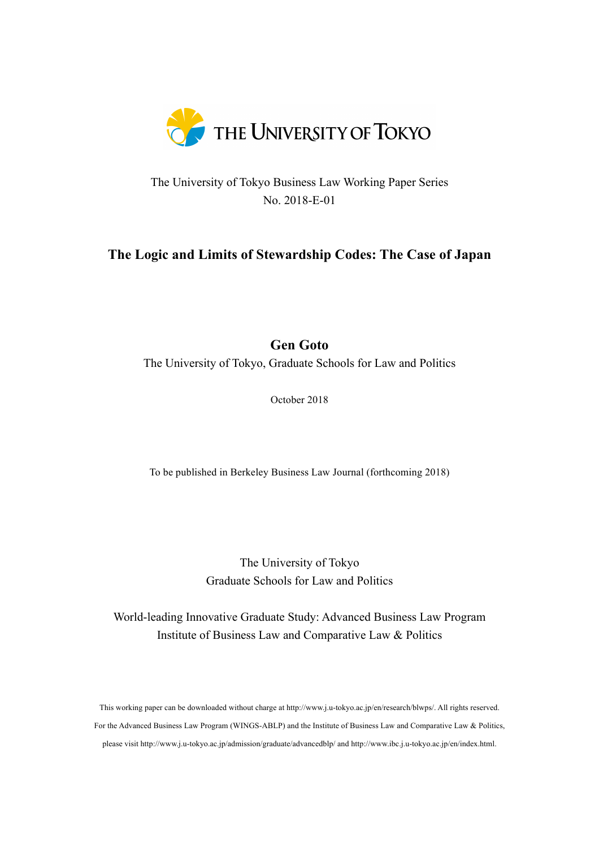

The University of Tokyo Business Law Working Paper Series No. 2018-E-01

# **The Logic and Limits of Stewardship Codes: The Case of Japan**

# **Gen Goto**

The University of Tokyo, Graduate Schools for Law and Politics

October 2018

To be published in Berkeley Business Law Journal (forthcoming 2018)

The University of Tokyo Graduate Schools for Law and Politics

World-leading Innovative Graduate Study: Advanced Business Law Program Institute of Business Law and Comparative Law & Politics

This working paper can be downloaded without charge at http://www.j.u-tokyo.ac.jp/en/research/blwps/. All rights reserved. For the Advanced Business Law Program (WINGS-ABLP) and the Institute of Business Law and Comparative Law & Politics, please visit http://www.j.u-tokyo.ac.jp/admission/graduate/advancedblp/ and http://www.ibc.j.u-tokyo.ac.jp/en/index.html.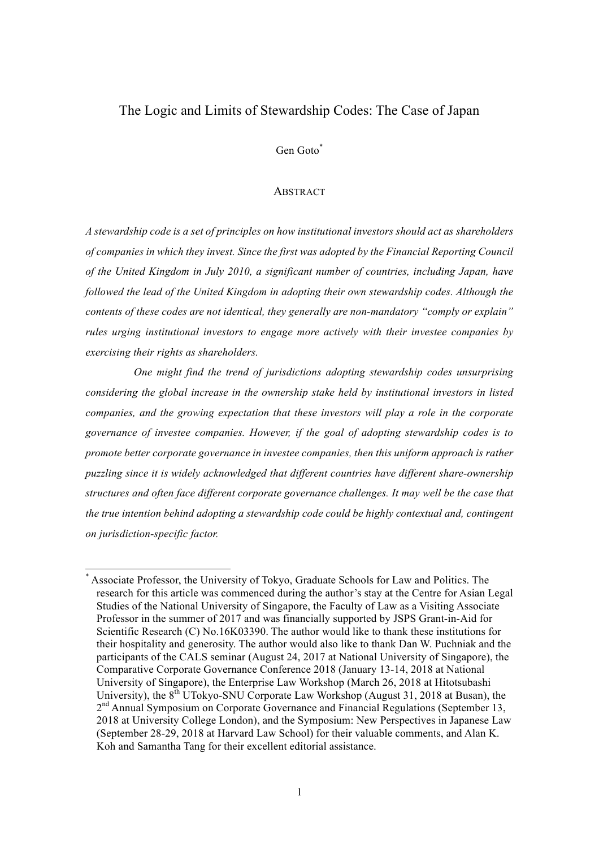## The Logic and Limits of Stewardship Codes: The Case of Japan

Gen Goto\*

#### **ABSTRACT**

*A stewardship code is a set of principles on how institutional investors should act as shareholders of companies in which they invest. Since the first was adopted by the Financial Reporting Council of the United Kingdom in July 2010, a significant number of countries, including Japan, have followed the lead of the United Kingdom in adopting their own stewardship codes. Although the contents of these codes are not identical, they generally are non-mandatory "comply or explain" rules urging institutional investors to engage more actively with their investee companies by exercising their rights as shareholders.*

*One might find the trend of jurisdictions adopting stewardship codes unsurprising considering the global increase in the ownership stake held by institutional investors in listed companies, and the growing expectation that these investors will play a role in the corporate governance of investee companies. However, if the goal of adopting stewardship codes is to promote better corporate governance in investee companies, then this uniform approach is rather puzzling since it is widely acknowledged that different countries have different share-ownership structures and often face different corporate governance challenges. It may well be the case that the true intention behind adopting a stewardship code could be highly contextual and, contingent on jurisdiction-specific factor.*

Associate Professor, the University of Tokyo, Graduate Schools for Law and Politics. The research for this article was commenced during the author's stay at the Centre for Asian Legal Studies of the National University of Singapore, the Faculty of Law as a Visiting Associate Professor in the summer of 2017 and was financially supported by JSPS Grant-in-Aid for Scientific Research (C) No.16K03390. The author would like to thank these institutions for their hospitality and generosity. The author would also like to thank Dan W. Puchniak and the participants of the CALS seminar (August 24, 2017 at National University of Singapore), the Comparative Corporate Governance Conference 2018 (January 13-14, 2018 at National University of Singapore), the Enterprise Law Workshop (March 26, 2018 at Hitotsubashi University), the  $8<sup>th</sup>$  UTokyo-SNU Corporate Law Workshop (August 31, 2018 at Busan), the 2<sup>nd</sup> Annual Symposium on Corporate Governance and Financial Regulations (September 13, 2018 at University College London), and the Symposium: New Perspectives in Japanese Law (September 28-29, 2018 at Harvard Law School) for their valuable comments, and Alan K. Koh and Samantha Tang for their excellent editorial assistance.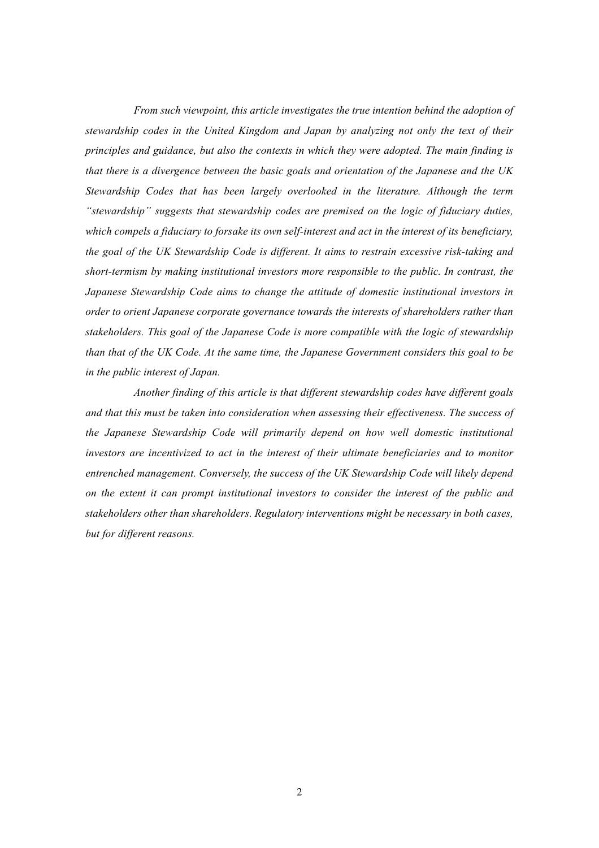*From such viewpoint, this article investigates the true intention behind the adoption of stewardship codes in the United Kingdom and Japan by analyzing not only the text of their principles and guidance, but also the contexts in which they were adopted. The main finding is that there is a divergence between the basic goals and orientation of the Japanese and the UK Stewardship Codes that has been largely overlooked in the literature. Although the term "stewardship" suggests that stewardship codes are premised on the logic of fiduciary duties, which compels a fiduciary to forsake its own self-interest and act in the interest of its beneficiary, the goal of the UK Stewardship Code is different. It aims to restrain excessive risk-taking and short-termism by making institutional investors more responsible to the public. In contrast, the Japanese Stewardship Code aims to change the attitude of domestic institutional investors in order to orient Japanese corporate governance towards the interests of shareholders rather than stakeholders. This goal of the Japanese Code is more compatible with the logic of stewardship than that of the UK Code. At the same time, the Japanese Government considers this goal to be in the public interest of Japan.* 

*Another finding of this article is that different stewardship codes have different goals and that this must be taken into consideration when assessing their effectiveness. The success of the Japanese Stewardship Code will primarily depend on how well domestic institutional investors are incentivized to act in the interest of their ultimate beneficiaries and to monitor entrenched management. Conversely, the success of the UK Stewardship Code will likely depend on the extent it can prompt institutional investors to consider the interest of the public and stakeholders other than shareholders. Regulatory interventions might be necessary in both cases, but for different reasons.*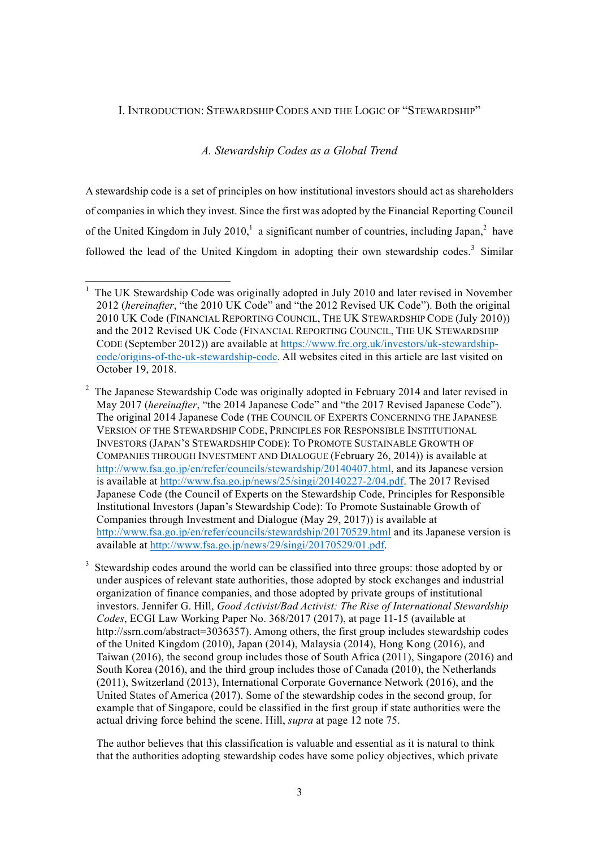### I. INTRODUCTION: STEWARDSHIP CODES AND THE LOGIC OF "STEWARDSHIP"

### *A. Stewardship Codes as a Global Trend*

A stewardship code is a set of principles on how institutional investors should act as shareholders of companies in which they invest. Since the first was adopted by the Financial Reporting Council of the United Kingdom in July 2010,<sup>1</sup> a significant number of countries, including Japan,<sup>2</sup> have followed the lead of the United Kingdom in adopting their own stewardship codes.<sup>3</sup> Similar

The author believes that this classification is valuable and essential as it is natural to think that the authorities adopting stewardship codes have some policy objectives, which private

 <sup>1</sup> The UK Stewardship Code was originally adopted in July 2010 and later revised in November 2012 (*hereinafter*, "the 2010 UK Code" and "the 2012 Revised UK Code"). Both the original 2010 UK Code (FINANCIAL REPORTING COUNCIL, THE UK STEWARDSHIP CODE (July 2010)) and the 2012 Revised UK Code (FINANCIAL REPORTING COUNCIL, THE UK STEWARDSHIP CODE (September 2012)) are available at https://www.frc.org.uk/investors/uk-stewardshipcode/origins-of-the-uk-stewardship-code. All websites cited in this article are last visited on October 19, 2018.

<sup>&</sup>lt;sup>2</sup> The Japanese Stewardship Code was originally adopted in February 2014 and later revised in May 2017 (*hereinafter*, "the 2014 Japanese Code" and "the 2017 Revised Japanese Code"). The original 2014 Japanese Code (THE COUNCIL OF EXPERTS CONCERNING THE JAPANESE VERSION OF THE STEWARDSHIP CODE, PRINCIPLES FOR RESPONSIBLE INSTITUTIONAL INVESTORS (JAPAN'S STEWARDSHIP CODE): TO PROMOTE SUSTAINABLE GROWTH OF COMPANIES THROUGH INVESTMENT AND DIALOGUE (February 26, 2014)) is available at http://www.fsa.go.jp/en/refer/councils/stewardship/20140407.html, and its Japanese version is available at http://www.fsa.go.jp/news/25/singi/20140227-2/04.pdf. The 2017 Revised Japanese Code (the Council of Experts on the Stewardship Code, Principles for Responsible Institutional Investors (Japan's Stewardship Code): To Promote Sustainable Growth of Companies through Investment and Dialogue (May 29, 2017)) is available at http://www.fsa.go.jp/en/refer/councils/stewardship/20170529.html and its Japanese version is available at http://www.fsa.go.jp/news/29/singi/20170529/01.pdf.

<sup>&</sup>lt;sup>3</sup> Stewardship codes around the world can be classified into three groups: those adopted by or under auspices of relevant state authorities, those adopted by stock exchanges and industrial organization of finance companies, and those adopted by private groups of institutional investors. Jennifer G. Hill, *Good Activist/Bad Activist: The Rise of International Stewardship Codes*, ECGI Law Working Paper No. 368/2017 (2017), at page 11-15 (available at http://ssrn.com/abstract=3036357). Among others, the first group includes stewardship codes of the United Kingdom (2010), Japan (2014), Malaysia (2014), Hong Kong (2016), and Taiwan (2016), the second group includes those of South Africa (2011), Singapore (2016) and South Korea (2016), and the third group includes those of Canada (2010), the Netherlands (2011), Switzerland (2013), International Corporate Governance Network (2016), and the United States of America (2017). Some of the stewardship codes in the second group, for example that of Singapore, could be classified in the first group if state authorities were the actual driving force behind the scene. Hill, *supra* at page 12 note 75.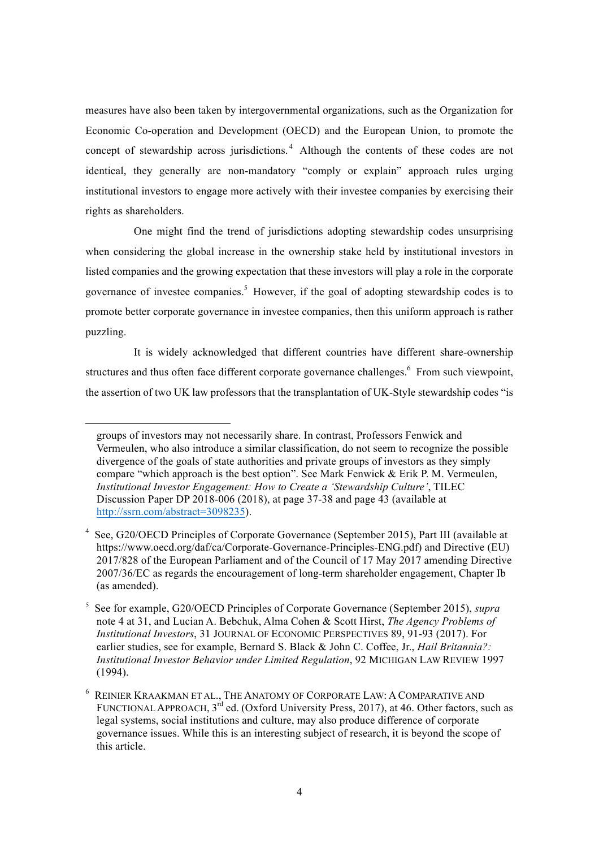measures have also been taken by intergovernmental organizations, such as the Organization for Economic Co-operation and Development (OECD) and the European Union, to promote the concept of stewardship across jurisdictions. <sup>4</sup> Although the contents of these codes are not identical, they generally are non-mandatory "comply or explain" approach rules urging institutional investors to engage more actively with their investee companies by exercising their rights as shareholders.

One might find the trend of jurisdictions adopting stewardship codes unsurprising when considering the global increase in the ownership stake held by institutional investors in listed companies and the growing expectation that these investors will play a role in the corporate governance of investee companies.<sup>5</sup> However, if the goal of adopting stewardship codes is to promote better corporate governance in investee companies, then this uniform approach is rather puzzling.

It is widely acknowledged that different countries have different share-ownership structures and thus often face different corporate governance challenges.<sup>6</sup> From such viewpoint, the assertion of two UK law professors that the transplantation of UK-Style stewardship codes "is

 $\overline{a}$ 

groups of investors may not necessarily share. In contrast, Professors Fenwick and Vermeulen, who also introduce a similar classification, do not seem to recognize the possible divergence of the goals of state authorities and private groups of investors as they simply compare "which approach is the best option". See Mark Fenwick & Erik P. M. Vermeulen, *Institutional Investor Engagement: How to Create a 'Stewardship Culture'*, TILEC Discussion Paper DP 2018-006 (2018), at page 37-38 and page 43 (available at http://ssrn.com/abstract=3098235).

See, G20/OECD Principles of Corporate Governance (September 2015), Part III (available at https://www.oecd.org/daf/ca/Corporate-Governance-Principles-ENG.pdf) and Directive (EU) 2017/828 of the European Parliament and of the Council of 17 May 2017 amending Directive 2007/36/EC as regards the encouragement of long-term shareholder engagement, Chapter Ib (as amended).

<sup>5</sup> See for example, G20/OECD Principles of Corporate Governance (September 2015), *supra*  note 4 at 31, and Lucian A. Bebchuk, Alma Cohen & Scott Hirst, *The Agency Problems of Institutional Investors*, 31 JOURNAL OF ECONOMIC PERSPECTIVES 89, 91-93 (2017). For earlier studies, see for example, Bernard S. Black & John C. Coffee, Jr., *Hail Britannia?: Institutional Investor Behavior under Limited Regulation*, 92 MICHIGAN LAW REVIEW 1997 (1994).

 $^6\;$  Reinier Kraakman et al., The Anatomy of Corporate Law: A Comparative and FUNCTIONAL APPROACH,  $3^{rd}$  ed. (Oxford University Press, 2017), at 46. Other factors, such as legal systems, social institutions and culture, may also produce difference of corporate governance issues. While this is an interesting subject of research, it is beyond the scope of this article.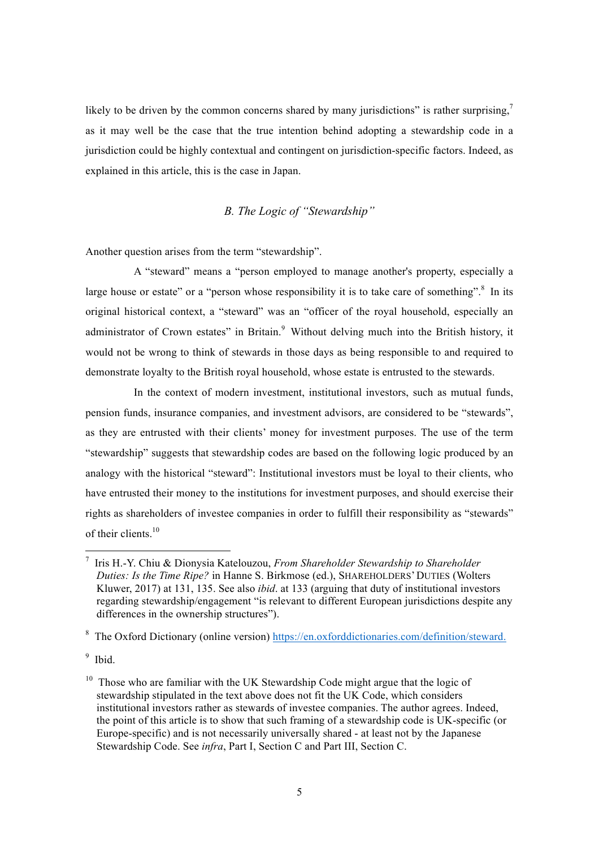likely to be driven by the common concerns shared by many jurisdictions" is rather surprising, $\frac{7}{2}$ as it may well be the case that the true intention behind adopting a stewardship code in a jurisdiction could be highly contextual and contingent on jurisdiction-specific factors. Indeed, as explained in this article, this is the case in Japan.

## *B. The Logic of "Stewardship"*

Another question arises from the term "stewardship".

A "steward" means a "person employed to manage another's property, especially a large house or estate" or a "person whose responsibility it is to take care of something". $8\ \text{In its}$ original historical context, a "steward" was an "officer of the royal household, especially an administrator of Crown estates" in Britain. $9$  Without delving much into the British history, it would not be wrong to think of stewards in those days as being responsible to and required to demonstrate loyalty to the British royal household, whose estate is entrusted to the stewards.

In the context of modern investment, institutional investors, such as mutual funds, pension funds, insurance companies, and investment advisors, are considered to be "stewards", as they are entrusted with their clients' money for investment purposes. The use of the term "stewardship" suggests that stewardship codes are based on the following logic produced by an analogy with the historical "steward": Institutional investors must be loyal to their clients, who have entrusted their money to the institutions for investment purposes, and should exercise their rights as shareholders of investee companies in order to fulfill their responsibility as "stewards" of their clients<sup>10</sup>

 <sup>7</sup> Iris H.-Y. Chiu & Dionysia Katelouzou, *From Shareholder Stewardship to Shareholder Duties: Is the Time Ripe?* in Hanne S. Birkmose (ed.), SHAREHOLDERS'DUTIES (Wolters Kluwer, 2017) at 131, 135. See also *ibid*. at 133 (arguing that duty of institutional investors regarding stewardship/engagement "is relevant to different European jurisdictions despite any differences in the ownership structures").

<sup>&</sup>lt;sup>8</sup> The Oxford Dictionary (online version) https://en.oxforddictionaries.com/definition/steward.

<sup>&</sup>lt;sup>9</sup> Ibid.

 $10$  Those who are familiar with the UK Stewardship Code might argue that the logic of stewardship stipulated in the text above does not fit the UK Code, which considers institutional investors rather as stewards of investee companies. The author agrees. Indeed, the point of this article is to show that such framing of a stewardship code is UK-specific (or Europe-specific) and is not necessarily universally shared - at least not by the Japanese Stewardship Code. See *infra*, Part I, Section C and Part III, Section C.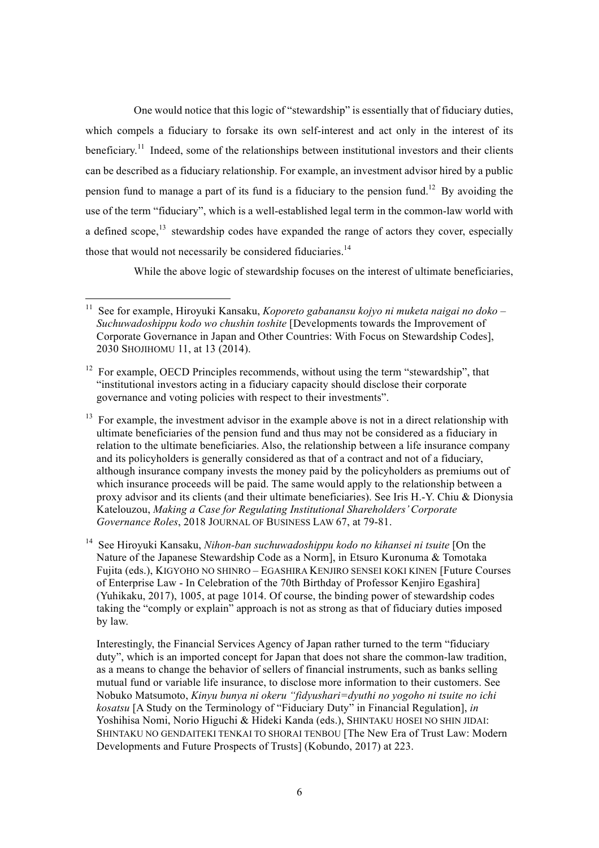One would notice that this logic of "stewardship" is essentially that of fiduciary duties, which compels a fiduciary to forsake its own self-interest and act only in the interest of its beneficiary.<sup>11</sup> Indeed, some of the relationships between institutional investors and their clients can be described as a fiduciary relationship. For example, an investment advisor hired by a public pension fund to manage a part of its fund is a fiduciary to the pension fund.<sup>12</sup> By avoiding the use of the term "fiduciary", which is a well-established legal term in the common-law world with a defined scope,  $13$  stewardship codes have expanded the range of actors they cover, especially those that would not necessarily be considered fiduciaries.<sup>14</sup>

While the above logic of stewardship focuses on the interest of ultimate beneficiaries,

 <sup>11</sup> See for example, Hiroyuki Kansaku, *Koporeto gabanansu kojyo ni muketa naigai no doko – Suchuwadoshippu kodo wo chushin toshite* [Developments towards the Improvement of Corporate Governance in Japan and Other Countries: With Focus on Stewardship Codes], 2030 SHOJIHOMU 11, at 13 (2014).

 $12$  For example, OECD Principles recommends, without using the term "stewardship", that "institutional investors acting in a fiduciary capacity should disclose their corporate governance and voting policies with respect to their investments".

<sup>&</sup>lt;sup>13</sup> For example, the investment advisor in the example above is not in a direct relationship with ultimate beneficiaries of the pension fund and thus may not be considered as a fiduciary in relation to the ultimate beneficiaries. Also, the relationship between a life insurance company and its policyholders is generally considered as that of a contract and not of a fiduciary, although insurance company invests the money paid by the policyholders as premiums out of which insurance proceeds will be paid. The same would apply to the relationship between a proxy advisor and its clients (and their ultimate beneficiaries). See Iris H.-Y. Chiu & Dionysia Katelouzou, *Making a Case for Regulating Institutional Shareholders' Corporate Governance Roles*, 2018 JOURNAL OF BUSINESS LAW 67, at 79-81.

<sup>&</sup>lt;sup>14</sup> See Hiroyuki Kansaku, *Nihon-ban suchuwadoshippu kodo no kihansei ni tsuite* [On the Nature of the Japanese Stewardship Code as a Norm in Etsuro Kuronuma  $\&$  Tomotaka Fujita (eds.), KIGYOHO NO SHINRO – EGASHIRA KENJIRO SENSEI KOKI KINEN [Future Courses of Enterprise Law - In Celebration of the 70th Birthday of Professor Kenjiro Egashira] (Yuhikaku, 2017), 1005, at page 1014. Of course, the binding power of stewardship codes taking the "comply or explain" approach is not as strong as that of fiduciary duties imposed by law.

Interestingly, the Financial Services Agency of Japan rather turned to the term "fiduciary duty", which is an imported concept for Japan that does not share the common-law tradition. as a means to change the behavior of sellers of financial instruments, such as banks selling mutual fund or variable life insurance, to disclose more information to their customers. See Nobuko Matsumoto, *Kinyu bunya ni okeru "fidyushari=dyuthi no yogoho ni tsuite no ichi kosatsu* [A Study on the Terminology of "Fiduciary Duty" in Financial Regulation], *in* Yoshihisa Nomi, Norio Higuchi & Hideki Kanda (eds.), SHINTAKU HOSEI NO SHIN JIDAI: SHINTAKU NO GENDAITEKI TENKAI TO SHORAI TENBOU [The New Era of Trust Law: Modern Developments and Future Prospects of Trusts] (Kobundo, 2017) at 223.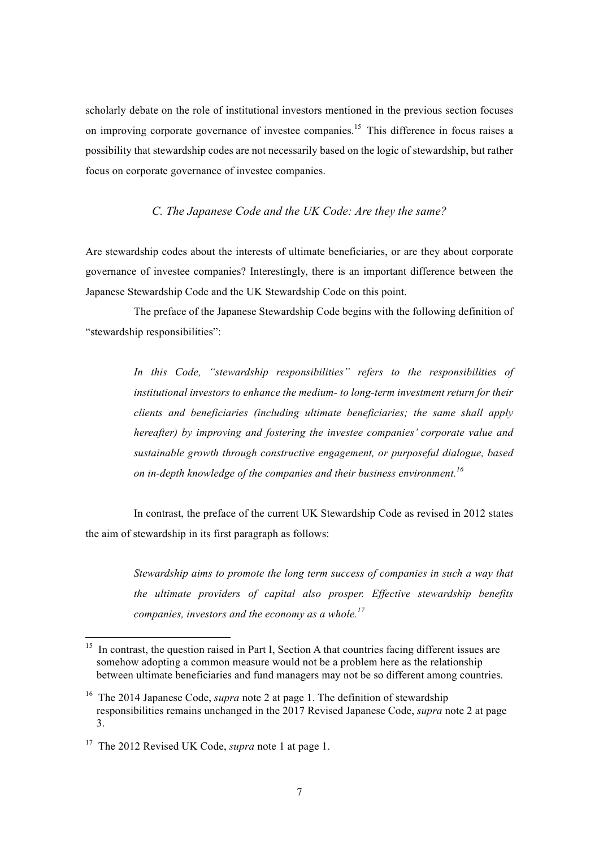scholarly debate on the role of institutional investors mentioned in the previous section focuses on improving corporate governance of investee companies.<sup>15</sup> This difference in focus raises a possibility that stewardship codes are not necessarily based on the logic of stewardship, but rather focus on corporate governance of investee companies.

### *C. The Japanese Code and the UK Code: Are they the same?*

Are stewardship codes about the interests of ultimate beneficiaries, or are they about corporate governance of investee companies? Interestingly, there is an important difference between the Japanese Stewardship Code and the UK Stewardship Code on this point.

The preface of the Japanese Stewardship Code begins with the following definition of "stewardship responsibilities":

> *In this Code, "stewardship responsibilities" refers to the responsibilities of institutional investors to enhance the medium- to long-term investment return for their clients and beneficiaries (including ultimate beneficiaries; the same shall apply hereafter) by improving and fostering the investee companies' corporate value and sustainable growth through constructive engagement, or purposeful dialogue, based on in-depth knowledge of the companies and their business environment.<sup>16</sup>*

In contrast, the preface of the current UK Stewardship Code as revised in 2012 states the aim of stewardship in its first paragraph as follows:

> *Stewardship aims to promote the long term success of companies in such a way that the ultimate providers of capital also prosper. Effective stewardship benefits companies, investors and the economy as a whole.<sup>17</sup>*

<sup>&</sup>lt;sup>15</sup> In contrast, the question raised in Part I, Section A that countries facing different issues are somehow adopting a common measure would not be a problem here as the relationship between ultimate beneficiaries and fund managers may not be so different among countries.

<sup>&</sup>lt;sup>16</sup> The 2014 Japanese Code, *supra* note 2 at page 1. The definition of stewardship responsibilities remains unchanged in the 2017 Revised Japanese Code, *supra* note 2 at page 3.

<sup>&</sup>lt;sup>17</sup> The 2012 Revised UK Code, *supra* note 1 at page 1.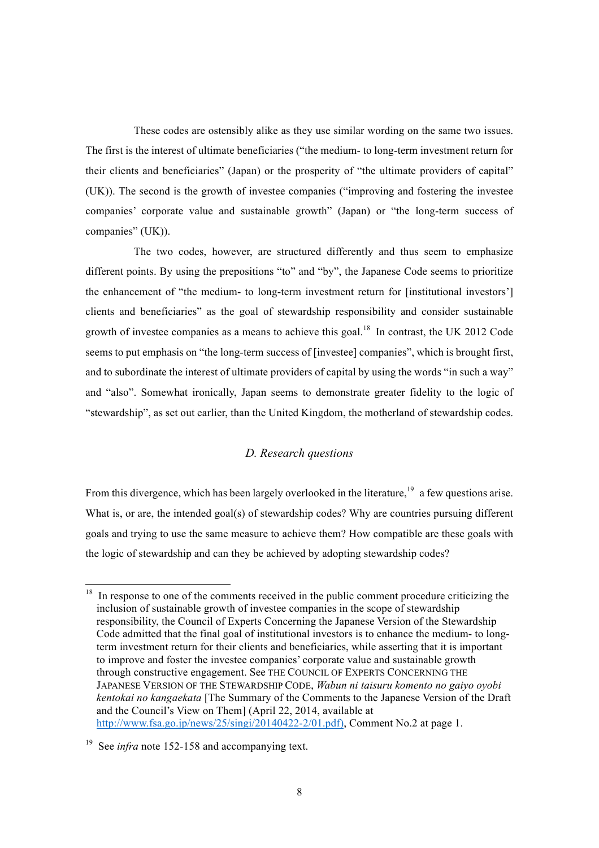These codes are ostensibly alike as they use similar wording on the same two issues. The first is the interest of ultimate beneficiaries ("the medium- to long-term investment return for their clients and beneficiaries" (Japan) or the prosperity of "the ultimate providers of capital" (UK)). The second is the growth of investee companies ("improving and fostering the investee companies' corporate value and sustainable growth" (Japan) or "the long-term success of companies" (UK)).

The two codes, however, are structured differently and thus seem to emphasize different points. By using the prepositions "to" and "by", the Japanese Code seems to prioritize the enhancement of "the medium- to long-term investment return for [institutional investors'] clients and beneficiaries" as the goal of stewardship responsibility and consider sustainable growth of investee companies as a means to achieve this goal.<sup>18</sup> In contrast, the UK 2012 Code seems to put emphasis on "the long-term success of [investee] companies", which is brought first, and to subordinate the interest of ultimate providers of capital by using the words "in such a way" and "also". Somewhat ironically, Japan seems to demonstrate greater fidelity to the logic of "stewardship", as set out earlier, than the United Kingdom, the motherland of stewardship codes.

### *D. Research questions*

From this divergence, which has been largely overlooked in the literature,  $19$  a few questions arise. What is, or are, the intended goal(s) of stewardship codes? Why are countries pursuing different goals and trying to use the same measure to achieve them? How compatible are these goals with the logic of stewardship and can they be achieved by adopting stewardship codes?

<sup>&</sup>lt;sup>18</sup> In response to one of the comments received in the public comment procedure criticizing the inclusion of sustainable growth of investee companies in the scope of stewardship responsibility, the Council of Experts Concerning the Japanese Version of the Stewardship Code admitted that the final goal of institutional investors is to enhance the medium- to longterm investment return for their clients and beneficiaries, while asserting that it is important to improve and foster the investee companies' corporate value and sustainable growth through constructive engagement. See THE COUNCIL OF EXPERTS CONCERNING THE JAPANESE VERSION OF THE STEWARDSHIP CODE, *Wabun ni taisuru komento no gaiyo oyobi kentokai no kangaekata* [The Summary of the Comments to the Japanese Version of the Draft and the Council's View on Them] (April 22, 2014, available at http://www.fsa.go.jp/news/25/singi/20140422-2/01.pdf), Comment No.2 at page 1.

<sup>&</sup>lt;sup>19</sup> See *infra* note 152-158 and accompanying text.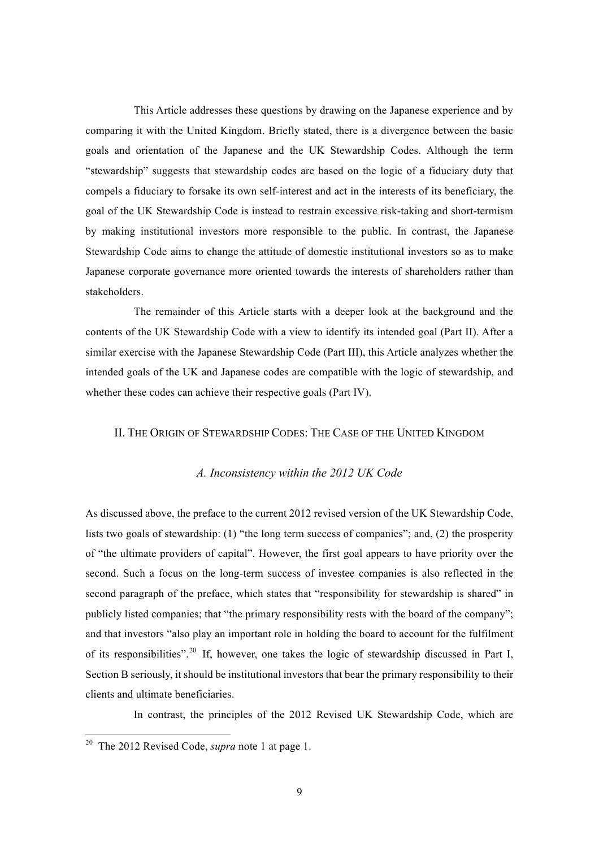This Article addresses these questions by drawing on the Japanese experience and by comparing it with the United Kingdom. Briefly stated, there is a divergence between the basic goals and orientation of the Japanese and the UK Stewardship Codes. Although the term "stewardship" suggests that stewardship codes are based on the logic of a fiduciary duty that compels a fiduciary to forsake its own self-interest and act in the interests of its beneficiary, the goal of the UK Stewardship Code is instead to restrain excessive risk-taking and short-termism by making institutional investors more responsible to the public. In contrast, the Japanese Stewardship Code aims to change the attitude of domestic institutional investors so as to make Japanese corporate governance more oriented towards the interests of shareholders rather than stakeholders.

The remainder of this Article starts with a deeper look at the background and the contents of the UK Stewardship Code with a view to identify its intended goal (Part II). After a similar exercise with the Japanese Stewardship Code (Part III), this Article analyzes whether the intended goals of the UK and Japanese codes are compatible with the logic of stewardship, and whether these codes can achieve their respective goals (Part IV).

#### II. THE ORIGIN OF STEWARDSHIP CODES: THE CASE OF THE UNITED KINGDOM

#### *A. Inconsistency within the 2012 UK Code*

As discussed above, the preface to the current 2012 revised version of the UK Stewardship Code, lists two goals of stewardship: (1) "the long term success of companies"; and, (2) the prosperity of "the ultimate providers of capital". However, the first goal appears to have priority over the second. Such a focus on the long-term success of investee companies is also reflected in the second paragraph of the preface, which states that "responsibility for stewardship is shared" in publicly listed companies; that "the primary responsibility rests with the board of the company"; and that investors "also play an important role in holding the board to account for the fulfilment of its responsibilities".<sup>20</sup> If, however, one takes the logic of stewardship discussed in Part I, Section B seriously, it should be institutional investors that bear the primary responsibility to their clients and ultimate beneficiaries.

In contrast, the principles of the 2012 Revised UK Stewardship Code, which are

 <sup>20</sup> The 2012 Revised Code, *supra* note 1 at page 1.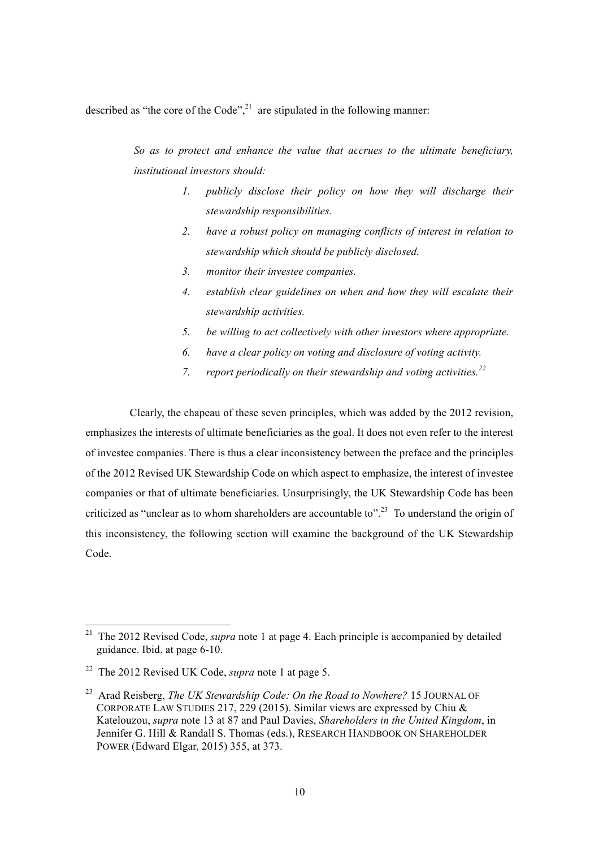described as "the core of the Code",<sup>21</sup> are stipulated in the following manner:

*So as to protect and enhance the value that accrues to the ultimate beneficiary, institutional investors should:*

- *1. publicly disclose their policy on how they will discharge their stewardship responsibilities.*
- *2. have a robust policy on managing conflicts of interest in relation to stewardship which should be publicly disclosed.*
- *3. monitor their investee companies.*
- *4. establish clear guidelines on when and how they will escalate their stewardship activities.*
- *5. be willing to act collectively with other investors where appropriate.*
- *6. have a clear policy on voting and disclosure of voting activity.*
- 7. *report periodically on their stewardship and voting activities.*<sup>22</sup>

Clearly, the chapeau of these seven principles, which was added by the 2012 revision, emphasizes the interests of ultimate beneficiaries as the goal. It does not even refer to the interest of investee companies. There is thus a clear inconsistency between the preface and the principles of the 2012 Revised UK Stewardship Code on which aspect to emphasize, the interest of investee companies or that of ultimate beneficiaries. Unsurprisingly, the UK Stewardship Code has been criticized as "unclear as to whom shareholders are accountable to".<sup>23</sup> To understand the origin of this inconsistency, the following section will examine the background of the UK Stewardship Code.

<sup>&</sup>lt;sup>21</sup> The 2012 Revised Code, *supra* note 1 at page 4. Each principle is accompanied by detailed guidance. Ibid. at page 6-10.

<sup>22</sup> The 2012 Revised UK Code, *supra* note 1 at page 5.

<sup>23</sup> Arad Reisberg, *The UK Stewardship Code: On the Road to Nowhere?* 15 JOURNAL OF CORPORATE LAW STUDIES 217, 229 (2015). Similar views are expressed by Chiu & Katelouzou, *supra* note 13 at 87 and Paul Davies, *Shareholders in the United Kingdom*, in Jennifer G. Hill & Randall S. Thomas (eds.), RESEARCH HANDBOOK ON SHAREHOLDER POWER (Edward Elgar, 2015) 355, at 373.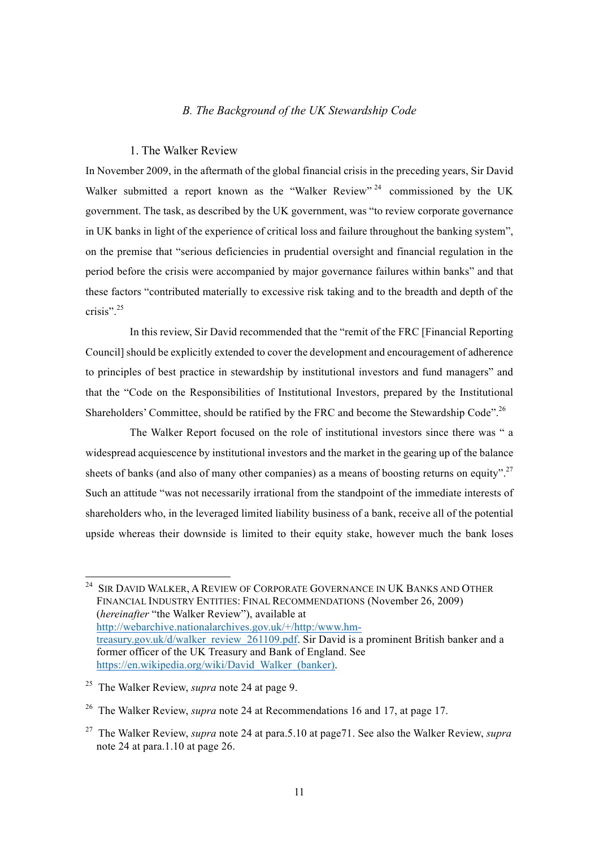#### *B. The Background of the UK Stewardship Code*

#### 1. The Walker Review

In November 2009, in the aftermath of the global financial crisis in the preceding years, Sir David Walker submitted a report known as the "Walker Review"  $24$  commissioned by the UK government. The task, as described by the UK government, was "to review corporate governance in UK banks in light of the experience of critical loss and failure throughout the banking system", on the premise that "serious deficiencies in prudential oversight and financial regulation in the period before the crisis were accompanied by major governance failures within banks" and that these factors "contributed materially to excessive risk taking and to the breadth and depth of the crisis". 25

In this review, Sir David recommended that the "remit of the FRC [Financial Reporting Council] should be explicitly extended to cover the development and encouragement of adherence to principles of best practice in stewardship by institutional investors and fund managers" and that the "Code on the Responsibilities of Institutional Investors, prepared by the Institutional Shareholders' Committee, should be ratified by the FRC and become the Stewardship Code".<sup>26</sup>

The Walker Report focused on the role of institutional investors since there was " a widespread acquiescence by institutional investors and the market in the gearing up of the balance sheets of banks (and also of many other companies) as a means of boosting returns on equity".<sup>27</sup> Such an attitude "was not necessarily irrational from the standpoint of the immediate interests of shareholders who, in the leveraged limited liability business of a bank, receive all of the potential upside whereas their downside is limited to their equity stake, however much the bank loses

<sup>&</sup>lt;sup>24</sup> SIR DAVID WALKER, A REVIEW OF CORPORATE GOVERNANCE IN UK BANKS AND OTHER FINANCIAL INDUSTRY ENTITIES: FINAL RECOMMENDATIONS (November 26, 2009) (*hereinafter* "the Walker Review"), available at http://webarchive.nationalarchives.gov.uk/+/http:/www.hmtreasury.gov.uk/d/walker\_review\_261109.pdf. Sir David is a prominent British banker and a former officer of the UK Treasury and Bank of England. See https://en.wikipedia.org/wiki/David\_Walker\_(banker).

<sup>25</sup> The Walker Review, *supra* note 24 at page 9.

<sup>26</sup> The Walker Review, *supra* note 24 at Recommendations 16 and 17, at page 17.

<sup>27</sup> The Walker Review, *supra* note 24 at para.5.10 at page71. See also the Walker Review, *supra* note 24 at para.1.10 at page 26.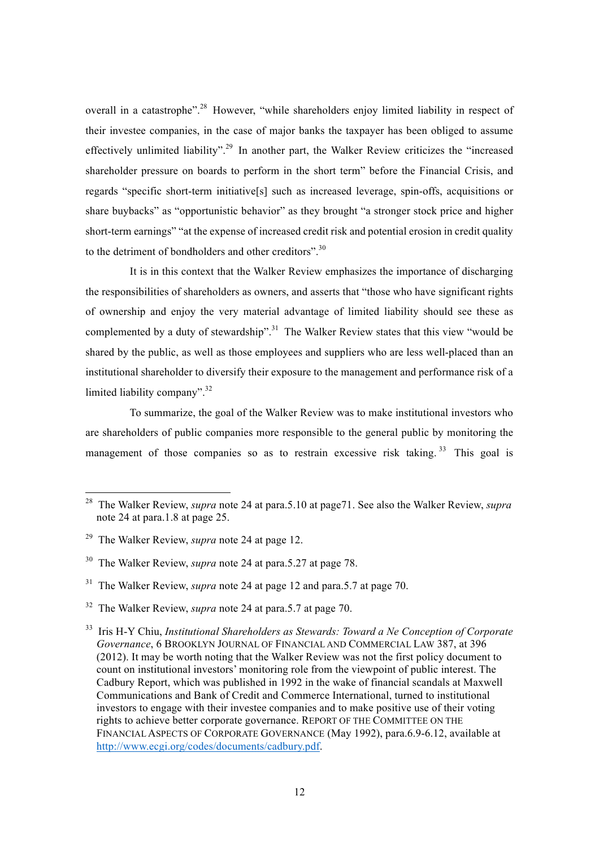overall in a catastrophe".<sup>28</sup> However, "while shareholders enjoy limited liability in respect of their investee companies, in the case of major banks the taxpayer has been obliged to assume effectively unlimited liability".<sup>29</sup> In another part, the Walker Review criticizes the "increased" shareholder pressure on boards to perform in the short term" before the Financial Crisis, and regards "specific short-term initiative[s] such as increased leverage, spin-offs, acquisitions or share buybacks" as "opportunistic behavior" as they brought "a stronger stock price and higher short-term earnings" "at the expense of increased credit risk and potential erosion in credit quality to the detriment of bondholders and other creditors".<sup>30</sup>

It is in this context that the Walker Review emphasizes the importance of discharging the responsibilities of shareholders as owners, and asserts that "those who have significant rights of ownership and enjoy the very material advantage of limited liability should see these as complemented by a duty of stewardship".<sup>31</sup> The Walker Review states that this view "would be shared by the public, as well as those employees and suppliers who are less well-placed than an institutional shareholder to diversify their exposure to the management and performance risk of a limited liability company".<sup>32</sup>

To summarize, the goal of the Walker Review was to make institutional investors who are shareholders of public companies more responsible to the general public by monitoring the management of those companies so as to restrain excessive risk taking.<sup>33</sup> This goal is

 <sup>28</sup> The Walker Review, *supra* note 24 at para.5.10 at page71. See also the Walker Review, *supra* note 24 at para.1.8 at page 25.

<sup>29</sup> The Walker Review, *supra* note 24 at page 12.

<sup>30</sup> The Walker Review, *supra* note 24 at para.5.27 at page 78.

<sup>31</sup> The Walker Review, *supra* note 24 at page 12 and para.5.7 at page 70.

<sup>32</sup> The Walker Review, *supra* note 24 at para.5.7 at page 70.

<sup>33</sup> Iris H-Y Chiu, *Institutional Shareholders as Stewards: Toward a Ne Conception of Corporate Governance*, 6 BROOKLYN JOURNAL OF FINANCIAL AND COMMERCIAL LAW 387, at 396 (2012). It may be worth noting that the Walker Review was not the first policy document to count on institutional investors' monitoring role from the viewpoint of public interest. The Cadbury Report, which was published in 1992 in the wake of financial scandals at Maxwell Communications and Bank of Credit and Commerce International, turned to institutional investors to engage with their investee companies and to make positive use of their voting rights to achieve better corporate governance. REPORT OF THE COMMITTEE ON THE FINANCIAL ASPECTS OF CORPORATE GOVERNANCE (May 1992), para.6.9-6.12, available at http://www.ecgi.org/codes/documents/cadbury.pdf.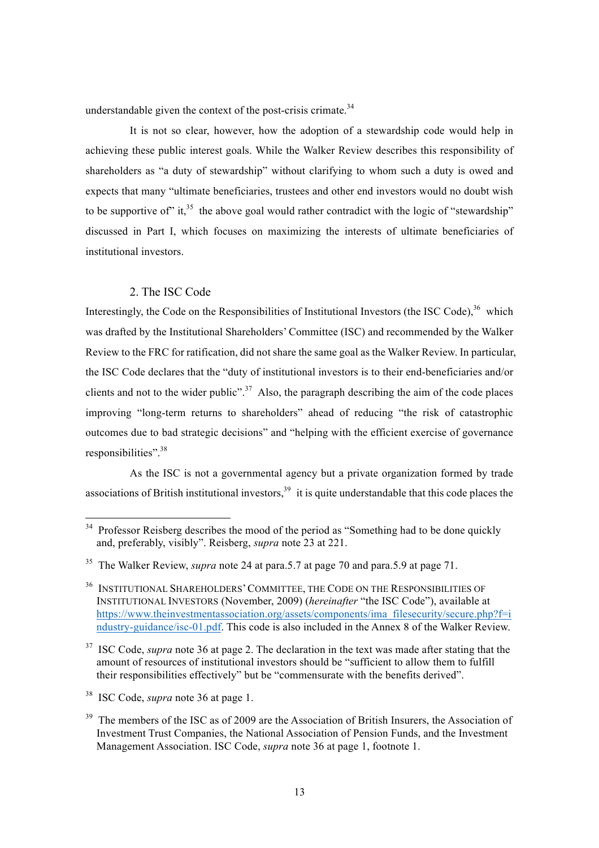understandable given the context of the post-crisis crimate. $34$ 

It is not so clear, however, how the adoption of a stewardship code would help in achieving these public interest goals. While the Walker Review describes this responsibility of shareholders as "a duty of stewardship" without clarifying to whom such a duty is owed and expects that many "ultimate beneficiaries, trustees and other end investors would no doubt wish to be supportive of" it,<sup>35</sup> the above goal would rather contradict with the logic of "stewardship" discussed in Part I, which focuses on maximizing the interests of ultimate beneficiaries of institutional investors.

#### 2. The ISC Code

Interestingly, the Code on the Responsibilities of Institutional Investors (the ISC Code), <sup>36</sup> which was drafted by the Institutional Shareholders' Committee (ISC) and recommended by the Walker Review to the FRC for ratification, did not share the same goal as the Walker Review. In particular, the ISC Code declares that the "duty of institutional investors is to their end-beneficiaries and/or clients and not to the wider public".<sup>37</sup> Also, the paragraph describing the aim of the code places improving "long-term returns to shareholders" ahead of reducing "the risk of catastrophic outcomes due to bad strategic decisions" and "helping with the efficient exercise of governance responsibilities".<sup>38</sup>

As the ISC is not a governmental agency but a private organization formed by trade associations of British institutional investors,  $39\%$  it is quite understandable that this code places the

<sup>37</sup> ISC Code, *supra* note 36 at page 2. The declaration in the text was made after stating that the amount of resources of institutional investors should be "sufficient to allow them to fulfill their responsibilities effectively" but be "commensurate with the benefits derived".

<sup>&</sup>lt;sup>34</sup> Professor Reisberg describes the mood of the period as "Something had to be done quickly and, preferably, visibly". Reisberg, *supra* note 23 at 221.

<sup>35</sup> The Walker Review, *supra* note 24 at para.5.7 at page 70 and para.5.9 at page 71.

<sup>36</sup> INSTITUTIONAL SHAREHOLDERS'COMMITTEE, THE CODE ON THE RESPONSIBILITIES OF INSTITUTIONAL INVESTORS (November, 2009) (*hereinafter* "the ISC Code"), available at https://www.theinvestmentassociation.org/assets/components/ima\_filesecurity/secure.php?f=i ndustry-guidance/isc-01.pdf. This code is also included in the Annex 8 of the Walker Review.

<sup>38</sup> ISC Code, *supra* note 36 at page 1.

 $39$  The members of the ISC as of 2009 are the Association of British Insurers, the Association of Investment Trust Companies, the National Association of Pension Funds, and the Investment Management Association. ISC Code, *supra* note 36 at page 1, footnote 1.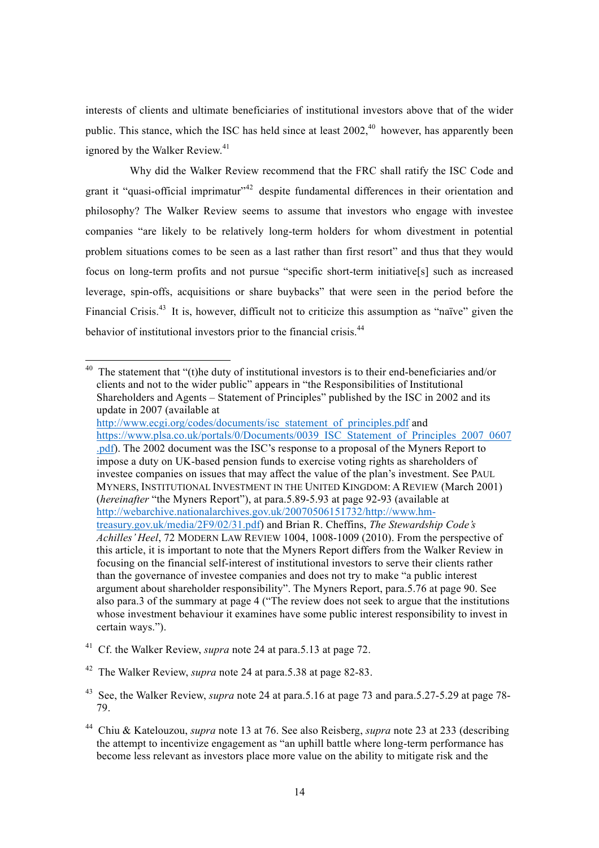interests of clients and ultimate beneficiaries of institutional investors above that of the wider public. This stance, which the ISC has held since at least 2002,<sup>40</sup> however, has apparently been ignored by the Walker Review.<sup>41</sup>

Why did the Walker Review recommend that the FRC shall ratify the ISC Code and grant it "quasi-official imprimatur"<sup>42</sup> despite fundamental differences in their orientation and philosophy? The Walker Review seems to assume that investors who engage with investee companies "are likely to be relatively long-term holders for whom divestment in potential problem situations comes to be seen as a last rather than first resort" and thus that they would focus on long-term profits and not pursue "specific short-term initiative[s] such as increased leverage, spin-offs, acquisitions or share buybacks" that were seen in the period before the Financial Crisis.<sup>43</sup> It is, however, difficult not to criticize this assumption as "naïve" given the behavior of institutional investors prior to the financial crisis.<sup>44</sup>

<sup>40</sup> The statement that "(t)he duty of institutional investors is to their end-beneficiaries and/or clients and not to the wider public" appears in "the Responsibilities of Institutional Shareholders and Agents – Statement of Principles" published by the ISC in 2002 and its update in 2007 (available at http://www.ecgi.org/codes/documents/isc\_statement\_of\_principles.pdf and https://www.plsa.co.uk/portals/0/Documents/0039\_ISC\_Statement\_of\_Principles\_2007\_0607 .pdf). The 2002 document was the ISC's response to a proposal of the Myners Report to impose a duty on UK-based pension funds to exercise voting rights as shareholders of investee companies on issues that may affect the value of the plan's investment. See PAUL MYNERS, INSTITUTIONAL INVESTMENT IN THE UNITED KINGDOM: A REVIEW (March 2001) (*hereinafter* "the Myners Report"), at para.5.89-5.93 at page 92-93 (available at http://webarchive.nationalarchives.gov.uk/20070506151732/http://www.hmtreasury.gov.uk/media/2F9/02/31.pdf) and Brian R. Cheffins, *The Stewardship Code's Achilles' Heel*, 72 MODERN LAW REVIEW 1004, 1008-1009 (2010). From the perspective of this article, it is important to note that the Myners Report differs from the Walker Review in focusing on the financial self-interest of institutional investors to serve their clients rather than the governance of investee companies and does not try to make "a public interest argument about shareholder responsibility". The Myners Report, para.5.76 at page 90. See also para.3 of the summary at page 4 ("The review does not seek to argue that the institutions whose investment behaviour it examines have some public interest responsibility to invest in certain ways.").

<sup>41</sup> Cf. the Walker Review, *supra* note 24 at para.5.13 at page 72.

<sup>42</sup> The Walker Review, *supra* note 24 at para.5.38 at page 82-83.

<sup>43</sup> See, the Walker Review, *supra* note 24 at para.5.16 at page 73 and para.5.27-5.29 at page 78- 79.

<sup>44</sup> Chiu & Katelouzou, *supra* note 13 at 76. See also Reisberg, *supra* note 23 at 233 (describing the attempt to incentivize engagement as "an uphill battle where long-term performance has become less relevant as investors place more value on the ability to mitigate risk and the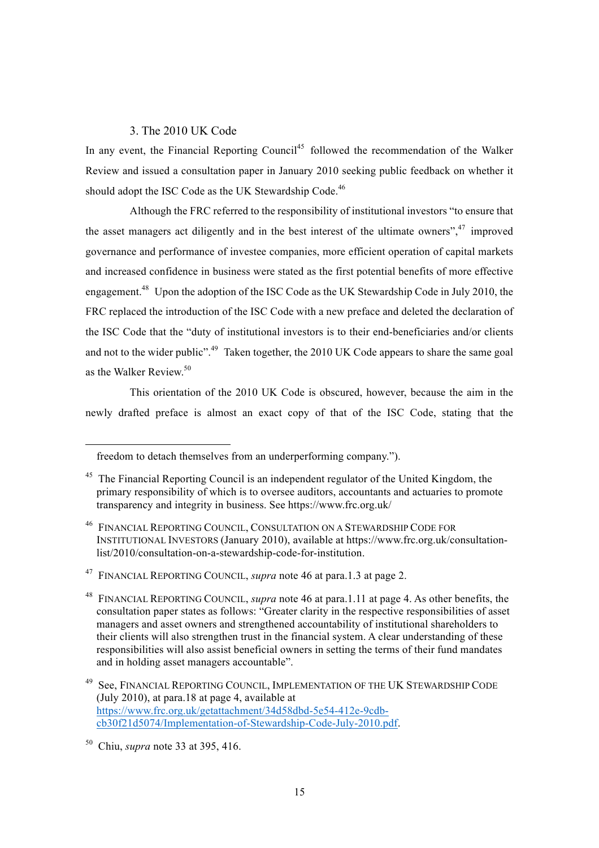### 3. The 2010 UK Code

In any event, the Financial Reporting Council<sup>45</sup> followed the recommendation of the Walker Review and issued a consultation paper in January 2010 seeking public feedback on whether it should adopt the ISC Code as the UK Stewardship Code.<sup>46</sup>

Although the FRC referred to the responsibility of institutional investors "to ensure that the asset managers act diligently and in the best interest of the ultimate owners",<sup>47</sup> improved governance and performance of investee companies, more efficient operation of capital markets and increased confidence in business were stated as the first potential benefits of more effective engagement.<sup>48</sup> Upon the adoption of the ISC Code as the UK Stewardship Code in July 2010, the FRC replaced the introduction of the ISC Code with a new preface and deleted the declaration of the ISC Code that the "duty of institutional investors is to their end-beneficiaries and/or clients and not to the wider public".<sup>49</sup> Taken together, the 2010 UK Code appears to share the same goal as the Walker Review<sup>50</sup>

This orientation of the 2010 UK Code is obscured, however, because the aim in the newly drafted preface is almost an exact copy of that of the ISC Code, stating that the

 $\overline{a}$ 

freedom to detach themselves from an underperforming company.").

<sup>&</sup>lt;sup>45</sup> The Financial Reporting Council is an independent regulator of the United Kingdom, the primary responsibility of which is to oversee auditors, accountants and actuaries to promote transparency and integrity in business. See https://www.frc.org.uk/

<sup>46</sup> FINANCIAL REPORTING COUNCIL, CONSULTATION ON A STEWARDSHIP CODE FOR INSTITUTIONAL INVESTORS (January 2010), available at https://www.frc.org.uk/consultationlist/2010/consultation-on-a-stewardship-code-for-institution.

<sup>47</sup> FINANCIAL REPORTING COUNCIL, *supra* note 46 at para.1.3 at page 2.

<sup>48</sup> FINANCIAL REPORTING COUNCIL, *supra* note 46 at para.1.11 at page 4. As other benefits, the consultation paper states as follows: "Greater clarity in the respective responsibilities of asset managers and asset owners and strengthened accountability of institutional shareholders to their clients will also strengthen trust in the financial system. A clear understanding of these responsibilities will also assist beneficial owners in setting the terms of their fund mandates and in holding asset managers accountable".

<sup>49</sup> See, FINANCIAL REPORTING COUNCIL, IMPLEMENTATION OF THE UK STEWARDSHIP CODE (July 2010), at para.18 at page 4, available at https://www.frc.org.uk/getattachment/34d58dbd-5e54-412e-9cdbcb30f21d5074/Implementation-of-Stewardship-Code-July-2010.pdf.

<sup>50</sup> Chiu, *supra* note 33 at 395, 416.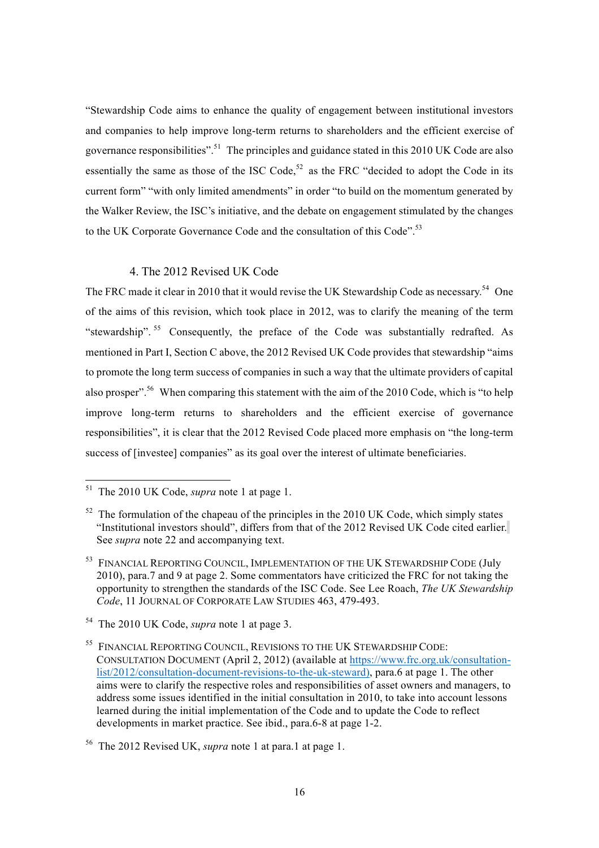"Stewardship Code aims to enhance the quality of engagement between institutional investors and companies to help improve long-term returns to shareholders and the efficient exercise of governance responsibilities".<sup>51</sup> The principles and guidance stated in this 2010 UK Code are also essentially the same as those of the ISC Code,<sup>52</sup> as the FRC "decided to adopt the Code in its current form" "with only limited amendments" in order "to build on the momentum generated by the Walker Review, the ISC's initiative, and the debate on engagement stimulated by the changes to the UK Corporate Governance Code and the consultation of this Code".<sup>53</sup>

### 4. The 2012 Revised UK Code

The FRC made it clear in 2010 that it would revise the UK Stewardship Code as necessary.<sup>54</sup> One of the aims of this revision, which took place in 2012, was to clarify the meaning of the term "stewardship". <sup>55</sup> Consequently, the preface of the Code was substantially redrafted. As mentioned in Part I, Section C above, the 2012 Revised UK Code provides that stewardship "aims to promote the long term success of companies in such a way that the ultimate providers of capital also prosper".<sup>56</sup> When comparing this statement with the aim of the 2010 Code, which is "to help improve long-term returns to shareholders and the efficient exercise of governance responsibilities", it is clear that the 2012 Revised Code placed more emphasis on "the long-term success of [investee] companies" as its goal over the interest of ultimate beneficiaries.

 <sup>51</sup> The 2010 UK Code, *supra* note 1 at page 1.

 $52$  The formulation of the chapeau of the principles in the 2010 UK Code, which simply states "Institutional investors should", differs from that of the 2012 Revised UK Code cited earlier. See *supra* note 22 and accompanying text.

<sup>&</sup>lt;sup>53</sup> FINANCIAL REPORTING COUNCIL, IMPLEMENTATION OF THE UK STEWARDSHIP CODE (July 2010), para.7 and 9 at page 2. Some commentators have criticized the FRC for not taking the opportunity to strengthen the standards of the ISC Code. See Lee Roach, *The UK Stewardship Code*, 11 JOURNAL OF CORPORATE LAW STUDIES 463, 479-493.

<sup>54</sup> The 2010 UK Code, *supra* note 1 at page 3.

<sup>55</sup> FINANCIAL REPORTING COUNCIL, REVISIONS TO THE UK STEWARDSHIP CODE: CONSULTATION DOCUMENT (April 2, 2012) (available at https://www.frc.org.uk/consultationlist/2012/consultation-document-revisions-to-the-uk-steward), para.6 at page 1. The other aims were to clarify the respective roles and responsibilities of asset owners and managers, to address some issues identified in the initial consultation in 2010, to take into account lessons learned during the initial implementation of the Code and to update the Code to reflect developments in market practice. See ibid., para.6-8 at page 1-2.

<sup>56</sup> The 2012 Revised UK, *supra* note 1 at para.1 at page 1.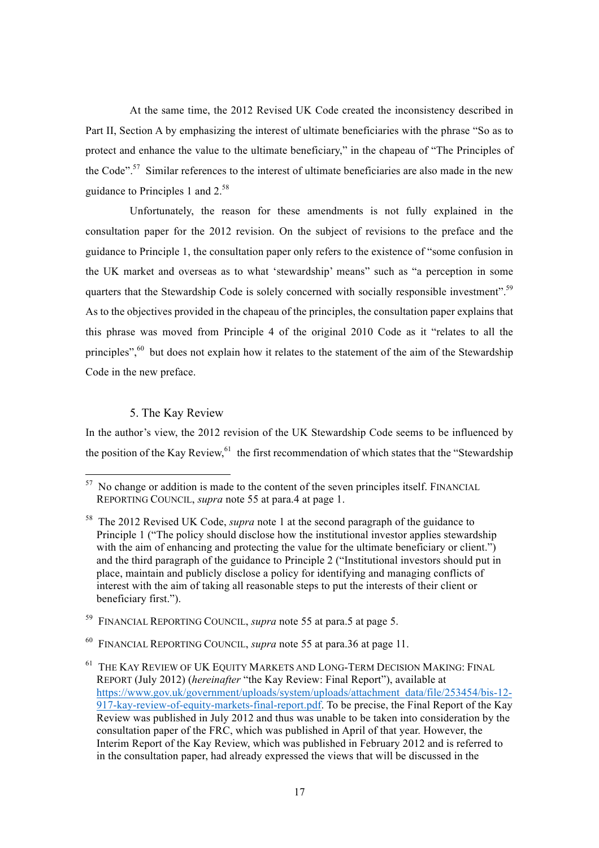At the same time, the 2012 Revised UK Code created the inconsistency described in Part II, Section A by emphasizing the interest of ultimate beneficiaries with the phrase "So as to protect and enhance the value to the ultimate beneficiary," in the chapeau of "The Principles of the Code".<sup>57</sup> Similar references to the interest of ultimate beneficiaries are also made in the new guidance to Principles 1 and 2.<sup>58</sup>

Unfortunately, the reason for these amendments is not fully explained in the consultation paper for the 2012 revision. On the subject of revisions to the preface and the guidance to Principle 1, the consultation paper only refers to the existence of "some confusion in the UK market and overseas as to what 'stewardship' means" such as "a perception in some quarters that the Stewardship Code is solely concerned with socially responsible investment".<sup>59</sup> As to the objectives provided in the chapeau of the principles, the consultation paper explains that this phrase was moved from Principle 4 of the original 2010 Code as it "relates to all the principles",<sup>60</sup> but does not explain how it relates to the statement of the aim of the Stewardship Code in the new preface.

### 5. The Kay Review

In the author's view, the 2012 revision of the UK Stewardship Code seems to be influenced by the position of the Kay Review, $61$  the first recommendation of which states that the "Stewardship"

<sup>59</sup> FINANCIAL REPORTING COUNCIL, *supra* note 55 at para.5 at page 5.

<sup>&</sup>lt;sup>57</sup> No change or addition is made to the content of the seven principles itself. FINANCIAL REPORTING COUNCIL, *supra* note 55 at para.4 at page 1.

<sup>58</sup> The 2012 Revised UK Code, *supra* note 1 at the second paragraph of the guidance to Principle 1 ("The policy should disclose how the institutional investor applies stewardship with the aim of enhancing and protecting the value for the ultimate beneficiary or client.") and the third paragraph of the guidance to Principle 2 ("Institutional investors should put in place, maintain and publicly disclose a policy for identifying and managing conflicts of interest with the aim of taking all reasonable steps to put the interests of their client or beneficiary first.").

<sup>60</sup> FINANCIAL REPORTING COUNCIL, *supra* note 55 at para.36 at page 11.

 $^{61}\,$  THE KAY REVIEW OF UK EQUITY MARKETS AND LONG-TERM DECISION MAKING: FINAL REPORT (July 2012) (*hereinafter* "the Kay Review: Final Report"), available at https://www.gov.uk/government/uploads/system/uploads/attachment\_data/file/253454/bis-12- 917-kay-review-of-equity-markets-final-report.pdf. To be precise, the Final Report of the Kay Review was published in July 2012 and thus was unable to be taken into consideration by the consultation paper of the FRC, which was published in April of that year. However, the Interim Report of the Kay Review, which was published in February 2012 and is referred to in the consultation paper, had already expressed the views that will be discussed in the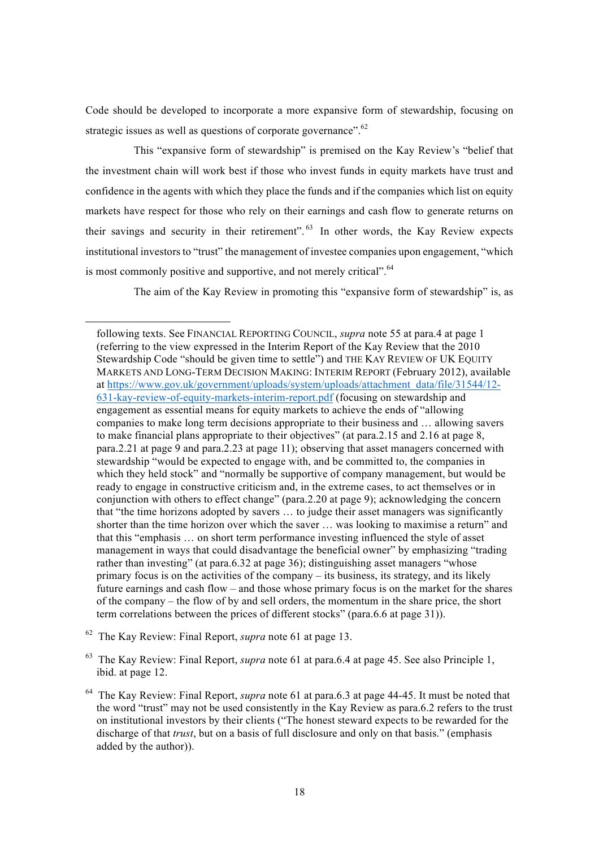Code should be developed to incorporate a more expansive form of stewardship, focusing on strategic issues as well as questions of corporate governance".<sup>62</sup>

This "expansive form of stewardship" is premised on the Kay Review's "belief that the investment chain will work best if those who invest funds in equity markets have trust and confidence in the agents with which they place the funds and if the companies which list on equity markets have respect for those who rely on their earnings and cash flow to generate returns on their savings and security in their retirement". <sup>63</sup> In other words, the Kay Review expects institutional investors to "trust" the management of investee companies upon engagement, "which is most commonly positive and supportive, and not merely critical". <sup>64</sup>

The aim of the Kay Review in promoting this "expansive form of stewardship" is, as

<sup>62</sup> The Kay Review: Final Report, *supra* note 61 at page 13.

l

following texts. See FINANCIAL REPORTING COUNCIL, *supra* note 55 at para.4 at page 1 (referring to the view expressed in the Interim Report of the Kay Review that the 2010 Stewardship Code "should be given time to settle") and THE KAY REVIEW OF UK EQUITY MARKETS AND LONG-TERM DECISION MAKING: INTERIM REPORT (February 2012), available at https://www.gov.uk/government/uploads/system/uploads/attachment\_data/file/31544/12- 631-kay-review-of-equity-markets-interim-report.pdf (focusing on stewardship and engagement as essential means for equity markets to achieve the ends of "allowing companies to make long term decisions appropriate to their business and … allowing savers to make financial plans appropriate to their objectives" (at para.2.15 and 2.16 at page 8, para.2.21 at page 9 and para.2.23 at page 11); observing that asset managers concerned with stewardship "would be expected to engage with, and be committed to, the companies in which they held stock" and "normally be supportive of company management, but would be ready to engage in constructive criticism and, in the extreme cases, to act themselves or in conjunction with others to effect change" (para.2.20 at page 9); acknowledging the concern that "the time horizons adopted by savers … to judge their asset managers was significantly shorter than the time horizon over which the saver … was looking to maximise a return" and that this "emphasis … on short term performance investing influenced the style of asset management in ways that could disadvantage the beneficial owner" by emphasizing "trading rather than investing" (at para.6.32 at page 36); distinguishing asset managers "whose primary focus is on the activities of the company – its business, its strategy, and its likely future earnings and cash flow – and those whose primary focus is on the market for the shares of the company – the flow of by and sell orders, the momentum in the share price, the short term correlations between the prices of different stocks" (para.6.6 at page 31)).

<sup>63</sup> The Kay Review: Final Report, *supra* note 61 at para.6.4 at page 45. See also Principle 1, ibid. at page 12.

<sup>64</sup> The Kay Review: Final Report, *supra* note 61 at para.6.3 at page 44-45. It must be noted that the word "trust" may not be used consistently in the Kay Review as para.6.2 refers to the trust on institutional investors by their clients ("The honest steward expects to be rewarded for the discharge of that *trust*, but on a basis of full disclosure and only on that basis." (emphasis added by the author)).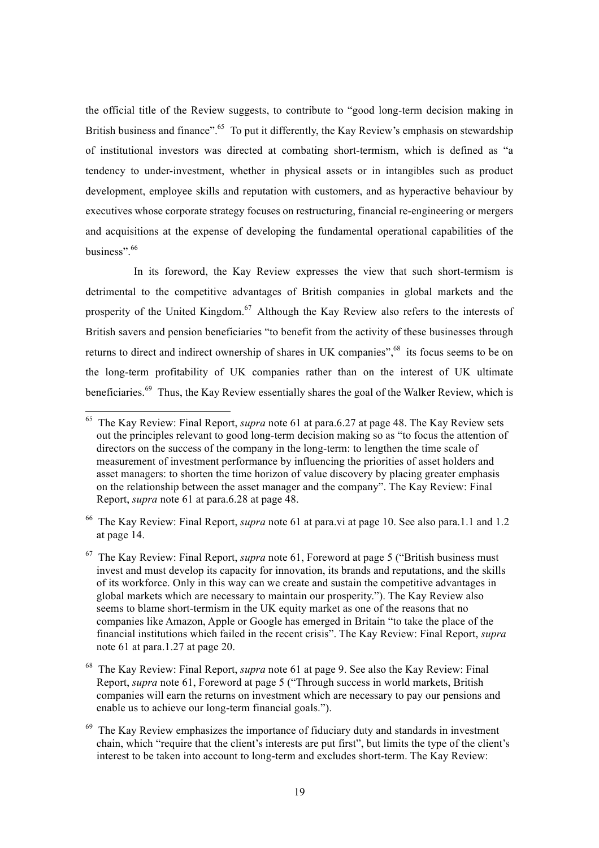the official title of the Review suggests, to contribute to "good long-term decision making in British business and finance".<sup>65</sup> To put it differently, the Kay Review's emphasis on stewardship of institutional investors was directed at combating short-termism, which is defined as "a tendency to under-investment, whether in physical assets or in intangibles such as product development, employee skills and reputation with customers, and as hyperactive behaviour by executives whose corporate strategy focuses on restructuring, financial re-engineering or mergers and acquisitions at the expense of developing the fundamental operational capabilities of the business".<sup>66</sup>

In its foreword, the Kay Review expresses the view that such short-termism is detrimental to the competitive advantages of British companies in global markets and the prosperity of the United Kingdom.<sup>67</sup> Although the Kay Review also refers to the interests of British savers and pension beneficiaries "to benefit from the activity of these businesses through returns to direct and indirect ownership of shares in UK companies",<sup>68</sup> its focus seems to be on the long-term profitability of UK companies rather than on the interest of UK ultimate beneficiaries.<sup>69</sup> Thus, the Kay Review essentially shares the goal of the Walker Review, which is

<sup>66</sup> The Kay Review: Final Report, *supra* note 61 at para.vi at page 10. See also para.1.1 and 1.2 at page 14.

 <sup>65</sup> The Kay Review: Final Report, *supra* note 61 at para.6.27 at page 48. The Kay Review sets out the principles relevant to good long-term decision making so as "to focus the attention of directors on the success of the company in the long-term: to lengthen the time scale of measurement of investment performance by influencing the priorities of asset holders and asset managers: to shorten the time horizon of value discovery by placing greater emphasis on the relationship between the asset manager and the company". The Kay Review: Final Report, *supra* note 61 at para.6.28 at page 48.

<sup>67</sup> The Kay Review: Final Report, *supra* note 61, Foreword at page 5 ("British business must invest and must develop its capacity for innovation, its brands and reputations, and the skills of its workforce. Only in this way can we create and sustain the competitive advantages in global markets which are necessary to maintain our prosperity."). The Kay Review also seems to blame short-termism in the UK equity market as one of the reasons that no companies like Amazon, Apple or Google has emerged in Britain "to take the place of the financial institutions which failed in the recent crisis". The Kay Review: Final Report, *supra* note 61 at para.1.27 at page 20.

<sup>68</sup> The Kay Review: Final Report, *supra* note 61 at page 9. See also the Kay Review: Final Report, *supra* note 61, Foreword at page 5 ("Through success in world markets, British companies will earn the returns on investment which are necessary to pay our pensions and enable us to achieve our long-term financial goals.").

 $69$  The Kay Review emphasizes the importance of fiduciary duty and standards in investment chain, which "require that the client's interests are put first", but limits the type of the client's interest to be taken into account to long-term and excludes short-term. The Kay Review: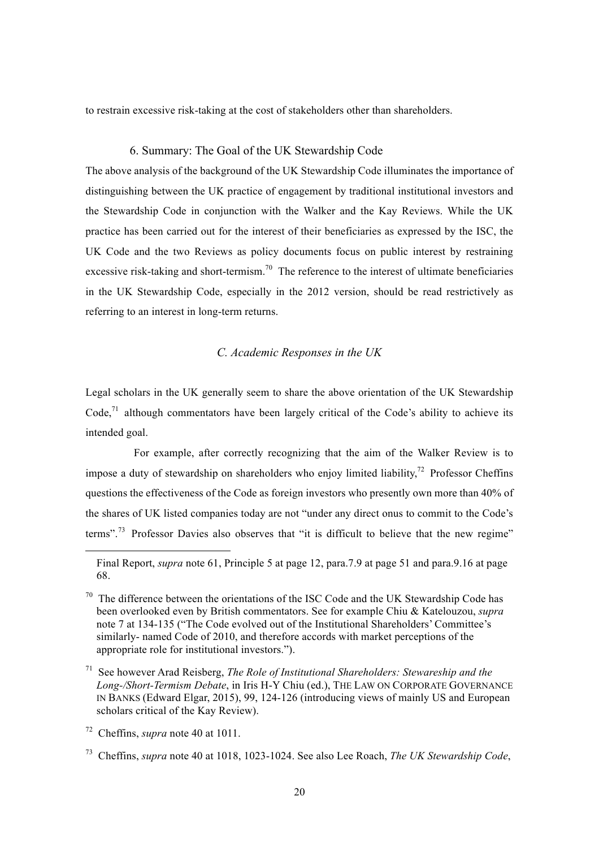to restrain excessive risk-taking at the cost of stakeholders other than shareholders.

### 6. Summary: The Goal of the UK Stewardship Code

The above analysis of the background of the UK Stewardship Code illuminates the importance of distinguishing between the UK practice of engagement by traditional institutional investors and the Stewardship Code in conjunction with the Walker and the Kay Reviews. While the UK practice has been carried out for the interest of their beneficiaries as expressed by the ISC, the UK Code and the two Reviews as policy documents focus on public interest by restraining excessive risk-taking and short-termism.<sup>70</sup> The reference to the interest of ultimate beneficiaries in the UK Stewardship Code, especially in the 2012 version, should be read restrictively as referring to an interest in long-term returns.

### *C. Academic Responses in the UK*

Legal scholars in the UK generally seem to share the above orientation of the UK Stewardship Code.<sup>71</sup> although commentators have been largely critical of the Code's ability to achieve its intended goal.

For example, after correctly recognizing that the aim of the Walker Review is to impose a duty of stewardship on shareholders who enjoy limited liability,<sup>72</sup> Professor Cheffins questions the effectiveness of the Code as foreign investors who presently own more than 40% of the shares of UK listed companies today are not "under any direct onus to commit to the Code's terms".<sup>73</sup> Professor Davies also observes that "it is difficult to believe that the new regime"

l

Final Report, *supra* note 61, Principle 5 at page 12, para.7.9 at page 51 and para.9.16 at page 68.

 $70$  The difference between the orientations of the ISC Code and the UK Stewardship Code has been overlooked even by British commentators. See for example Chiu & Katelouzou, *supra* note 7 at 134-135 ("The Code evolved out of the Institutional Shareholders' Committee's similarly- named Code of 2010, and therefore accords with market perceptions of the appropriate role for institutional investors.").

<sup>71</sup> See however Arad Reisberg, *The Role of Institutional Shareholders: Stewareship and the Long-/Short-Termism Debate*, in Iris H-Y Chiu (ed.), THE LAW ON CORPORATE GOVERNANCE IN BANKS (Edward Elgar, 2015), 99, 124-126 (introducing views of mainly US and European scholars critical of the Kay Review).

<sup>72</sup> Cheffins, *supra* note 40 at 1011.

<sup>73</sup> Cheffins, *supra* note 40 at 1018, 1023-1024. See also Lee Roach, *The UK Stewardship Code*,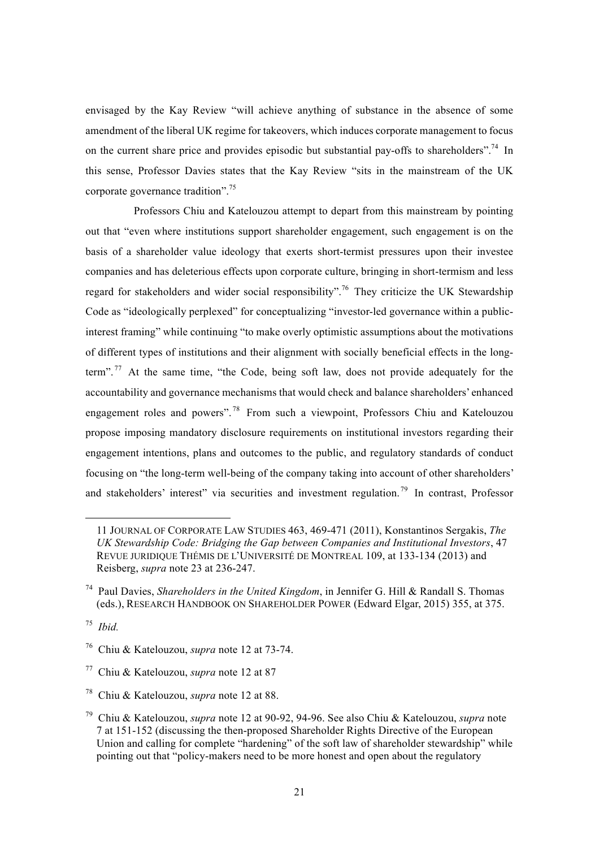envisaged by the Kay Review "will achieve anything of substance in the absence of some amendment of the liberal UK regime for takeovers, which induces corporate management to focus on the current share price and provides episodic but substantial pay-offs to shareholders".<sup>74</sup> In this sense, Professor Davies states that the Kay Review "sits in the mainstream of the UK corporate governance tradition".<sup>75</sup>

Professors Chiu and Katelouzou attempt to depart from this mainstream by pointing out that "even where institutions support shareholder engagement, such engagement is on the basis of a shareholder value ideology that exerts short-termist pressures upon their investee companies and has deleterious effects upon corporate culture, bringing in short-termism and less regard for stakeholders and wider social responsibility".<sup>76</sup> They criticize the UK Stewardship Code as "ideologically perplexed" for conceptualizing "investor-led governance within a publicinterest framing" while continuing "to make overly optimistic assumptions about the motivations of different types of institutions and their alignment with socially beneficial effects in the longterm".<sup>77</sup> At the same time, "the Code, being soft law, does not provide adequately for the accountability and governance mechanisms that would check and balance shareholders' enhanced engagement roles and powers".<sup>78</sup> From such a viewpoint, Professors Chiu and Katelouzou propose imposing mandatory disclosure requirements on institutional investors regarding their engagement intentions, plans and outcomes to the public, and regulatory standards of conduct focusing on "the long-term well-being of the company taking into account of other shareholders' and stakeholders' interest" via securities and investment regulation.<sup>79</sup> In contrast, Professor

<sup>75</sup> *Ibid.*

l

<sup>11</sup> JOURNAL OF CORPORATE LAW STUDIES 463, 469-471 (2011), Konstantinos Sergakis, *The UK Stewardship Code: Bridging the Gap between Companies and Institutional Investors*, 47 REVUE JURIDIQUE THÉMIS DE L'UNIVERSITÉ DE MONTREAL 109, at 133-134 (2013) and Reisberg, *supra* note 23 at 236-247.

<sup>74</sup> Paul Davies, *Shareholders in the United Kingdom*, in Jennifer G. Hill & Randall S. Thomas (eds.), RESEARCH HANDBOOK ON SHAREHOLDER POWER (Edward Elgar, 2015) 355, at 375.

<sup>76</sup> Chiu & Katelouzou, *supra* note 12 at 73-74.

<sup>77</sup> Chiu & Katelouzou, *supra* note 12 at 87

<sup>78</sup> Chiu & Katelouzou, *supra* note 12 at 88.

<sup>79</sup> Chiu & Katelouzou, *supra* note 12 at 90-92, 94-96. See also Chiu & Katelouzou, *supra* note 7 at 151-152 (discussing the then-proposed Shareholder Rights Directive of the European Union and calling for complete "hardening" of the soft law of shareholder stewardship" while pointing out that "policy-makers need to be more honest and open about the regulatory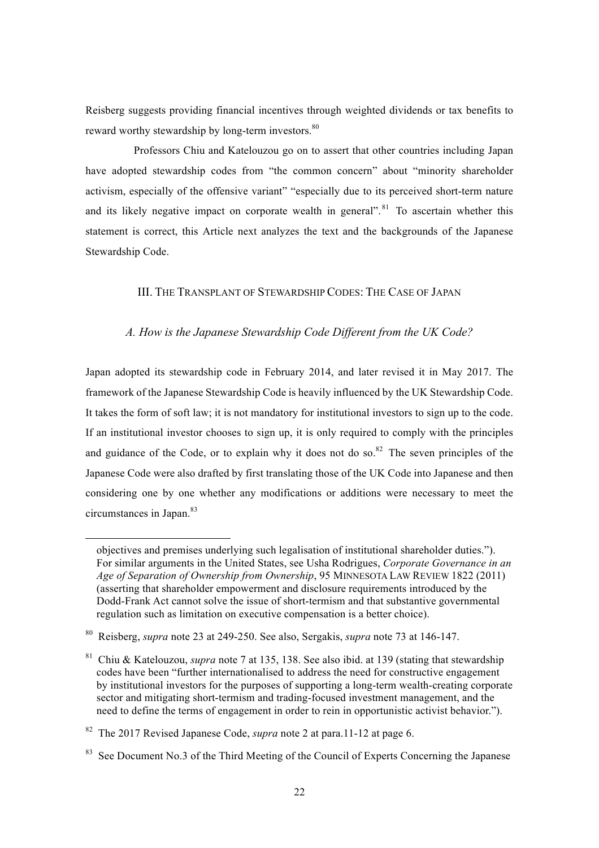Reisberg suggests providing financial incentives through weighted dividends or tax benefits to reward worthy stewardship by long-term investors.<sup>80</sup>

Professors Chiu and Katelouzou go on to assert that other countries including Japan have adopted stewardship codes from "the common concern" about "minority shareholder activism, especially of the offensive variant" "especially due to its perceived short-term nature and its likely negative impact on corporate wealth in general".<sup>81</sup> To ascertain whether this statement is correct, this Article next analyzes the text and the backgrounds of the Japanese Stewardship Code.

### III. THE TRANSPLANT OF STEWARDSHIP CODES: THE CASE OF JAPAN

### *A. How is the Japanese Stewardship Code Different from the UK Code?*

Japan adopted its stewardship code in February 2014, and later revised it in May 2017. The framework of the Japanese Stewardship Code is heavily influenced by the UK Stewardship Code. It takes the form of soft law; it is not mandatory for institutional investors to sign up to the code. If an institutional investor chooses to sign up, it is only required to comply with the principles and guidance of the Code, or to explain why it does not do so.<sup>82</sup> The seven principles of the Japanese Code were also drafted by first translating those of the UK Code into Japanese and then considering one by one whether any modifications or additions were necessary to meet the circumstances in Japan.<sup>83</sup>

 $\overline{a}$ 

objectives and premises underlying such legalisation of institutional shareholder duties."). For similar arguments in the United States, see Usha Rodrigues, *Corporate Governance in an Age of Separation of Ownership from Ownership*, 95 MINNESOTA LAW REVIEW 1822 (2011) (asserting that shareholder empowerment and disclosure requirements introduced by the Dodd-Frank Act cannot solve the issue of short-termism and that substantive governmental regulation such as limitation on executive compensation is a better choice).

<sup>80</sup> Reisberg, *supra* note 23 at 249-250. See also, Sergakis, *supra* note 73 at 146-147.

<sup>81</sup> Chiu & Katelouzou, *supra* note 7 at 135, 138. See also ibid. at 139 (stating that stewardship codes have been "further internationalised to address the need for constructive engagement by institutional investors for the purposes of supporting a long-term wealth-creating corporate sector and mitigating short-termism and trading-focused investment management, and the need to define the terms of engagement in order to rein in opportunistic activist behavior.").

<sup>82</sup> The 2017 Revised Japanese Code, *supra* note 2 at para.11-12 at page 6.

 $83$  See Document No.3 of the Third Meeting of the Council of Experts Concerning the Japanese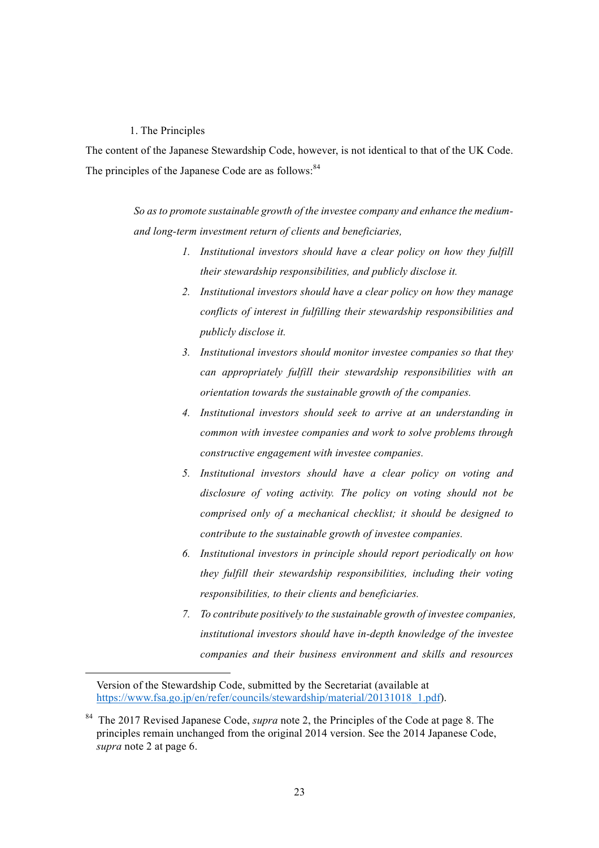#### 1. The Principles

The content of the Japanese Stewardship Code, however, is not identical to that of the UK Code. The principles of the Japanese Code are as follows:<sup>84</sup>

> So as to promote sustainable growth of the *investee company* and enhance the medium*and long-term investment return of clients and beneficiaries,*

- *1. Institutional investors should have a clear policy on how they fulfill their stewardship responsibilities, and publicly disclose it.*
- *2. Institutional investors should have a clear policy on how they manage conflicts of interest in fulfilling their stewardship responsibilities and publicly disclose it.*
- *3. Institutional investors should monitor investee companies so that they can appropriately fulfill their stewardship responsibilities with an orientation towards the sustainable growth of the companies.*
- *4. Institutional investors should seek to arrive at an understanding in common with investee companies and work to solve problems through constructive engagement with investee companies.*
- *5. Institutional investors should have a clear policy on voting and disclosure of voting activity. The policy on voting should not be comprised only of a mechanical checklist; it should be designed to contribute to the sustainable growth of investee companies.*
- *6. Institutional investors in principle should report periodically on how they fulfill their stewardship responsibilities, including their voting responsibilities, to their clients and beneficiaries.*
- *7. To contribute positively to the sustainable growth of investee companies, institutional investors should have in-depth knowledge of the investee companies and their business environment and skills and resources*

l

Version of the Stewardship Code, submitted by the Secretariat (available at https://www.fsa.go.jp/en/refer/councils/stewardship/material/20131018\_1.pdf).

<sup>84</sup> The 2017 Revised Japanese Code, *supra* note 2, the Principles of the Code at page 8. The principles remain unchanged from the original 2014 version. See the 2014 Japanese Code, *supra* note 2 at page 6.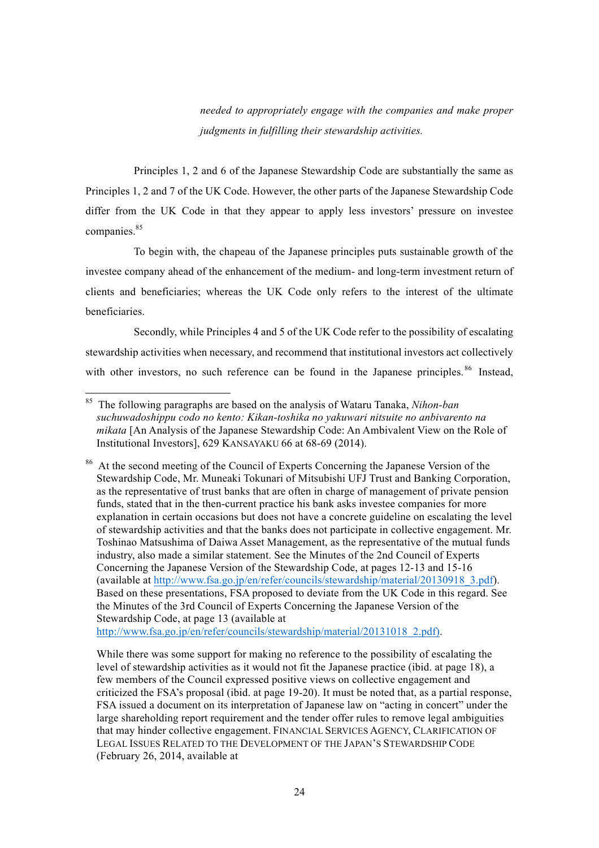*needed to appropriately engage with the companies and make proper judgments in fulfilling their stewardship activities.*

Principles 1, 2 and 6 of the Japanese Stewardship Code are substantially the same as Principles 1, 2 and 7 of the UK Code. However, the other parts of the Japanese Stewardship Code differ from the UK Code in that they appear to apply less investors' pressure on investee companies.<sup>85</sup>

To begin with, the chapeau of the Japanese principles puts sustainable growth of the investee company ahead of the enhancement of the medium- and long-term investment return of clients and beneficiaries; whereas the UK Code only refers to the interest of the ultimate beneficiaries.

Secondly, while Principles 4 and 5 of the UK Code refer to the possibility of escalating stewardship activities when necessary, and recommend that institutional investors act collectively with other investors, no such reference can be found in the Japanese principles.<sup>86</sup> Instead,

http://www.fsa.go.jp/en/refer/councils/stewardship/material/20131018\_2.pdf).

While there was some support for making no reference to the possibility of escalating the level of stewardship activities as it would not fit the Japanese practice (ibid. at page 18), a few members of the Council expressed positive views on collective engagement and criticized the FSA's proposal (ibid. at page 19-20). It must be noted that, as a partial response, FSA issued a document on its interpretation of Japanese law on "acting in concert" under the large shareholding report requirement and the tender offer rules to remove legal ambiguities that may hinder collective engagement. FINANCIAL SERVICES AGENCY, CLARIFICATION OF LEGAL ISSUES RELATED TO THE DEVELOPMENT OF THE JAPAN'S STEWARDSHIP CODE (February 26, 2014, available at

 <sup>85</sup> The following paragraphs are based on the analysis of Wataru Tanaka, *Nihon-ban suchuwadoshippu codo no kento: Kikan-toshika no yakuwari nitsuite no anbivarento na mikata* [An Analysis of the Japanese Stewardship Code: An Ambivalent View on the Role of Institutional Investors], 629 KANSAYAKU 66 at 68-69 (2014).

<sup>&</sup>lt;sup>86</sup> At the second meeting of the Council of Experts Concerning the Japanese Version of the Stewardship Code, Mr. Muneaki Tokunari of Mitsubishi UFJ Trust and Banking Corporation, as the representative of trust banks that are often in charge of management of private pension funds, stated that in the then-current practice his bank asks investee companies for more explanation in certain occasions but does not have a concrete guideline on escalating the level of stewardship activities and that the banks does not participate in collective engagement. Mr. Toshinao Matsushima of Daiwa Asset Management, as the representative of the mutual funds industry, also made a similar statement. See the Minutes of the 2nd Council of Experts Concerning the Japanese Version of the Stewardship Code, at pages 12-13 and 15-16 (available at http://www.fsa.go.jp/en/refer/councils/stewardship/material/20130918\_3.pdf). Based on these presentations, FSA proposed to deviate from the UK Code in this regard. See the Minutes of the 3rd Council of Experts Concerning the Japanese Version of the Stewardship Code, at page 13 (available at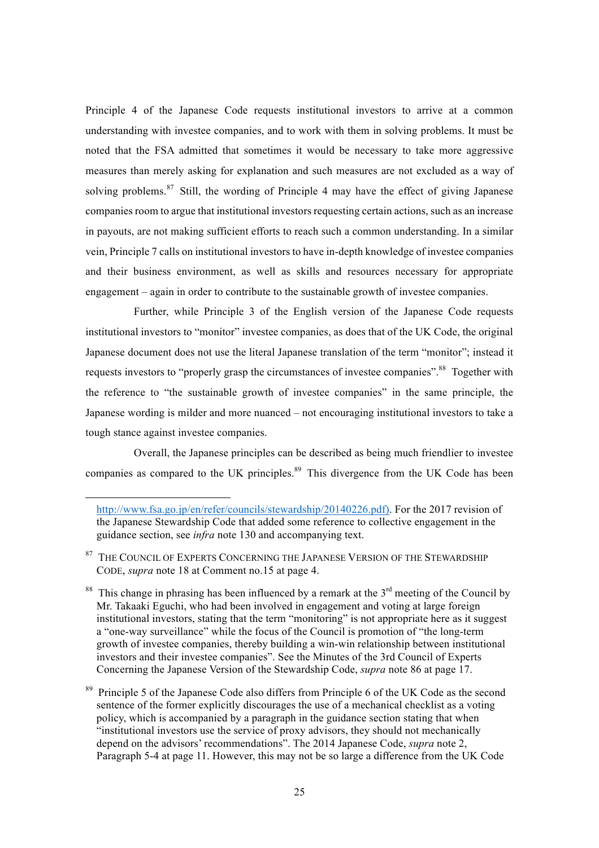Principle 4 of the Japanese Code requests institutional investors to arrive at a common understanding with investee companies, and to work with them in solving problems. It must be noted that the FSA admitted that sometimes it would be necessary to take more aggressive measures than merely asking for explanation and such measures are not excluded as a way of solving problems.<sup>87</sup> Still, the wording of Principle 4 may have the effect of giving Japanese companies room to argue that institutional investors requesting certain actions, such as an increase in payouts, are not making sufficient efforts to reach such a common understanding. In a similar vein, Principle 7 calls on institutional investors to have in-depth knowledge of investee companies and their business environment, as well as skills and resources necessary for appropriate engagement – again in order to contribute to the sustainable growth of investee companies.

Further, while Principle 3 of the English version of the Japanese Code requests institutional investors to "monitor" investee companies, as does that of the UK Code, the original Japanese document does not use the literal Japanese translation of the term "monitor"; instead it requests investors to "properly grasp the circumstances of investee companies".<sup>88</sup> Together with the reference to "the sustainable growth of investee companies" in the same principle, the Japanese wording is milder and more nuanced – not encouraging institutional investors to take a tough stance against investee companies.

Overall, the Japanese principles can be described as being much friendlier to investee companies as compared to the UK principles.<sup>89</sup> This divergence from the UK Code has been

 $^{87}$  THE COUNCIL OF EXPERTS CONCERNING THE JAPANESE VERSION OF THE STEWARDSHIP CODE, *supra* note 18 at Comment no.15 at page 4.

 $\overline{a}$ 

- <sup>88</sup> This change in phrasing has been influenced by a remark at the  $3<sup>rd</sup>$  meeting of the Council by Mr. Takaaki Eguchi, who had been involved in engagement and voting at large foreign institutional investors, stating that the term "monitoring" is not appropriate here as it suggest a "one-way surveillance" while the focus of the Council is promotion of "the long-term growth of investee companies, thereby building a win-win relationship between institutional investors and their investee companies". See the Minutes of the 3rd Council of Experts Concerning the Japanese Version of the Stewardship Code, *supra* note 86 at page 17.
- <sup>89</sup> Principle 5 of the Japanese Code also differs from Principle 6 of the UK Code as the second sentence of the former explicitly discourages the use of a mechanical checklist as a voting policy, which is accompanied by a paragraph in the guidance section stating that when "institutional investors use the service of proxy advisors, they should not mechanically depend on the advisors' recommendations". The 2014 Japanese Code, *supra* note 2, Paragraph 5-4 at page 11. However, this may not be so large a difference from the UK Code

http://www.fsa.go.jp/en/refer/councils/stewardship/20140226.pdf). For the 2017 revision of the Japanese Stewardship Code that added some reference to collective engagement in the guidance section, see *infra* note 130 and accompanying text.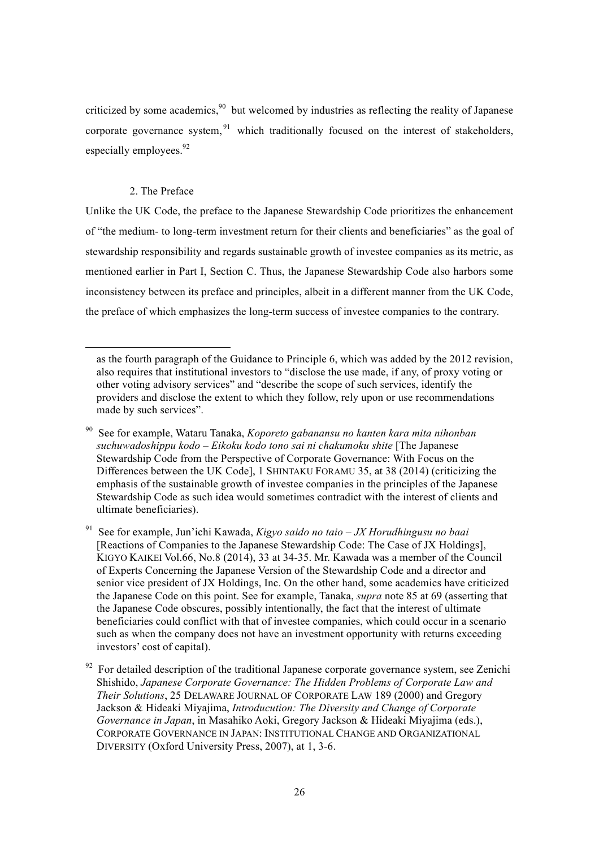criticized by some academics,  $90$  but welcomed by industries as reflecting the reality of Japanese corporate governance system,  $91$  which traditionally focused on the interest of stakeholders, especially employees.<sup>92</sup>

### 2. The Preface

l

Unlike the UK Code, the preface to the Japanese Stewardship Code prioritizes the enhancement of "the medium- to long-term investment return for their clients and beneficiaries" as the goal of stewardship responsibility and regards sustainable growth of investee companies as its metric, as mentioned earlier in Part I, Section C. Thus, the Japanese Stewardship Code also harbors some inconsistency between its preface and principles, albeit in a different manner from the UK Code, the preface of which emphasizes the long-term success of investee companies to the contrary.

as the fourth paragraph of the Guidance to Principle 6, which was added by the 2012 revision, also requires that institutional investors to "disclose the use made, if any, of proxy voting or other voting advisory services" and "describe the scope of such services, identify the providers and disclose the extent to which they follow, rely upon or use recommendations made by such services".

<sup>90</sup> See for example, Wataru Tanaka, *Koporeto gabanansu no kanten kara mita nihonban suchuwadoshippu kodo – Eikoku kodo tono sai ni chakumoku shite* [The Japanese Stewardship Code from the Perspective of Corporate Governance: With Focus on the Differences between the UK Code], 1 SHINTAKU FORAMU 35, at 38 (2014) (criticizing the emphasis of the sustainable growth of investee companies in the principles of the Japanese Stewardship Code as such idea would sometimes contradict with the interest of clients and ultimate beneficiaries).

<sup>91</sup> See for example, Jun'ichi Kawada, *Kigyo saido no taio – JX Horudhingusu no baai*  [Reactions of Companies to the Japanese Stewardship Code: The Case of JX Holdings], KIGYO KAIKEI Vol.66, No.8 (2014), 33 at 34-35. Mr. Kawada was a member of the Council of Experts Concerning the Japanese Version of the Stewardship Code and a director and senior vice president of JX Holdings, Inc. On the other hand, some academics have criticized the Japanese Code on this point. See for example, Tanaka, *supra* note 85 at 69 (asserting that the Japanese Code obscures, possibly intentionally, the fact that the interest of ultimate beneficiaries could conflict with that of investee companies, which could occur in a scenario such as when the company does not have an investment opportunity with returns exceeding investors' cost of capital).

 $92$  For detailed description of the traditional Japanese corporate governance system, see Zenichi Shishido, *Japanese Corporate Governance: The Hidden Problems of Corporate Law and Their Solutions*, 25 DELAWARE JOURNAL OF CORPORATE LAW 189 (2000) and Gregory Jackson & Hideaki Miyajima, *Introducution: The Diversity and Change of Corporate Governance in Japan*, in Masahiko Aoki, Gregory Jackson & Hideaki Miyajima (eds.), CORPORATE GOVERNANCE IN JAPAN: INSTITUTIONAL CHANGE AND ORGANIZATIONAL DIVERSITY (Oxford University Press, 2007), at 1, 3-6.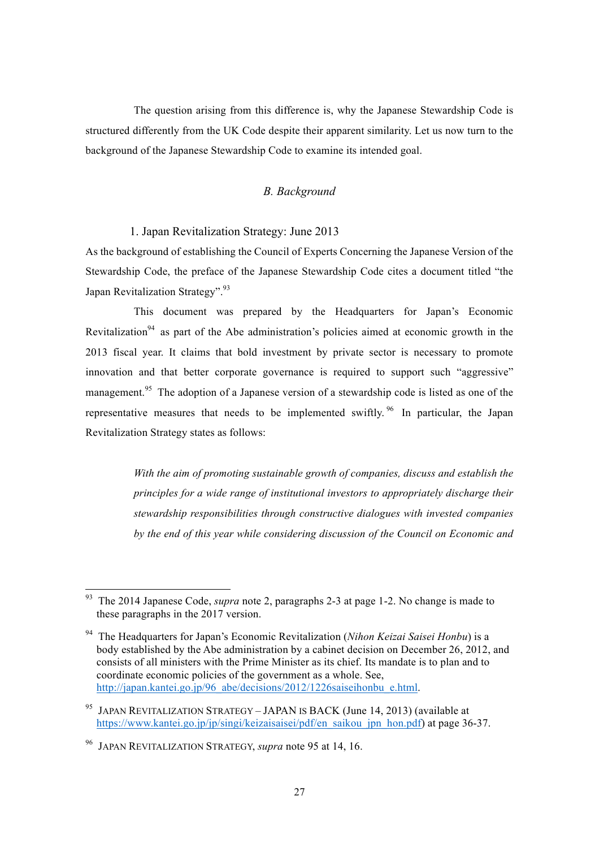The question arising from this difference is, why the Japanese Stewardship Code is structured differently from the UK Code despite their apparent similarity. Let us now turn to the background of the Japanese Stewardship Code to examine its intended goal.

### *B. Background*

### 1. Japan Revitalization Strategy: June 2013

As the background of establishing the Council of Experts Concerning the Japanese Version of the Stewardship Code, the preface of the Japanese Stewardship Code cites a document titled "the Japan Revitalization Strategy".<sup>93</sup>

This document was prepared by the Headquarters for Japan's Economic Revitalization<sup>94</sup> as part of the Abe administration's policies aimed at economic growth in the 2013 fiscal year. It claims that bold investment by private sector is necessary to promote innovation and that better corporate governance is required to support such "aggressive" management.<sup>95</sup> The adoption of a Japanese version of a stewardship code is listed as one of the representative measures that needs to be implemented swiftly.<sup>96</sup> In particular, the Japan Revitalization Strategy states as follows:

> *With the aim of promoting sustainable growth of companies, discuss and establish the principles for a wide range of institutional investors to appropriately discharge their stewardship responsibilities through constructive dialogues with invested companies by the end of this year while considering discussion of the Council on Economic and*

 <sup>93</sup> The 2014 Japanese Code, *supra* note 2, paragraphs 2-3 at page 1-2. No change is made to these paragraphs in the 2017 version.

<sup>94</sup> The Headquarters for Japan's Economic Revitalization (*Nihon Keizai Saisei Honbu*) is a body established by the Abe administration by a cabinet decision on December 26, 2012, and consists of all ministers with the Prime Minister as its chief. Its mandate is to plan and to coordinate economic policies of the government as a whole. See, http://japan.kantei.go.jp/96\_abe/decisions/2012/1226saiseihonbu\_e.html.

<sup>&</sup>lt;sup>95</sup> JAPAN REVITALIZATION STRATEGY – JAPAN IS BACK (June 14, 2013) (available at https://www.kantei.go.jp/jp/singi/keizaisaisei/pdf/en\_saikou\_jpn\_hon.pdf) at page 36-37.

<sup>96</sup> JAPAN REVITALIZATION STRATEGY, *supra* note 95 at 14, 16.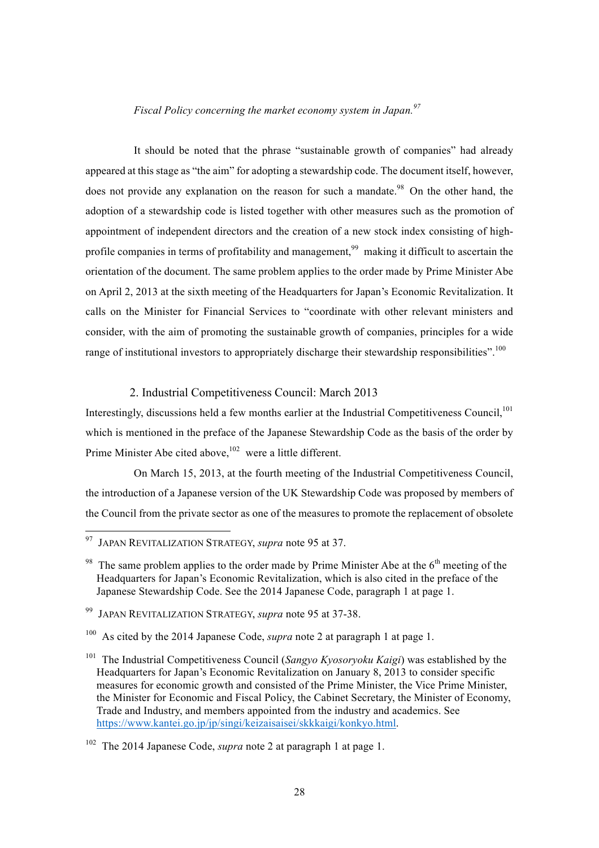#### *Fiscal Policy concerning the market economy system in Japan.<sup>97</sup>*

It should be noted that the phrase "sustainable growth of companies" had already appeared at this stage as "the aim" for adopting a stewardship code. The document itself, however, does not provide any explanation on the reason for such a mandate.<sup>98</sup> On the other hand, the adoption of a stewardship code is listed together with other measures such as the promotion of appointment of independent directors and the creation of a new stock index consisting of highprofile companies in terms of profitability and management,<sup>99</sup> making it difficult to ascertain the orientation of the document. The same problem applies to the order made by Prime Minister Abe on April 2, 2013 at the sixth meeting of the Headquarters for Japan's Economic Revitalization. It calls on the Minister for Financial Services to "coordinate with other relevant ministers and consider, with the aim of promoting the sustainable growth of companies, principles for a wide range of institutional investors to appropriately discharge their stewardship responsibilities".<sup>100</sup>

### 2. Industrial Competitiveness Council: March 2013

Interestingly, discussions held a few months earlier at the Industrial Competitiveness Council.<sup>101</sup> which is mentioned in the preface of the Japanese Stewardship Code as the basis of the order by Prime Minister Abe cited above,  $102$  were a little different.

On March 15, 2013, at the fourth meeting of the Industrial Competitiveness Council, the introduction of a Japanese version of the UK Stewardship Code was proposed by members of the Council from the private sector as one of the measures to promote the replacement of obsolete

 <sup>97</sup> JAPAN REVITALIZATION STRATEGY, *supra* note 95 at 37.

<sup>&</sup>lt;sup>98</sup> The same problem applies to the order made by Prime Minister Abe at the  $6<sup>th</sup>$  meeting of the Headquarters for Japan's Economic Revitalization, which is also cited in the preface of the Japanese Stewardship Code. See the 2014 Japanese Code, paragraph 1 at page 1.

<sup>99</sup> JAPAN REVITALIZATION STRATEGY, *supra* note 95 at 37-38.

<sup>&</sup>lt;sup>100</sup> As cited by the 2014 Japanese Code, *supra* note 2 at paragraph 1 at page 1.

<sup>101</sup> The Industrial Competitiveness Council (*Sangyo Kyosoryoku Kaigi*) was established by the Headquarters for Japan's Economic Revitalization on January 8, 2013 to consider specific measures for economic growth and consisted of the Prime Minister, the Vice Prime Minister, the Minister for Economic and Fiscal Policy, the Cabinet Secretary, the Minister of Economy, Trade and Industry, and members appointed from the industry and academics. See https://www.kantei.go.jp/jp/singi/keizaisaisei/skkkaigi/konkyo.html.

<sup>102</sup> The 2014 Japanese Code, *supra* note 2 at paragraph 1 at page 1.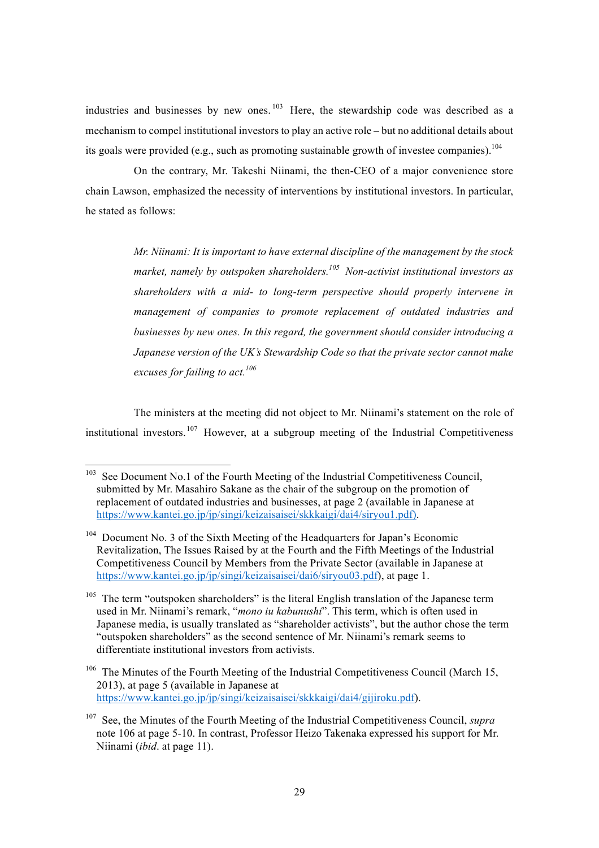industries and businesses by new ones.  $103$  Here, the stewardship code was described as a mechanism to compel institutional investors to play an active role – but no additional details about its goals were provided (e.g., such as promoting sustainable growth of investee companies).  $^{104}$ 

On the contrary, Mr. Takeshi Niinami, the then-CEO of a major convenience store chain Lawson, emphasized the necessity of interventions by institutional investors. In particular, he stated as follows:

> *Mr. Niinami: It is important to have external discipline of the management by the stock market, namely by outspoken shareholders.105 Non-activist institutional investors as shareholders with a mid- to long-term perspective should properly intervene in management of companies to promote replacement of outdated industries and businesses by new ones. In this regard, the government should consider introducing a Japanese version of the UK's Stewardship Code so that the private sector cannot make excuses for failing to act. 106*

The ministers at the meeting did not object to Mr. Niinami's statement on the role of institutional investors.  $107$  However, at a subgroup meeting of the Industrial Competitiveness

<sup>&</sup>lt;sup>103</sup> See Document No.1 of the Fourth Meeting of the Industrial Competitiveness Council, submitted by Mr. Masahiro Sakane as the chair of the subgroup on the promotion of replacement of outdated industries and businesses, at page 2 (available in Japanese at https://www.kantei.go.jp/jp/singi/keizaisaisei/skkkaigi/dai4/siryou1.pdf).

<sup>&</sup>lt;sup>104</sup> Document No. 3 of the Sixth Meeting of the Headquarters for Japan's Economic Revitalization, The Issues Raised by at the Fourth and the Fifth Meetings of the Industrial Competitiveness Council by Members from the Private Sector (available in Japanese at https://www.kantei.go.jp/jp/singi/keizaisaisei/dai6/sirvou03.pdf), at page 1.

 $105$  The term "outspoken shareholders" is the literal English translation of the Japanese term used in Mr. Niinami's remark, "*mono iu kabunushi*". This term, which is often used in Japanese media, is usually translated as "shareholder activists", but the author chose the term "outspoken shareholders" as the second sentence of Mr. Niinami's remark seems to differentiate institutional investors from activists.

<sup>&</sup>lt;sup>106</sup> The Minutes of the Fourth Meeting of the Industrial Competitiveness Council (March 15, 2013), at page 5 (available in Japanese at https://www.kantei.go.jp/jp/singi/keizaisaisei/skkkaigi/dai4/gijiroku.pdf).

<sup>107</sup> See, the Minutes of the Fourth Meeting of the Industrial Competitiveness Council, *supra*  note 106 at page 5-10. In contrast, Professor Heizo Takenaka expressed his support for Mr. Niinami (*ibid*. at page 11).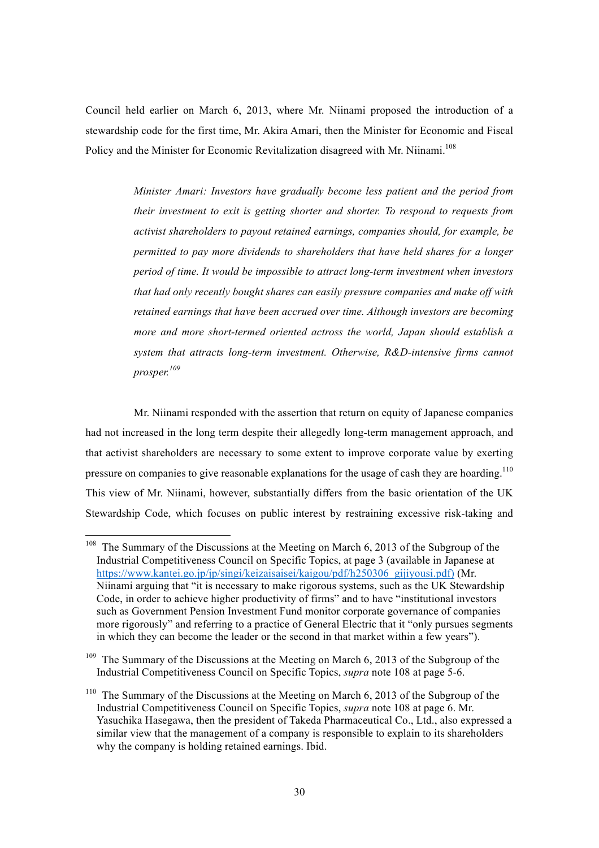Council held earlier on March 6, 2013, where Mr. Niinami proposed the introduction of a stewardship code for the first time, Mr. Akira Amari, then the Minister for Economic and Fiscal Policy and the Minister for Economic Revitalization disagreed with Mr. Niinami.<sup>108</sup>

> *Minister Amari: Investors have gradually become less patient and the period from their investment to exit is getting shorter and shorter. To respond to requests from activist shareholders to payout retained earnings, companies should, for example, be permitted to pay more dividends to shareholders that have held shares for a longer period of time. It would be impossible to attract long-term investment when investors that had only recently bought shares can easily pressure companies and make off with retained earnings that have been accrued over time. Although investors are becoming more and more short-termed oriented actross the world, Japan should establish a system that attracts long-term investment. Otherwise, R&D-intensive firms cannot prosper. 109*

Mr. Niinami responded with the assertion that return on equity of Japanese companies had not increased in the long term despite their allegedly long-term management approach, and that activist shareholders are necessary to some extent to improve corporate value by exerting pressure on companies to give reasonable explanations for the usage of cash they are hoarding.<sup>110</sup> This view of Mr. Niinami, however, substantially differs from the basic orientation of the UK Stewardship Code, which focuses on public interest by restraining excessive risk-taking and

<sup>&</sup>lt;sup>108</sup> The Summary of the Discussions at the Meeting on March 6, 2013 of the Subgroup of the Industrial Competitiveness Council on Specific Topics, at page 3 (available in Japanese at https://www.kantei.go.jp/jp/singi/keizaisaisei/kaigou/pdf/h250306\_gijiyousi.pdf) (Mr. Niinami arguing that "it is necessary to make rigorous systems, such as the UK Stewardship Code, in order to achieve higher productivity of firms" and to have "institutional investors such as Government Pension Investment Fund monitor corporate governance of companies more rigorously" and referring to a practice of General Electric that it "only pursues segments in which they can become the leader or the second in that market within a few years").

<sup>&</sup>lt;sup>109</sup> The Summary of the Discussions at the Meeting on March 6, 2013 of the Subgroup of the Industrial Competitiveness Council on Specific Topics, *supra* note 108 at page 5-6.

<sup>&</sup>lt;sup>110</sup> The Summary of the Discussions at the Meeting on March 6, 2013 of the Subgroup of the Industrial Competitiveness Council on Specific Topics, *supra* note 108 at page 6. Mr. Yasuchika Hasegawa, then the president of Takeda Pharmaceutical Co., Ltd., also expressed a similar view that the management of a company is responsible to explain to its shareholders why the company is holding retained earnings. Ibid.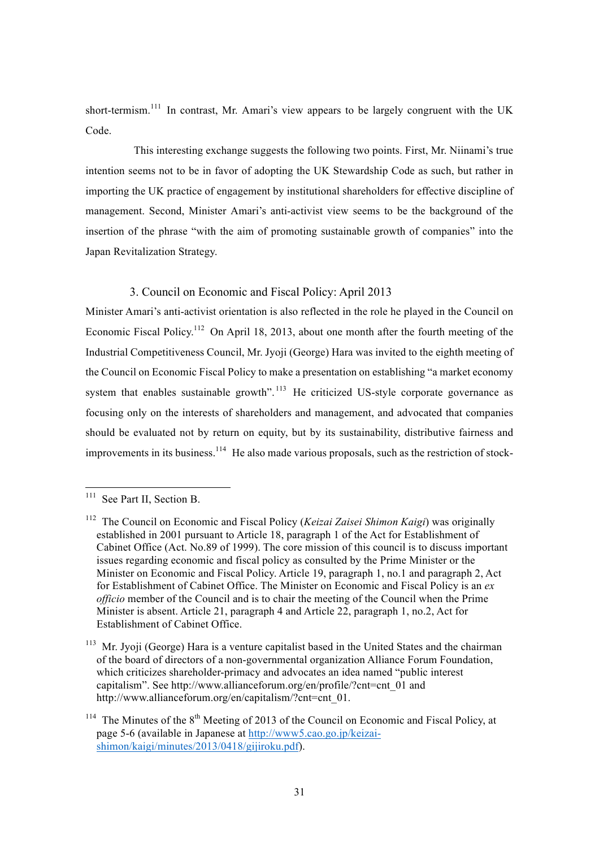short-termism.<sup>111</sup> In contrast, Mr. Amari's view appears to be largely congruent with the UK Code.

This interesting exchange suggests the following two points. First, Mr. Niinami's true intention seems not to be in favor of adopting the UK Stewardship Code as such, but rather in importing the UK practice of engagement by institutional shareholders for effective discipline of management. Second, Minister Amari's anti-activist view seems to be the background of the insertion of the phrase "with the aim of promoting sustainable growth of companies" into the Japan Revitalization Strategy.

### 3. Council on Economic and Fiscal Policy: April 2013

Minister Amari's anti-activist orientation is also reflected in the role he played in the Council on Economic Fiscal Policy.<sup>112</sup> On April 18, 2013, about one month after the fourth meeting of the Industrial Competitiveness Council, Mr. Jyoji (George) Hara was invited to the eighth meeting of the Council on Economic Fiscal Policy to make a presentation on establishing "a market economy system that enables sustainable growth".<sup>113</sup> He criticized US-style corporate governance as focusing only on the interests of shareholders and management, and advocated that companies should be evaluated not by return on equity, but by its sustainability, distributive fairness and improvements in its business.<sup>114</sup> He also made various proposals, such as the restriction of stock-

<sup>&</sup>lt;sup>111</sup> See Part II, Section B.

<sup>112</sup> The Council on Economic and Fiscal Policy (*Keizai Zaisei Shimon Kaigi*) was originally established in 2001 pursuant to Article 18, paragraph 1 of the Act for Establishment of Cabinet Office (Act. No.89 of 1999). The core mission of this council is to discuss important issues regarding economic and fiscal policy as consulted by the Prime Minister or the Minister on Economic and Fiscal Policy. Article 19, paragraph 1, no.1 and paragraph 2, Act for Establishment of Cabinet Office. The Minister on Economic and Fiscal Policy is an *ex officio* member of the Council and is to chair the meeting of the Council when the Prime Minister is absent. Article 21, paragraph 4 and Article 22, paragraph 1, no.2, Act for Establishment of Cabinet Office.

<sup>&</sup>lt;sup>113</sup> Mr. Jyoji (George) Hara is a venture capitalist based in the United States and the chairman of the board of directors of a non-governmental organization Alliance Forum Foundation, which criticizes shareholder-primacy and advocates an idea named "public interest" capitalism". See http://www.allianceforum.org/en/profile/?cnt=cnt\_01 and http://www.allianceforum.org/en/capitalism/?cnt=cnt\_01.

<sup>&</sup>lt;sup>114</sup> The Minutes of the  $8<sup>th</sup>$  Meeting of 2013 of the Council on Economic and Fiscal Policy, at page 5-6 (available in Japanese at http://www5.cao.go.jp/keizaishimon/kaigi/minutes/2013/0418/gijiroku.pdf).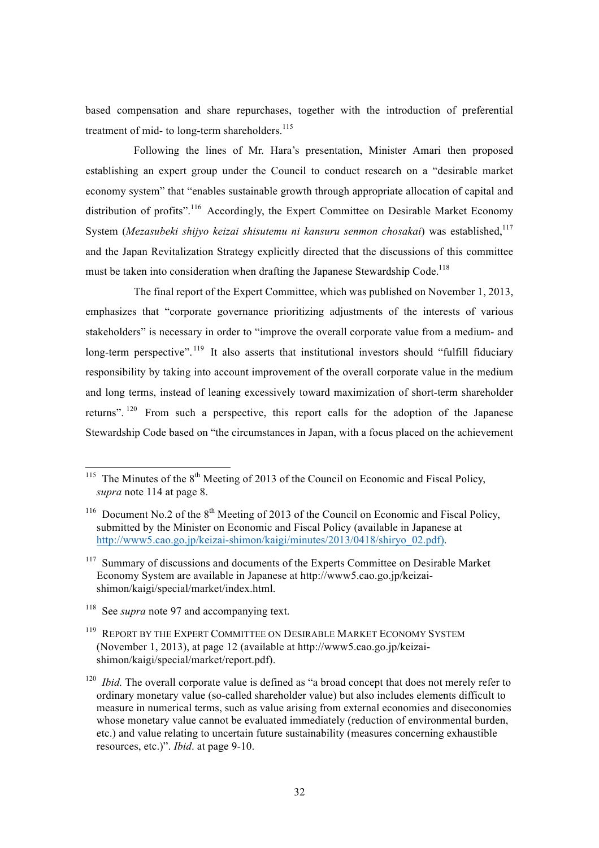based compensation and share repurchases, together with the introduction of preferential treatment of mid- to long-term shareholders. $115$ 

Following the lines of Mr. Hara's presentation, Minister Amari then proposed establishing an expert group under the Council to conduct research on a "desirable market economy system" that "enables sustainable growth through appropriate allocation of capital and distribution of profits".<sup>116</sup> Accordingly, the Expert Committee on Desirable Market Economy System (*Mezasubeki shijyo keizai shisutemu ni kansuru senmon chosakai*) was established,<sup>117</sup> and the Japan Revitalization Strategy explicitly directed that the discussions of this committee must be taken into consideration when drafting the Japanese Stewardship Code.<sup>118</sup>

The final report of the Expert Committee, which was published on November 1, 2013, emphasizes that "corporate governance prioritizing adjustments of the interests of various stakeholders" is necessary in order to "improve the overall corporate value from a medium- and long-term perspective".<sup>119</sup> It also asserts that institutional investors should "fulfill fiduciary responsibility by taking into account improvement of the overall corporate value in the medium and long terms, instead of leaning excessively toward maximization of short-term shareholder returns". <sup>120</sup> From such a perspective, this report calls for the adoption of the Japanese Stewardship Code based on "the circumstances in Japan, with a focus placed on the achievement

<sup>118</sup> See *supra* note 97 and accompanying text.

<sup>&</sup>lt;sup>115</sup> The Minutes of the  $8<sup>th</sup>$  Meeting of 2013 of the Council on Economic and Fiscal Policy, *supra* note 114 at page 8.

<sup>&</sup>lt;sup>116</sup> Document No.2 of the  $8<sup>th</sup>$  Meeting of 2013 of the Council on Economic and Fiscal Policy, submitted by the Minister on Economic and Fiscal Policy (available in Japanese at http://www5.cao.go.jp/keizai-shimon/kaigi/minutes/2013/0418/shiryo\_02.pdf).

<sup>&</sup>lt;sup>117</sup> Summary of discussions and documents of the Experts Committee on Desirable Market Economy System are available in Japanese at http://www5.cao.go.jp/keizaishimon/kaigi/special/market/index.html.

<sup>&</sup>lt;sup>119</sup> REPORT BY THE EXPERT COMMITTEE ON DESIRABLE MARKET ECONOMY SYSTEM (November 1, 2013), at page 12 (available at http://www5.cao.go.jp/keizaishimon/kaigi/special/market/report.pdf).

<sup>&</sup>lt;sup>120</sup> *Ibid.* The overall corporate value is defined as "a broad concept that does not merely refer to ordinary monetary value (so-called shareholder value) but also includes elements difficult to measure in numerical terms, such as value arising from external economies and diseconomies whose monetary value cannot be evaluated immediately (reduction of environmental burden, etc.) and value relating to uncertain future sustainability (measures concerning exhaustible resources, etc.)". *Ibid*. at page 9-10.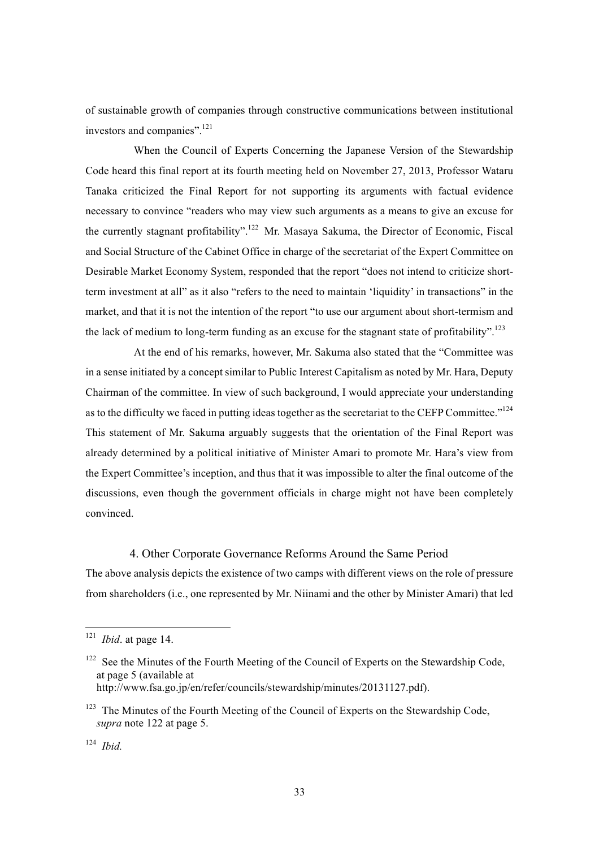of sustainable growth of companies through constructive communications between institutional investors and companies".121

When the Council of Experts Concerning the Japanese Version of the Stewardship Code heard this final report at its fourth meeting held on November 27, 2013, Professor Wataru Tanaka criticized the Final Report for not supporting its arguments with factual evidence necessary to convince "readers who may view such arguments as a means to give an excuse for the currently stagnant profitability".<sup>122</sup> Mr. Masaya Sakuma, the Director of Economic, Fiscal and Social Structure of the Cabinet Office in charge of the secretariat of the Expert Committee on Desirable Market Economy System, responded that the report "does not intend to criticize shortterm investment at all" as it also "refers to the need to maintain 'liquidity' in transactions" in the market, and that it is not the intention of the report "to use our argument about short-termism and the lack of medium to long-term funding as an excuse for the stagnant state of profitability".<sup>123</sup>

At the end of his remarks, however, Mr. Sakuma also stated that the "Committee was in a sense initiated by a concept similar to Public Interest Capitalism as noted by Mr. Hara, Deputy Chairman of the committee. In view of such background, I would appreciate your understanding as to the difficulty we faced in putting ideas together as the secretariat to the CEFP Committee."<sup>124</sup> This statement of Mr. Sakuma arguably suggests that the orientation of the Final Report was already determined by a political initiative of Minister Amari to promote Mr. Hara's view from the Expert Committee's inception, and thus that it was impossible to alter the final outcome of the discussions, even though the government officials in charge might not have been completely convinced.

#### 4. Other Corporate Governance Reforms Around the Same Period

The above analysis depicts the existence of two camps with different views on the role of pressure from shareholders (i.e., one represented by Mr. Niinami and the other by Minister Amari) that led

 <sup>121</sup> *Ibid*. at page 14.

<sup>&</sup>lt;sup>122</sup> See the Minutes of the Fourth Meeting of the Council of Experts on the Stewardship Code, at page 5 (available at

http://www.fsa.go.jp/en/refer/councils/stewardship/minutes/20131127.pdf).

 $123$  The Minutes of the Fourth Meeting of the Council of Experts on the Stewardship Code, *supra* note 122 at page 5.

<sup>124</sup> *Ibid.*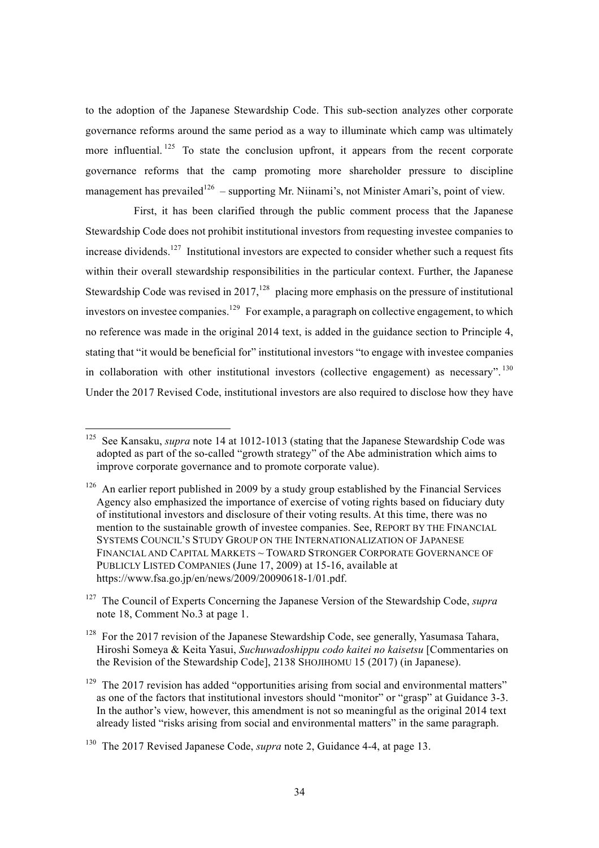to the adoption of the Japanese Stewardship Code. This sub-section analyzes other corporate governance reforms around the same period as a way to illuminate which camp was ultimately more influential.<sup>125</sup> To state the conclusion upfront, it appears from the recent corporate governance reforms that the camp promoting more shareholder pressure to discipline management has prevailed<sup>126</sup> – supporting Mr. Niinami's, not Minister Amari's, point of view.

First, it has been clarified through the public comment process that the Japanese Stewardship Code does not prohibit institutional investors from requesting investee companies to increase dividends.<sup>127</sup> Institutional investors are expected to consider whether such a request fits within their overall stewardship responsibilities in the particular context. Further, the Japanese Stewardship Code was revised in  $2017$ ,<sup>128</sup> placing more emphasis on the pressure of institutional investors on investee companies.<sup>129</sup> For example, a paragraph on collective engagement, to which no reference was made in the original 2014 text, is added in the guidance section to Principle 4, stating that "it would be beneficial for" institutional investors "to engage with investee companies in collaboration with other institutional investors (collective engagement) as necessary". <sup>130</sup> Under the 2017 Revised Code, institutional investors are also required to disclose how they have

<sup>&</sup>lt;sup>125</sup> See Kansaku, *supra* note 14 at 1012-1013 (stating that the Japanese Stewardship Code was adopted as part of the so-called "growth strategy" of the Abe administration which aims to improve corporate governance and to promote corporate value).

<sup>&</sup>lt;sup>126</sup> An earlier report published in 2009 by a study group established by the Financial Services Agency also emphasized the importance of exercise of voting rights based on fiduciary duty of institutional investors and disclosure of their voting results. At this time, there was no mention to the sustainable growth of investee companies. See, REPORT BY THE FINANCIAL SYSTEMS COUNCIL'S STUDY GROUP ON THE INTERNATIONALIZATION OF JAPANESE FINANCIAL AND CAPITAL MARKETS ~ TOWARD STRONGER CORPORATE GOVERNANCE OF PUBLICLY LISTED COMPANIES (June 17, 2009) at 15-16, available at https://www.fsa.go.jp/en/news/2009/20090618-1/01.pdf.

<sup>127</sup> The Council of Experts Concerning the Japanese Version of the Stewardship Code, *supra*  note 18, Comment No.3 at page 1.

<sup>&</sup>lt;sup>128</sup> For the 2017 revision of the Japanese Stewardship Code, see generally, Yasumasa Tahara, Hiroshi Someya & Keita Yasui, *Suchuwadoshippu codo kaitei no kaisetsu* [Commentaries on the Revision of the Stewardship Code], 2138 SHOJIHOMU 15 (2017) (in Japanese).

<sup>&</sup>lt;sup>129</sup> The 2017 revision has added "opportunities arising from social and environmental matters" as one of the factors that institutional investors should "monitor" or "grasp" at Guidance 3-3. In the author's view, however, this amendment is not so meaningful as the original 2014 text already listed "risks arising from social and environmental matters" in the same paragraph.

<sup>130</sup> The 2017 Revised Japanese Code, *supra* note 2, Guidance 4-4, at page 13.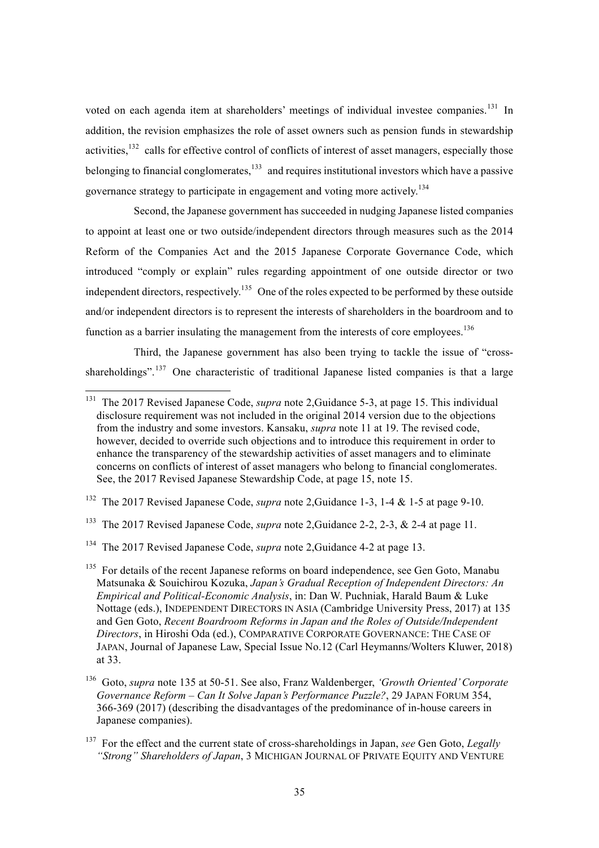voted on each agenda item at shareholders' meetings of individual investee companies.<sup>131</sup> In addition, the revision emphasizes the role of asset owners such as pension funds in stewardship activities,  $132$  calls for effective control of conflicts of interest of asset managers, especially those belonging to financial conglomerates, $133$  and requires institutional investors which have a passive governance strategy to participate in engagement and voting more actively.<sup>134</sup>

Second, the Japanese government has succeeded in nudging Japanese listed companies to appoint at least one or two outside/independent directors through measures such as the 2014 Reform of the Companies Act and the 2015 Japanese Corporate Governance Code, which introduced "comply or explain" rules regarding appointment of one outside director or two independent directors, respectively.<sup>135</sup> One of the roles expected to be performed by these outside and/or independent directors is to represent the interests of shareholders in the boardroom and to function as a barrier insulating the management from the interests of core employees.<sup>136</sup>

Third, the Japanese government has also been trying to tackle the issue of "crossshareholdings".<sup>137</sup> One characteristic of traditional Japanese listed companies is that a large

<sup>&</sup>lt;sup>131</sup> The 2017 Revised Japanese Code, *supra* note 2, Guidance 5-3, at page 15. This individual disclosure requirement was not included in the original 2014 version due to the objections from the industry and some investors. Kansaku, *supra* note 11 at 19. The revised code, however, decided to override such objections and to introduce this requirement in order to enhance the transparency of the stewardship activities of asset managers and to eliminate concerns on conflicts of interest of asset managers who belong to financial conglomerates. See, the 2017 Revised Japanese Stewardship Code, at page 15, note 15.

<sup>132</sup> The 2017 Revised Japanese Code, *supra* note 2,Guidance 1-3, 1-4 & 1-5 at page 9-10.

<sup>133</sup> The 2017 Revised Japanese Code, *supra* note 2,Guidance 2-2, 2-3, & 2-4 at page 11.

<sup>134</sup> The 2017 Revised Japanese Code, *supra* note 2,Guidance 4-2 at page 13.

 $135$  For details of the recent Japanese reforms on board independence, see Gen Goto, Manabu Matsunaka & Souichirou Kozuka, *Japan's Gradual Reception of Independent Directors: An Empirical and Political-Economic Analysis*, in: Dan W. Puchniak, Harald Baum & Luke Nottage (eds.), INDEPENDENT DIRECTORS IN ASIA (Cambridge University Press, 2017) at 135 and Gen Goto, *Recent Boardroom Reforms in Japan and the Roles of Outside/Independent Directors*, in Hiroshi Oda (ed.), COMPARATIVE CORPORATE GOVERNANCE: THE CASE OF JAPAN, Journal of Japanese Law, Special Issue No.12 (Carl Heymanns/Wolters Kluwer, 2018) at 33.

<sup>136</sup> Goto, *supra* note 135 at 50-51. See also, Franz Waldenberger, *'Growth Oriented' Corporate Governance Reform – Can It Solve Japan's Performance Puzzle?*, 29 JAPAN FORUM 354, 366-369 (2017) (describing the disadvantages of the predominance of in-house careers in Japanese companies).

<sup>137</sup> For the effect and the current state of cross-shareholdings in Japan, *see* Gen Goto, *Legally "Strong" Shareholders of Japan*, 3 MICHIGAN JOURNAL OF PRIVATE EQUITY AND VENTURE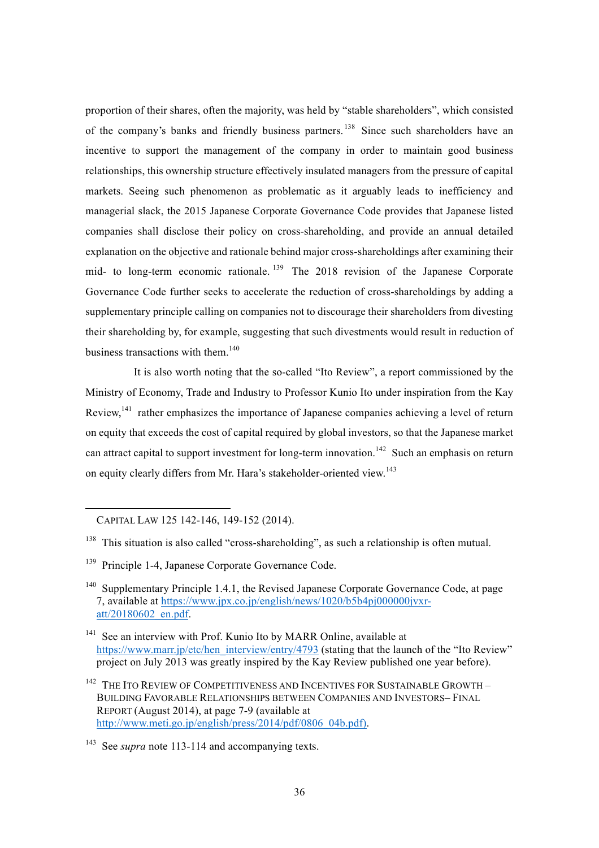proportion of their shares, often the majority, was held by "stable shareholders", which consisted of the company's banks and friendly business partners.<sup>138</sup> Since such shareholders have an incentive to support the management of the company in order to maintain good business relationships, this ownership structure effectively insulated managers from the pressure of capital markets. Seeing such phenomenon as problematic as it arguably leads to inefficiency and managerial slack, the 2015 Japanese Corporate Governance Code provides that Japanese listed companies shall disclose their policy on cross-shareholding, and provide an annual detailed explanation on the objective and rationale behind major cross-shareholdings after examining their mid- to long-term economic rationale. <sup>139</sup> The 2018 revision of the Japanese Corporate Governance Code further seeks to accelerate the reduction of cross-shareholdings by adding a supplementary principle calling on companies not to discourage their shareholders from divesting their shareholding by, for example, suggesting that such divestments would result in reduction of business transactions with them.<sup>140</sup>

It is also worth noting that the so-called "Ito Review", a report commissioned by the Ministry of Economy, Trade and Industry to Professor Kunio Ito under inspiration from the Kay Review,<sup>141</sup> rather emphasizes the importance of Japanese companies achieving a level of return on equity that exceeds the cost of capital required by global investors, so that the Japanese market can attract capital to support investment for long-term innovation.<sup>142</sup> Such an emphasis on return on equity clearly differs from Mr. Hara's stakeholder-oriented view.<sup>143</sup>

CAPITAL LAW 125 142-146, 149-152 (2014).

 $\overline{a}$ 

<sup>&</sup>lt;sup>138</sup> This situation is also called "cross-shareholding", as such a relationship is often mutual.

<sup>&</sup>lt;sup>139</sup> Principle 1-4, Japanese Corporate Governance Code.

<sup>&</sup>lt;sup>140</sup> Supplementary Principle 1.4.1, the Revised Japanese Corporate Governance Code, at page 7, available at https://www.jpx.co.jp/english/news/1020/b5b4pj000000jvxratt/20180602\_en.pdf.

<sup>&</sup>lt;sup>141</sup> See an interview with Prof. Kunio Ito by MARR Online, available at https://www.marr.jp/etc/hen\_interview/entry/4793 (stating that the launch of the "Ito Review" project on July 2013 was greatly inspired by the Kay Review published one year before).

 $^{142}\,$  THE ITO REVIEW OF COMPETITIVENESS AND INCENTIVES FOR SUSTAINABLE GROWTH  $-$ BUILDING FAVORABLE RELATIONSHIPS BETWEEN COMPANIES AND INVESTORS– FINAL REPORT (August 2014), at page 7-9 (available at http://www.meti.go.jp/english/press/2014/pdf/0806\_04b.pdf).

<sup>143</sup> See *supra* note 113-114 and accompanying texts.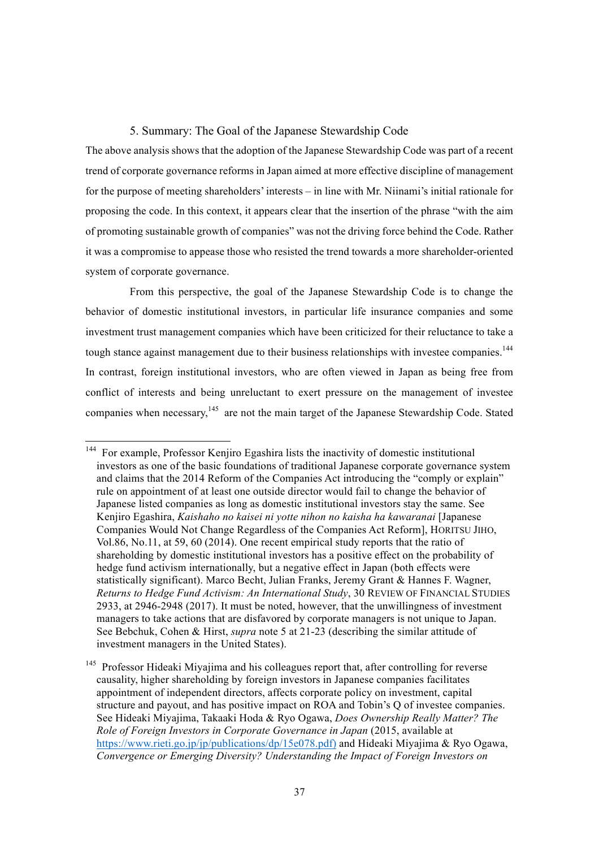## 5. Summary: The Goal of the Japanese Stewardship Code

The above analysis shows that the adoption of the Japanese Stewardship Code was part of a recent trend of corporate governance reforms in Japan aimed at more effective discipline of management for the purpose of meeting shareholders' interests – in line with Mr. Niinami's initial rationale for proposing the code. In this context, it appears clear that the insertion of the phrase "with the aim of promoting sustainable growth of companies" was not the driving force behind the Code. Rather it was a compromise to appease those who resisted the trend towards a more shareholder-oriented system of corporate governance.

From this perspective, the goal of the Japanese Stewardship Code is to change the behavior of domestic institutional investors, in particular life insurance companies and some investment trust management companies which have been criticized for their reluctance to take a tough stance against management due to their business relationships with investee companies.<sup>144</sup> In contrast, foreign institutional investors, who are often viewed in Japan as being free from conflict of interests and being unreluctant to exert pressure on the management of investee companies when necessary,<sup>145</sup> are not the main target of the Japanese Stewardship Code. Stated

 <sup>144</sup> For example, Professor Kenjiro Egashira lists the inactivity of domestic institutional investors as one of the basic foundations of traditional Japanese corporate governance system and claims that the 2014 Reform of the Companies Act introducing the "comply or explain" rule on appointment of at least one outside director would fail to change the behavior of Japanese listed companies as long as domestic institutional investors stay the same. See Kenjiro Egashira, *Kaishaho no kaisei ni yotte nihon no kaisha ha kawaranai* [Japanese Companies Would Not Change Regardless of the Companies Act Reform], HORITSU JIHO, Vol.86, No.11, at 59, 60 (2014). One recent empirical study reports that the ratio of shareholding by domestic institutional investors has a positive effect on the probability of hedge fund activism internationally, but a negative effect in Japan (both effects were statistically significant). Marco Becht, Julian Franks, Jeremy Grant & Hannes F. Wagner, *Returns to Hedge Fund Activism: An International Study*, 30 REVIEW OF FINANCIAL STUDIES 2933, at 2946-2948 (2017). It must be noted, however, that the unwillingness of investment managers to take actions that are disfavored by corporate managers is not unique to Japan. See Bebchuk, Cohen & Hirst, *supra* note 5 at 21-23 (describing the similar attitude of investment managers in the United States).

<sup>&</sup>lt;sup>145</sup> Professor Hideaki Mivajima and his colleagues report that, after controlling for reverse causality, higher shareholding by foreign investors in Japanese companies facilitates appointment of independent directors, affects corporate policy on investment, capital structure and payout, and has positive impact on ROA and Tobin's Q of investee companies. See Hideaki Miyajima, Takaaki Hoda & Ryo Ogawa, *Does Ownership Really Matter? The Role of Foreign Investors in Corporate Governance in Japan* (2015, available at https://www.rieti.go.jp/jp/publications/dp/15e078.pdf) and Hideaki Miyajima & Ryo Ogawa, *Convergence or Emerging Diversity? Understanding the Impact of Foreign Investors on*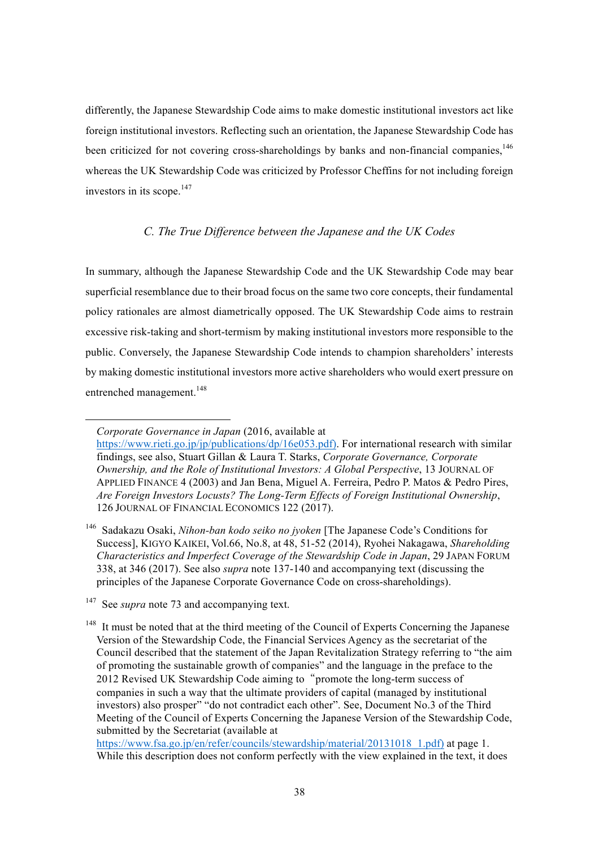differently, the Japanese Stewardship Code aims to make domestic institutional investors act like foreign institutional investors. Reflecting such an orientation, the Japanese Stewardship Code has been criticized for not covering cross-shareholdings by banks and non-financial companies,<sup>146</sup> whereas the UK Stewardship Code was criticized by Professor Cheffins for not including foreign investors in its scope. $147$ 

### *C. The True Difference between the Japanese and the UK Codes*

In summary, although the Japanese Stewardship Code and the UK Stewardship Code may bear superficial resemblance due to their broad focus on the same two core concepts, their fundamental policy rationales are almost diametrically opposed. The UK Stewardship Code aims to restrain excessive risk-taking and short-termism by making institutional investors more responsible to the public. Conversely, the Japanese Stewardship Code intends to champion shareholders' interests by making domestic institutional investors more active shareholders who would exert pressure on entrenched management.<sup>148</sup>

 $\overline{a}$ 

https://www.fsa.go.jp/en/refer/councils/stewardship/material/20131018 1.pdf) at page 1. While this description does not conform perfectly with the view explained in the text, it does

*Corporate Governance in Japan* (2016, available at

https://www.rieti.go.jp/jp/publications/dp/16e053.pdf). For international research with similar findings, see also, Stuart Gillan & Laura T. Starks, *Corporate Governance, Corporate Ownership, and the Role of Institutional Investors: A Global Perspective*, 13 JOURNAL OF APPLIED FINANCE 4 (2003) and Jan Bena, Miguel A. Ferreira, Pedro P. Matos & Pedro Pires, *Are Foreign Investors Locusts? The Long-Term Effects of Foreign Institutional Ownership*, 126 JOURNAL OF FINANCIAL ECONOMICS 122 (2017).

<sup>146</sup> Sadakazu Osaki, *Nihon-ban kodo seiko no jyoken* [The Japanese Code's Conditions for Success], KIGYO KAIKEI, Vol.66, No.8, at 48, 51-52 (2014), Ryohei Nakagawa, *Shareholding Characteristics and Imperfect Coverage of the Stewardship Code in Japan*, 29 JAPAN FORUM 338, at 346 (2017). See also *supra* note 137-140 and accompanying text (discussing the principles of the Japanese Corporate Governance Code on cross-shareholdings).

<sup>&</sup>lt;sup>147</sup> See *supra* note 73 and accompanying text.

<sup>&</sup>lt;sup>148</sup> It must be noted that at the third meeting of the Council of Experts Concerning the Japanese Version of the Stewardship Code, the Financial Services Agency as the secretariat of the Council described that the statement of the Japan Revitalization Strategy referring to "the aim of promoting the sustainable growth of companies" and the language in the preface to the 2012 Revised UK Stewardship Code aiming to "promote the long-term success of companies in such a way that the ultimate providers of capital (managed by institutional investors) also prosper" "do not contradict each other". See, Document No.3 of the Third Meeting of the Council of Experts Concerning the Japanese Version of the Stewardship Code, submitted by the Secretariat (available at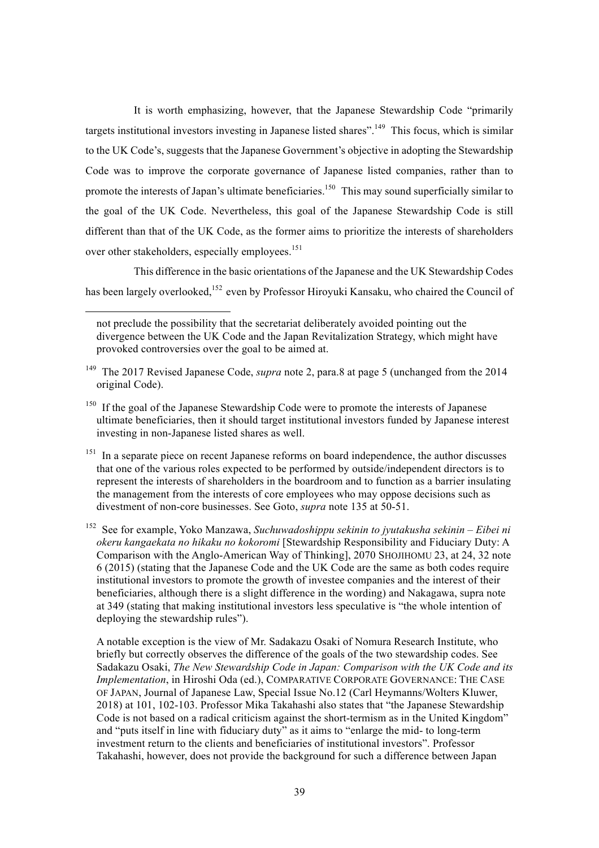It is worth emphasizing, however, that the Japanese Stewardship Code "primarily targets institutional investors investing in Japanese listed shares".<sup>149</sup> This focus, which is similar to the UK Code's, suggests that the Japanese Government's objective in adopting the Stewardship Code was to improve the corporate governance of Japanese listed companies, rather than to promote the interests of Japan's ultimate beneficiaries.<sup>150</sup> This may sound superficially similar to the goal of the UK Code. Nevertheless, this goal of the Japanese Stewardship Code is still different than that of the UK Code, as the former aims to prioritize the interests of shareholders over other stakeholders, especially employees.<sup>151</sup>

This difference in the basic orientations of the Japanese and the UK Stewardship Codes has been largely overlooked, <sup>152</sup> even by Professor Hiroyuki Kansaku, who chaired the Council of

l

<sup>151</sup> In a separate piece on recent Japanese reforms on board independence, the author discusses that one of the various roles expected to be performed by outside/independent directors is to represent the interests of shareholders in the boardroom and to function as a barrier insulating the management from the interests of core employees who may oppose decisions such as divestment of non-core businesses. See Goto, *supra* note 135 at 50-51.

<sup>152</sup> See for example, Yoko Manzawa, *Suchuwadoshippu sekinin to jyutakusha sekinin – Eibei ni okeru kangaekata no hikaku no kokoromi* [Stewardship Responsibility and Fiduciary Duty: A Comparison with the Anglo-American Way of Thinking], 2070 SHOJIHOMU 23, at 24, 32 note 6 (2015) (stating that the Japanese Code and the UK Code are the same as both codes require institutional investors to promote the growth of investee companies and the interest of their beneficiaries, although there is a slight difference in the wording) and Nakagawa, supra note at 349 (stating that making institutional investors less speculative is "the whole intention of deploying the stewardship rules").

A notable exception is the view of Mr. Sadakazu Osaki of Nomura Research Institute, who briefly but correctly observes the difference of the goals of the two stewardship codes. See Sadakazu Osaki, *The New Stewardship Code in Japan: Comparison with the UK Code and its Implementation*, in Hiroshi Oda (ed.), COMPARATIVE CORPORATE GOVERNANCE: THE CASE OF JAPAN, Journal of Japanese Law, Special Issue No.12 (Carl Heymanns/Wolters Kluwer, 2018) at 101, 102-103. Professor Mika Takahashi also states that "the Japanese Stewardship Code is not based on a radical criticism against the short-termism as in the United Kingdom" and "puts itself in line with fiduciary duty" as it aims to "enlarge the mid- to long-term investment return to the clients and beneficiaries of institutional investors". Professor Takahashi, however, does not provide the background for such a difference between Japan

not preclude the possibility that the secretariat deliberately avoided pointing out the divergence between the UK Code and the Japan Revitalization Strategy, which might have provoked controversies over the goal to be aimed at.

<sup>149</sup> The 2017 Revised Japanese Code, *supra* note 2, para.8 at page 5 (unchanged from the 2014 original Code).

<sup>&</sup>lt;sup>150</sup> If the goal of the Japanese Stewardship Code were to promote the interests of Japanese ultimate beneficiaries, then it should target institutional investors funded by Japanese interest investing in non-Japanese listed shares as well.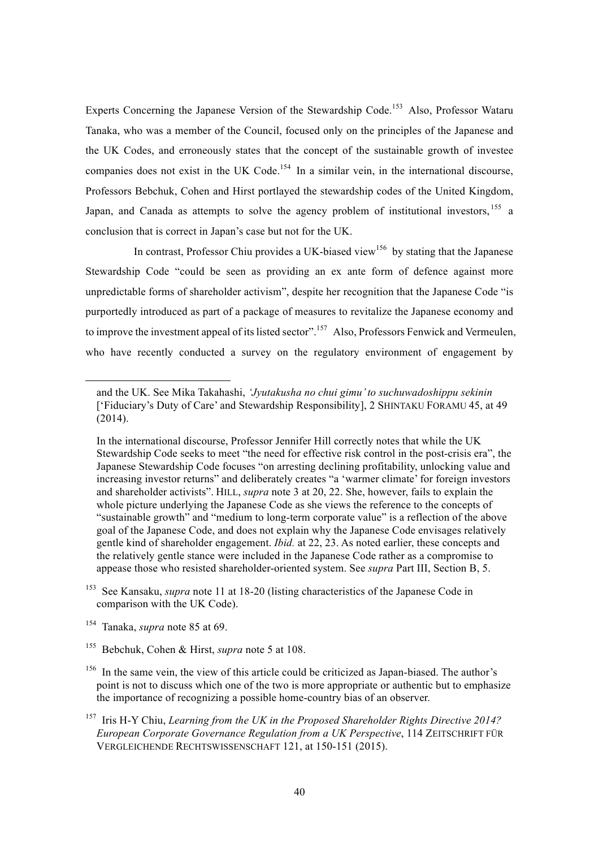Experts Concerning the Japanese Version of the Stewardship Code.<sup>153</sup> Also, Professor Wataru Tanaka, who was a member of the Council, focused only on the principles of the Japanese and the UK Codes, and erroneously states that the concept of the sustainable growth of investee companies does not exist in the UK Code.<sup>154</sup> In a similar vein, in the international discourse, Professors Bebchuk, Cohen and Hirst portlayed the stewardship codes of the United Kingdom, Japan, and Canada as attempts to solve the agency problem of institutional investors,  $155$  a conclusion that is correct in Japan's case but not for the UK.

In contrast, Professor Chiu provides a UK-biased view<sup>156</sup> by stating that the Japanese Stewardship Code "could be seen as providing an ex ante form of defence against more unpredictable forms of shareholder activism", despite her recognition that the Japanese Code "is purportedly introduced as part of a package of measures to revitalize the Japanese economy and to improve the investment appeal of its listed sector".<sup>157</sup> Also, Professors Fenwick and Vermeulen, who have recently conducted a survey on the regulatory environment of engagement by

l

and the UK. See Mika Takahashi, *'Jyutakusha no chui gimu' to suchuwadoshippu sekinin*  ['Fiduciary's Duty of Care' and Stewardship Responsibility], 2 SHINTAKU FORAMU 45, at 49 (2014).

In the international discourse, Professor Jennifer Hill correctly notes that while the UK Stewardship Code seeks to meet "the need for effective risk control in the post-crisis era", the Japanese Stewardship Code focuses "on arresting declining profitability, unlocking value and increasing investor returns" and deliberately creates "a 'warmer climate' for foreign investors and shareholder activists". HILL, *supra* note 3 at 20, 22. She, however, fails to explain the whole picture underlying the Japanese Code as she views the reference to the concepts of "sustainable growth" and "medium to long-term corporate value" is a reflection of the above goal of the Japanese Code, and does not explain why the Japanese Code envisages relatively gentle kind of shareholder engagement. *Ibid.* at 22, 23. As noted earlier, these concepts and the relatively gentle stance were included in the Japanese Code rather as a compromise to appease those who resisted shareholder-oriented system. See *supra* Part III, Section B, 5.

<sup>&</sup>lt;sup>153</sup> See Kansaku, *supra* note 11 at 18-20 (listing characteristics of the Japanese Code in comparison with the UK Code).

<sup>154</sup> Tanaka, *supra* note 85 at 69.

<sup>155</sup> Bebchuk, Cohen & Hirst, *supra* note 5 at 108.

<sup>&</sup>lt;sup>156</sup> In the same vein, the view of this article could be criticized as Japan-biased. The author's point is not to discuss which one of the two is more appropriate or authentic but to emphasize the importance of recognizing a possible home-country bias of an observer.

<sup>157</sup> Iris H-Y Chiu, *Learning from the UK in the Proposed Shareholder Rights Directive 2014? European Corporate Governance Regulation from a UK Perspective*, 114 ZEITSCHRIFT FÜR VERGLEICHENDE RECHTSWISSENSCHAFT 121, at 150-151 (2015).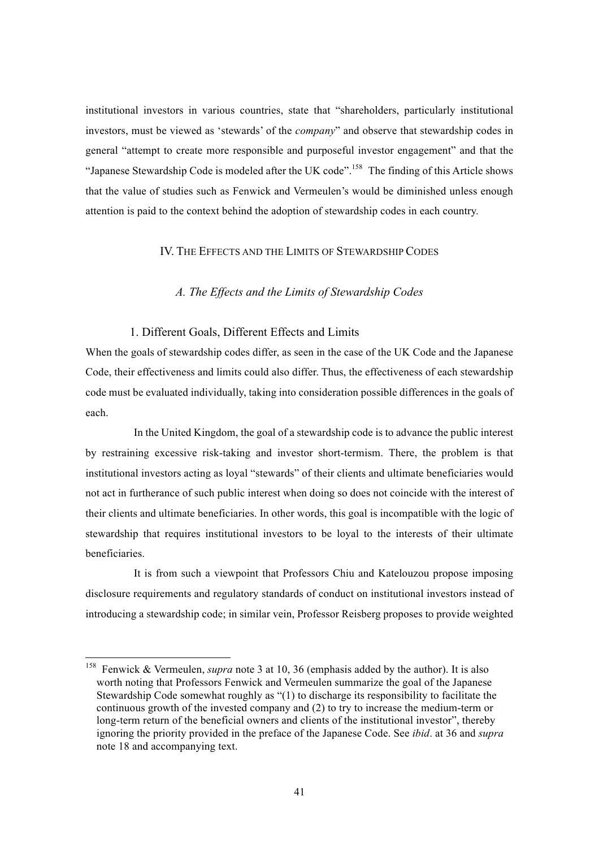institutional investors in various countries, state that "shareholders, particularly institutional investors, must be viewed as 'stewards' of the *company*" and observe that stewardship codes in general "attempt to create more responsible and purposeful investor engagement" and that the "Japanese Stewardship Code is modeled after the UK code".<sup>158</sup> The finding of this Article shows that the value of studies such as Fenwick and Vermeulen's would be diminished unless enough attention is paid to the context behind the adoption of stewardship codes in each country.

#### IV. THE EFFECTS AND THE LIMITS OF STEWARDSHIP CODES

### *A. The Effects and the Limits of Stewardship Codes*

#### 1. Different Goals, Different Effects and Limits

When the goals of stewardship codes differ, as seen in the case of the UK Code and the Japanese Code, their effectiveness and limits could also differ. Thus, the effectiveness of each stewardship code must be evaluated individually, taking into consideration possible differences in the goals of each.

In the United Kingdom, the goal of a stewardship code is to advance the public interest by restraining excessive risk-taking and investor short-termism. There, the problem is that institutional investors acting as loyal "stewards" of their clients and ultimate beneficiaries would not act in furtherance of such public interest when doing so does not coincide with the interest of their clients and ultimate beneficiaries. In other words, this goal is incompatible with the logic of stewardship that requires institutional investors to be loyal to the interests of their ultimate beneficiaries.

It is from such a viewpoint that Professors Chiu and Katelouzou propose imposing disclosure requirements and regulatory standards of conduct on institutional investors instead of introducing a stewardship code; in similar vein, Professor Reisberg proposes to provide weighted

 <sup>158</sup> Fenwick & Vermeulen, *supra* note 3 at 10, 36 (emphasis added by the author). It is also worth noting that Professors Fenwick and Vermeulen summarize the goal of the Japanese Stewardship Code somewhat roughly as "(1) to discharge its responsibility to facilitate the continuous growth of the invested company and (2) to try to increase the medium-term or long-term return of the beneficial owners and clients of the institutional investor", thereby ignoring the priority provided in the preface of the Japanese Code. See *ibid*. at 36 and *supra*  note 18 and accompanying text.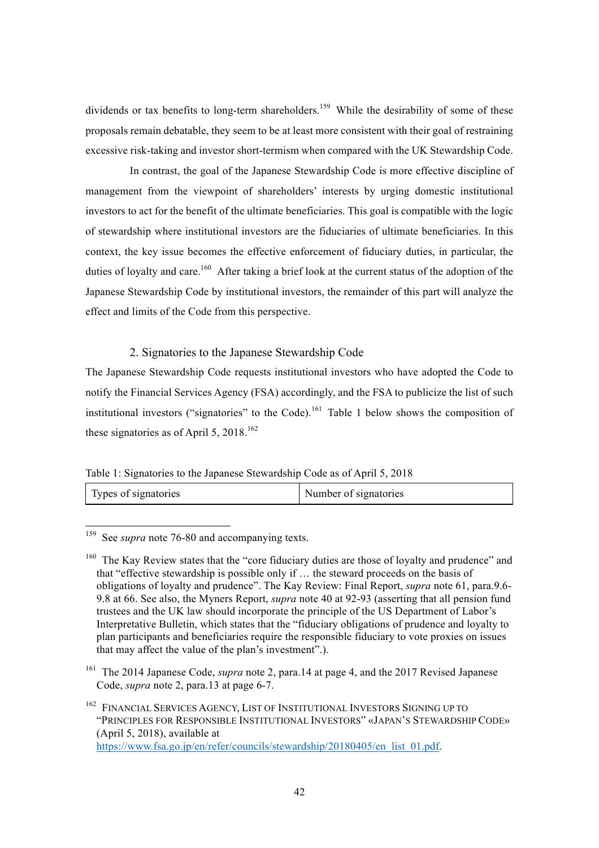dividends or tax benefits to long-term shareholders.<sup>159</sup> While the desirability of some of these proposals remain debatable, they seem to be at least more consistent with their goal of restraining excessive risk-taking and investor short-termism when compared with the UK Stewardship Code.

In contrast, the goal of the Japanese Stewardship Code is more effective discipline of management from the viewpoint of shareholders' interests by urging domestic institutional investors to act for the benefit of the ultimate beneficiaries. This goal is compatible with the logic of stewardship where institutional investors are the fiduciaries of ultimate beneficiaries. In this context, the key issue becomes the effective enforcement of fiduciary duties, in particular, the duties of loyalty and care.<sup>160</sup> After taking a brief look at the current status of the adoption of the Japanese Stewardship Code by institutional investors, the remainder of this part will analyze the effect and limits of the Code from this perspective.

### 2. Signatories to the Japanese Stewardship Code

The Japanese Stewardship Code requests institutional investors who have adopted the Code to notify the Financial Services Agency (FSA) accordingly, and the FSA to publicize the list of such institutional investors ("signatories" to the Code).<sup>161</sup> Table 1 below shows the composition of these signatories as of April 5,  $2018$ <sup>162</sup>

Table 1: Signatories to the Japanese Stewardship Code as of April 5, 2018

| Types of signatories | Number of signatories |
|----------------------|-----------------------|
|----------------------|-----------------------|

<sup>159</sup> See *supra* note 76-80 and accompanying texts.

 $160$  The Kay Review states that the "core fiduciary duties are those of loyalty and prudence" and that "effective stewardship is possible only if … the steward proceeds on the basis of obligations of loyalty and prudence". The Kay Review: Final Report, *supra* note 61, para.9.6- 9.8 at 66. See also, the Myners Report, *supra* note 40 at 92-93 (asserting that all pension fund trustees and the UK law should incorporate the principle of the US Department of Labor's Interpretative Bulletin, which states that the "fiduciary obligations of prudence and loyalty to plan participants and beneficiaries require the responsible fiduciary to vote proxies on issues that may affect the value of the plan's investment".).

<sup>161</sup> The 2014 Japanese Code, *supra* note 2, para.14 at page 4, and the 2017 Revised Japanese Code, *supra* note 2, para.13 at page 6-7.

<sup>162</sup> FINANCIAL SERVICES AGENCY, LIST OF INSTITUTIONAL INVESTORS SIGNING UP TO "PRINCIPLES FOR RESPONSIBLE INSTITUTIONAL INVESTORS" «JAPAN'S STEWARDSHIP CODE» (April 5, 2018), available at https://www.fsa.go.jp/en/refer/councils/stewardship/20180405/en\_list\_01.pdf.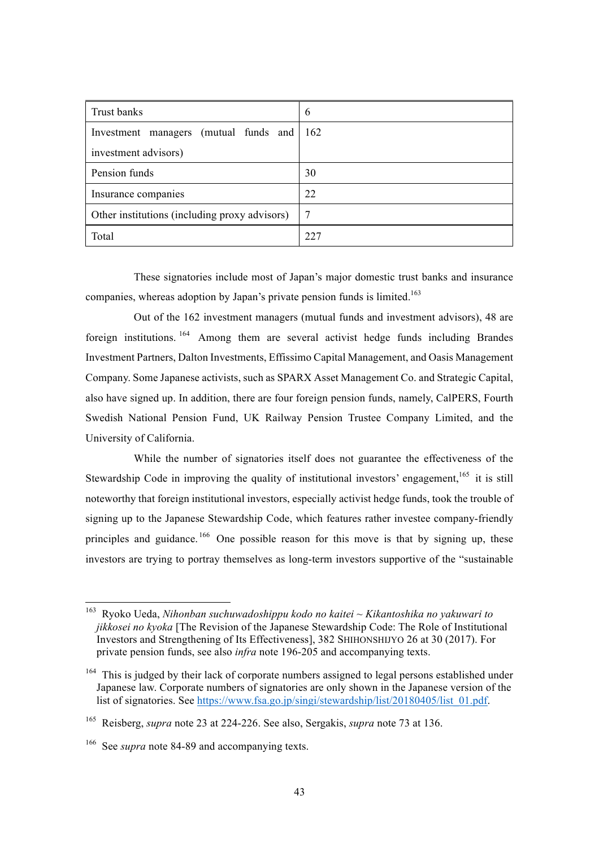| Trust banks                                   | 6   |
|-----------------------------------------------|-----|
| Investment managers (mutual funds and 162     |     |
| investment advisors)                          |     |
| Pension funds                                 | 30  |
| Insurance companies                           | 22  |
| Other institutions (including proxy advisors) | -7  |
| Total                                         | 227 |

These signatories include most of Japan's major domestic trust banks and insurance companies, whereas adoption by Japan's private pension funds is limited.<sup>163</sup>

Out of the 162 investment managers (mutual funds and investment advisors), 48 are foreign institutions. <sup>164</sup> Among them are several activist hedge funds including Brandes Investment Partners, Dalton Investments, Effissimo Capital Management, and Oasis Management Company. Some Japanese activists, such as SPARX Asset Management Co. and Strategic Capital, also have signed up. In addition, there are four foreign pension funds, namely, CalPERS, Fourth Swedish National Pension Fund, UK Railway Pension Trustee Company Limited, and the University of California.

While the number of signatories itself does not guarantee the effectiveness of the Stewardship Code in improving the quality of institutional investors' engagement, <sup>165</sup> it is still noteworthy that foreign institutional investors, especially activist hedge funds, took the trouble of signing up to the Japanese Stewardship Code, which features rather investee company-friendly principles and guidance.<sup>166</sup> One possible reason for this move is that by signing up, these investors are trying to portray themselves as long-term investors supportive of the "sustainable

 <sup>163</sup> Ryoko Ueda, *Nihonban suchuwadoshippu kodo no kaitei ~ Kikantoshika no yakuwari to jikkosei no kyoka* [The Revision of the Japanese Stewardship Code: The Role of Institutional Investors and Strengthening of Its Effectiveness], 382 SHIHONSHIJYO 26 at 30 (2017). For private pension funds, see also *infra* note 196-205 and accompanying texts.

<sup>&</sup>lt;sup>164</sup> This is judged by their lack of corporate numbers assigned to legal persons established under Japanese law. Corporate numbers of signatories are only shown in the Japanese version of the list of signatories. See https://www.fsa.go.jp/singi/stewardship/list/20180405/list\_01.pdf.

<sup>165</sup> Reisberg, *supra* note 23 at 224-226. See also, Sergakis, *supra* note 73 at 136.

<sup>166</sup> See *supra* note 84-89 and accompanying texts.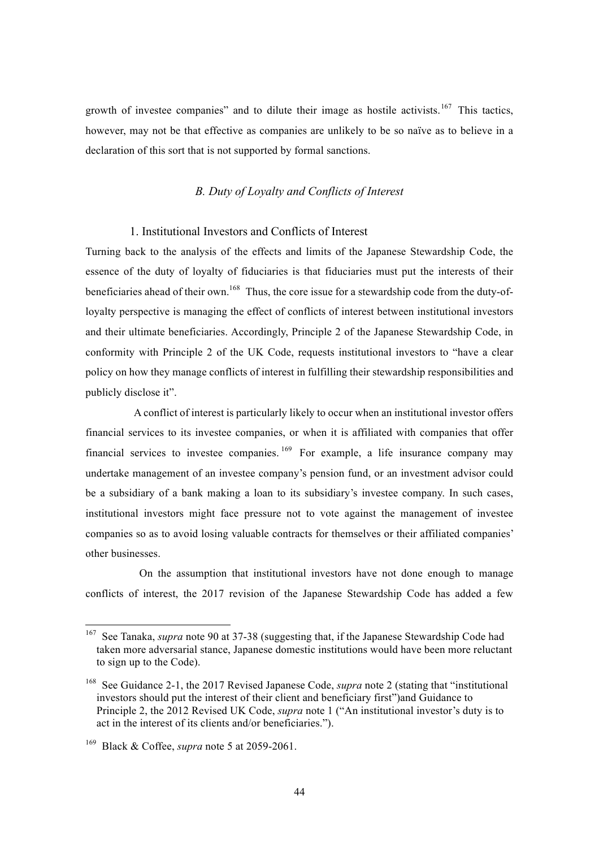growth of investee companies" and to dilute their image as hostile activists.<sup>167</sup> This tactics, however, may not be that effective as companies are unlikely to be so naïve as to believe in a declaration of this sort that is not supported by formal sanctions.

### *B. Duty of Loyalty and Conflicts of Interest*

#### 1. Institutional Investors and Conflicts of Interest

Turning back to the analysis of the effects and limits of the Japanese Stewardship Code, the essence of the duty of loyalty of fiduciaries is that fiduciaries must put the interests of their beneficiaries ahead of their own.<sup>168</sup> Thus, the core issue for a stewardship code from the duty-ofloyalty perspective is managing the effect of conflicts of interest between institutional investors and their ultimate beneficiaries. Accordingly, Principle 2 of the Japanese Stewardship Code, in conformity with Principle 2 of the UK Code, requests institutional investors to "have a clear policy on how they manage conflicts of interest in fulfilling their stewardship responsibilities and publicly disclose it".

A conflict of interest is particularly likely to occur when an institutional investor offers financial services to its investee companies, or when it is affiliated with companies that offer financial services to investee companies.  $169$  For example, a life insurance company may undertake management of an investee company's pension fund, or an investment advisor could be a subsidiary of a bank making a loan to its subsidiary's investee company. In such cases, institutional investors might face pressure not to vote against the management of investee companies so as to avoid losing valuable contracts for themselves or their affiliated companies' other businesses.

On the assumption that institutional investors have not done enough to manage conflicts of interest, the 2017 revision of the Japanese Stewardship Code has added a few

<sup>&</sup>lt;sup>167</sup> See Tanaka, *supra* note 90 at 37-38 (suggesting that, if the Japanese Stewardship Code had taken more adversarial stance, Japanese domestic institutions would have been more reluctant to sign up to the Code).

<sup>168</sup> See Guidance 2-1, the 2017 Revised Japanese Code, *supra* note 2 (stating that "institutional investors should put the interest of their client and beneficiary first")and Guidance to Principle 2, the 2012 Revised UK Code, *supra* note 1 ("An institutional investor's duty is to act in the interest of its clients and/or beneficiaries.").

<sup>169</sup> Black & Coffee, *supra* note 5 at 2059-2061.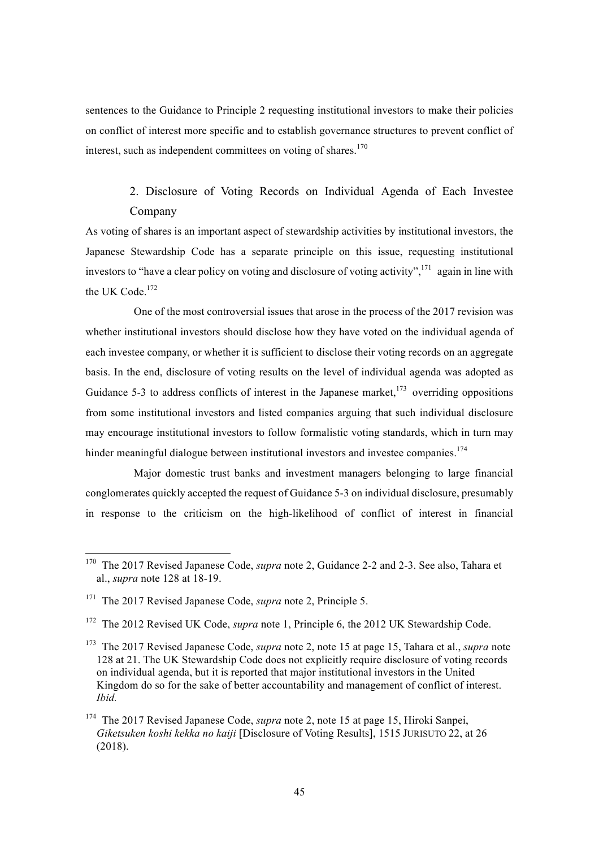sentences to the Guidance to Principle 2 requesting institutional investors to make their policies on conflict of interest more specific and to establish governance structures to prevent conflict of interest, such as independent committees on voting of shares.<sup>170</sup>

# 2. Disclosure of Voting Records on Individual Agenda of Each Investee Company

As voting of shares is an important aspect of stewardship activities by institutional investors, the Japanese Stewardship Code has a separate principle on this issue, requesting institutional investors to "have a clear policy on voting and disclosure of voting activity",  $^{171}$  again in line with the UK Code.<sup>172</sup>

One of the most controversial issues that arose in the process of the 2017 revision was whether institutional investors should disclose how they have voted on the individual agenda of each investee company, or whether it is sufficient to disclose their voting records on an aggregate basis. In the end, disclosure of voting results on the level of individual agenda was adopted as Guidance 5-3 to address conflicts of interest in the Japanese market.<sup>173</sup> overriding oppositions from some institutional investors and listed companies arguing that such individual disclosure may encourage institutional investors to follow formalistic voting standards, which in turn may hinder meaningful dialogue between institutional investors and investee companies.<sup>174</sup>

Major domestic trust banks and investment managers belonging to large financial conglomerates quickly accepted the request of Guidance 5-3 on individual disclosure, presumably in response to the criticism on the high-likelihood of conflict of interest in financial

 <sup>170</sup> The 2017 Revised Japanese Code, *supra* note 2, Guidance 2-2 and 2-3. See also, Tahara et al., *supra* note 128 at 18-19.

<sup>171</sup> The 2017 Revised Japanese Code, *supra* note 2, Principle 5.

<sup>&</sup>lt;sup>172</sup> The 2012 Revised UK Code, *supra* note 1, Principle 6, the 2012 UK Stewardship Code.

<sup>173</sup> The 2017 Revised Japanese Code, *supra* note 2, note 15 at page 15, Tahara et al., *supra* note 128 at 21. The UK Stewardship Code does not explicitly require disclosure of voting records on individual agenda, but it is reported that major institutional investors in the United Kingdom do so for the sake of better accountability and management of conflict of interest. *Ibid.*

<sup>174</sup> The 2017 Revised Japanese Code, *supra* note 2, note 15 at page 15, Hiroki Sanpei, *Giketsuken koshi kekka no kaiji* [Disclosure of Voting Results], 1515 JURISUTO 22, at 26 (2018).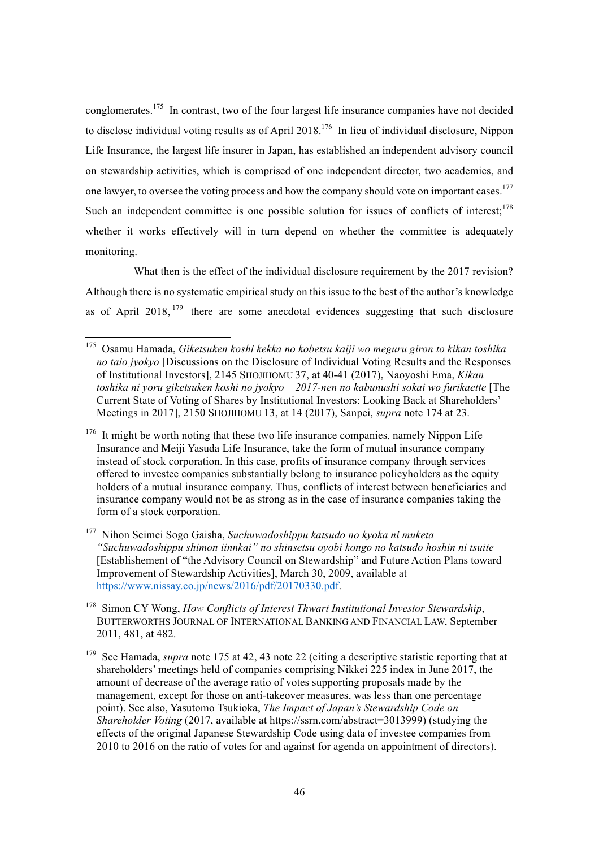conglomerates.<sup>175</sup> In contrast, two of the four largest life insurance companies have not decided to disclose individual voting results as of April 2018.<sup>176</sup> In lieu of individual disclosure, Nippon Life Insurance, the largest life insurer in Japan, has established an independent advisory council on stewardship activities, which is comprised of one independent director, two academics, and one lawyer, to oversee the voting process and how the company should vote on important cases.<sup>177</sup> Such an independent committee is one possible solution for issues of conflicts of interest;<sup>178</sup> whether it works effectively will in turn depend on whether the committee is adequately monitoring.

What then is the effect of the individual disclosure requirement by the 2017 revision? Although there is no systematic empirical study on this issue to the best of the author's knowledge as of April 2018,  $179$  there are some anecdotal evidences suggesting that such disclosure

 <sup>175</sup> Osamu Hamada, *Giketsuken koshi kekka no kobetsu kaiji wo meguru giron to kikan toshika no taio jyokyo* [Discussions on the Disclosure of Individual Voting Results and the Responses of Institutional Investors], 2145 SHOJIHOMU 37, at 40-41 (2017), Naoyoshi Ema, *Kikan toshika ni yoru giketsuken koshi no jyokyo – 2017-nen no kabunushi sokai wo furikaette* [The Current State of Voting of Shares by Institutional Investors: Looking Back at Shareholders' Meetings in 2017], 2150 SHOJIHOMU 13, at 14 (2017), Sanpei, *supra* note 174 at 23.

<sup>&</sup>lt;sup>176</sup> It might be worth noting that these two life insurance companies, namely Nippon Life Insurance and Meiji Yasuda Life Insurance, take the form of mutual insurance company instead of stock corporation. In this case, profits of insurance company through services offered to investee companies substantially belong to insurance policyholders as the equity holders of a mutual insurance company. Thus, conflicts of interest between beneficiaries and insurance company would not be as strong as in the case of insurance companies taking the form of a stock corporation.

<sup>177</sup> Nihon Seimei Sogo Gaisha, *Suchuwadoshippu katsudo no kyoka ni muketa "Suchuwadoshippu shimon iinnkai" no shinsetsu oyobi kongo no katsudo hoshin ni tsuite*  [Establishement of "the Advisory Council on Stewardship" and Future Action Plans toward Improvement of Stewardship Activities], March 30, 2009, available at https://www.nissay.co.jp/news/2016/pdf/20170330.pdf.

<sup>178</sup> Simon CY Wong, *How Conflicts of Interest Thwart Institutional Investor Stewardship*, BUTTERWORTHS JOURNAL OF INTERNATIONAL BANKING AND FINANCIAL LAW, September 2011, 481, at 482.

<sup>&</sup>lt;sup>179</sup> See Hamada, *supra* note 175 at 42, 43 note 22 (citing a descriptive statistic reporting that at shareholders' meetings held of companies comprising Nikkei 225 index in June 2017, the amount of decrease of the average ratio of votes supporting proposals made by the management, except for those on anti-takeover measures, was less than one percentage point). See also, Yasutomo Tsukioka, *The Impact of Japan's Stewardship Code on Shareholder Voting* (2017, available at https://ssrn.com/abstract=3013999) (studying the effects of the original Japanese Stewardship Code using data of investee companies from 2010 to 2016 on the ratio of votes for and against for agenda on appointment of directors).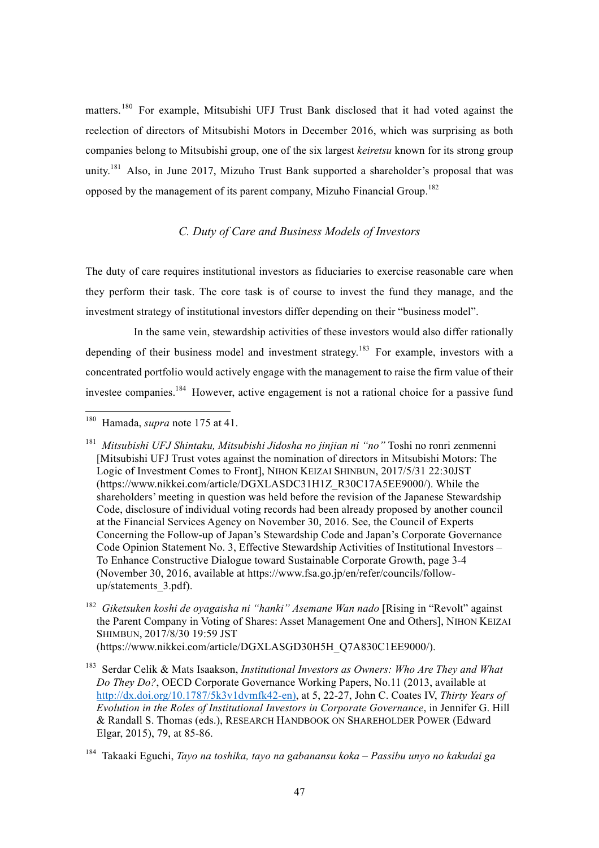matters.<sup>180</sup> For example, Mitsubishi UFJ Trust Bank disclosed that it had voted against the reelection of directors of Mitsubishi Motors in December 2016, which was surprising as both companies belong to Mitsubishi group, one of the six largest *keiretsu* known for its strong group unity.<sup>181</sup> Also, in June 2017, Mizuho Trust Bank supported a shareholder's proposal that was opposed by the management of its parent company, Mizuho Financial Group.<sup>182</sup>

## *C. Duty of Care and Business Models of Investors*

The duty of care requires institutional investors as fiduciaries to exercise reasonable care when they perform their task. The core task is of course to invest the fund they manage, and the investment strategy of institutional investors differ depending on their "business model".

In the same vein, stewardship activities of these investors would also differ rationally depending of their business model and investment strategy.<sup>183</sup> For example, investors with a concentrated portfolio would actively engage with the management to raise the firm value of their investee companies.<sup>184</sup> However, active engagement is not a rational choice for a passive fund

 <sup>180</sup> Hamada, *supra* note 175 at 41.

<sup>181</sup> *Mitsubishi UFJ Shintaku, Mitsubishi Jidosha no jinjian ni "no"* Toshi no ronri zenmenni [Mitsubishi UFJ Trust votes against the nomination of directors in Mitsubishi Motors: The Logic of Investment Comes to Front], NIHON KEIZAI SHINBUN, 2017/5/31 22:30JST (https://www.nikkei.com/article/DGXLASDC31H1Z\_R30C17A5EE9000/). While the shareholders' meeting in question was held before the revision of the Japanese Stewardship Code, disclosure of individual voting records had been already proposed by another council at the Financial Services Agency on November 30, 2016. See, the Council of Experts Concerning the Follow-up of Japan's Stewardship Code and Japan's Corporate Governance Code Opinion Statement No. 3, Effective Stewardship Activities of Institutional Investors – To Enhance Constructive Dialogue toward Sustainable Corporate Growth, page 3-4 (November 30, 2016, available at https://www.fsa.go.jp/en/refer/councils/followup/statements\_3.pdf).

<sup>&</sup>lt;sup>182</sup> Giketsuken koshi de oyagaisha ni "hanki" Asemane Wan nado [Rising in "Revolt" against the Parent Company in Voting of Shares: Asset Management One and Others], NIHON KEIZAI SHIMBUN, 2017/8/30 19:59 JST

<sup>(</sup>https://www.nikkei.com/article/DGXLASGD30H5H\_Q7A830C1EE9000/).

<sup>183</sup> Serdar Celik & Mats Isaakson, *Institutional Investors as Owners: Who Are They and What Do They Do?*, OECD Corporate Governance Working Papers, No.11 (2013, available at http://dx.doi.org/10.1787/5k3v1dvmfk42-en), at 5, 22-27, John C. Coates IV, *Thirty Years of Evolution in the Roles of Institutional Investors in Corporate Governance*, in Jennifer G. Hill & Randall S. Thomas (eds.), RESEARCH HANDBOOK ON SHAREHOLDER POWER (Edward Elgar, 2015), 79, at 85-86.

<sup>184</sup> Takaaki Eguchi, *Tayo na toshika, tayo na gabanansu koka – Passibu unyo no kakudai ga*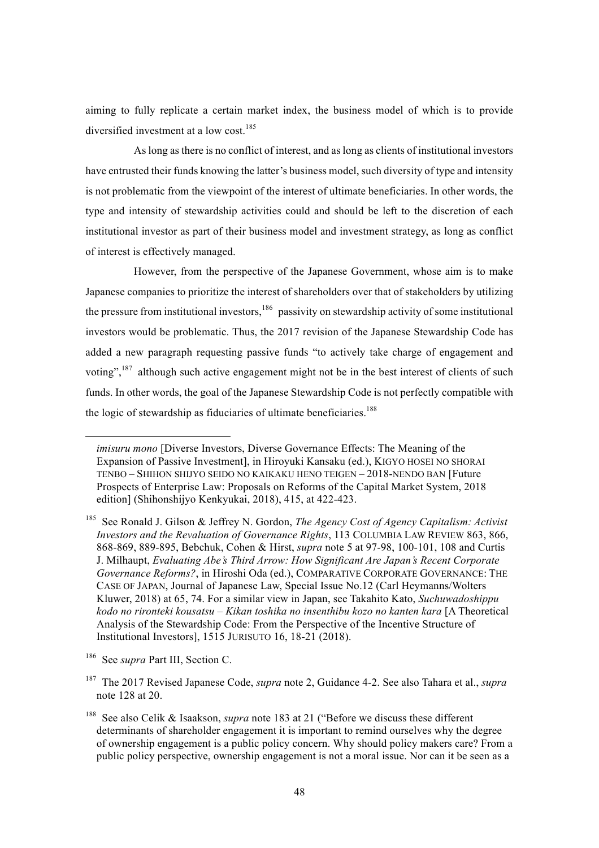aiming to fully replicate a certain market index, the business model of which is to provide diversified investment at a low cost.<sup>185</sup>

As long as there is no conflict of interest, and as long as clients of institutional investors have entrusted their funds knowing the latter's business model, such diversity of type and intensity is not problematic from the viewpoint of the interest of ultimate beneficiaries. In other words, the type and intensity of stewardship activities could and should be left to the discretion of each institutional investor as part of their business model and investment strategy, as long as conflict of interest is effectively managed.

However, from the perspective of the Japanese Government, whose aim is to make Japanese companies to prioritize the interest of shareholders over that of stakeholders by utilizing the pressure from institutional investors,  $186$  passivity on stewardship activity of some institutional investors would be problematic. Thus, the 2017 revision of the Japanese Stewardship Code has added a new paragraph requesting passive funds "to actively take charge of engagement and voting",<sup>187</sup> although such active engagement might not be in the best interest of clients of such funds. In other words, the goal of the Japanese Stewardship Code is not perfectly compatible with the logic of stewardship as fiduciaries of ultimate beneficiaries.<sup>188</sup>

 $\overline{a}$ 

*imisuru mono* [Diverse Investors, Diverse Governance Effects: The Meaning of the Expansion of Passive Investment], in Hiroyuki Kansaku (ed.), KIGYO HOSEI NO SHORAI TENBO – SHIHON SHIJYO SEIDO NO KAIKAKU HENO TEIGEN – 2018-NENDO BAN [Future Prospects of Enterprise Law: Proposals on Reforms of the Capital Market System, 2018 edition] (Shihonshijyo Kenkyukai, 2018), 415, at 422-423.

<sup>185</sup> See Ronald J. Gilson & Jeffrey N. Gordon, *The Agency Cost of Agency Capitalism: Activist Investors and the Revaluation of Governance Rights*, 113 COLUMBIA LAW REVIEW 863, 866, 868-869, 889-895, Bebchuk, Cohen & Hirst, *supra* note 5 at 97-98, 100-101, 108 and Curtis J. Milhaupt, *Evaluating Abe's Third Arrow: How Significant Are Japan's Recent Corporate Governance Reforms?*, in Hiroshi Oda (ed.), COMPARATIVE CORPORATE GOVERNANCE: THE CASE OF JAPAN, Journal of Japanese Law, Special Issue No.12 (Carl Heymanns/Wolters Kluwer, 2018) at 65, 74. For a similar view in Japan, see Takahito Kato, *Suchuwadoshippu kodo no rironteki kousatsu – Kikan toshika no insenthibu kozo no kanten kara* [A Theoretical Analysis of the Stewardship Code: From the Perspective of the Incentive Structure of Institutional Investors], 1515 JURISUTO 16, 18-21 (2018).

<sup>186</sup> See *supra* Part III, Section C.

<sup>187</sup> The 2017 Revised Japanese Code, *supra* note 2, Guidance 4-2. See also Tahara et al., *supra*  note 128 at 20.

<sup>188</sup> See also Celik & Isaakson, *supra* note 183 at 21 ("Before we discuss these different determinants of shareholder engagement it is important to remind ourselves why the degree of ownership engagement is a public policy concern. Why should policy makers care? From a public policy perspective, ownership engagement is not a moral issue. Nor can it be seen as a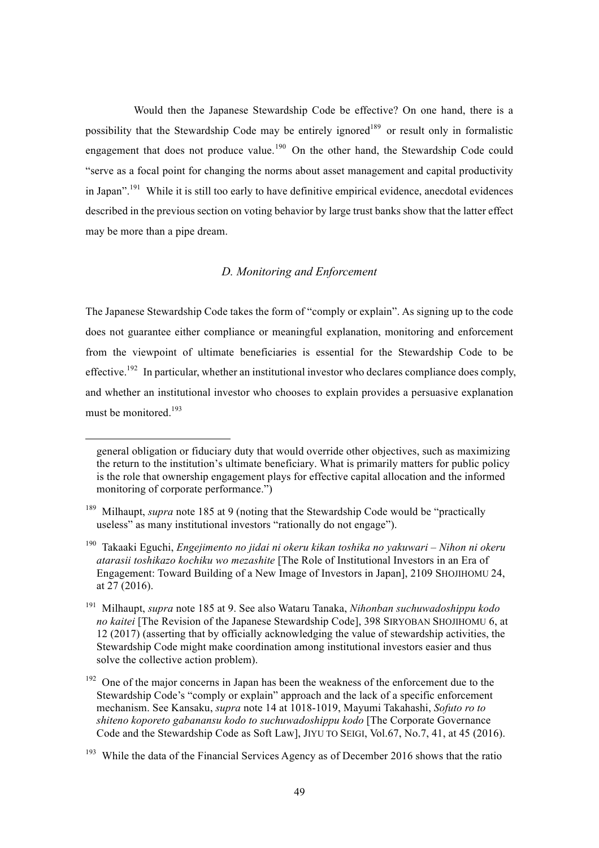Would then the Japanese Stewardship Code be effective? On one hand, there is a possibility that the Stewardship Code may be entirely ignored<sup>189</sup> or result only in formalistic engagement that does not produce value.<sup>190</sup> On the other hand, the Stewardship Code could "serve as a focal point for changing the norms about asset management and capital productivity in Japan".<sup>191</sup> While it is still too early to have definitive empirical evidence, anecdotal evidences described in the previous section on voting behavior by large trust banks show that the latter effect may be more than a pipe dream.

## *D. Monitoring and Enforcement*

The Japanese Stewardship Code takes the form of "comply or explain". As signing up to the code does not guarantee either compliance or meaningful explanation, monitoring and enforcement from the viewpoint of ultimate beneficiaries is essential for the Stewardship Code to be effective.<sup>192</sup> In particular, whether an institutional investor who declares compliance does comply, and whether an institutional investor who chooses to explain provides a persuasive explanation must be monitored.<sup>193</sup>

 $\overline{a}$ 

general obligation or fiduciary duty that would override other objectives, such as maximizing the return to the institution's ultimate beneficiary. What is primarily matters for public policy is the role that ownership engagement plays for effective capital allocation and the informed monitoring of corporate performance.")

<sup>&</sup>lt;sup>189</sup> Milhaupt, *supra* note 185 at 9 (noting that the Stewardship Code would be "practically useless" as many institutional investors "rationally do not engage").

<sup>190</sup> Takaaki Eguchi, *Engejimento no jidai ni okeru kikan toshika no yakuwari – Nihon ni okeru atarasii toshikazo kochiku wo mezashite* [The Role of Institutional Investors in an Era of Engagement: Toward Building of a New Image of Investors in Japan], 2109 SHOJIHOMU 24, at 27 (2016).

<sup>191</sup> Milhaupt, *supra* note 185 at 9. See also Wataru Tanaka, *Nihonban suchuwadoshippu kodo no kaitei* [The Revision of the Japanese Stewardship Code], 398 SIRYOBAN SHOJIHOMU 6, at 12 (2017) (asserting that by officially acknowledging the value of stewardship activities, the Stewardship Code might make coordination among institutional investors easier and thus solve the collective action problem).

<sup>&</sup>lt;sup>192</sup> One of the major concerns in Japan has been the weakness of the enforcement due to the Stewardship Code's "comply or explain" approach and the lack of a specific enforcement mechanism. See Kansaku, *supra* note 14 at 1018-1019, Mayumi Takahashi, *Sofuto ro to shiteno koporeto gabanansu kodo to suchuwadoshippu kodo* [The Corporate Governance Code and the Stewardship Code as Soft Law], JIYU TO SEIGI, Vol.67, No.7, 41, at 45 (2016).

 $193$  While the data of the Financial Services Agency as of December 2016 shows that the ratio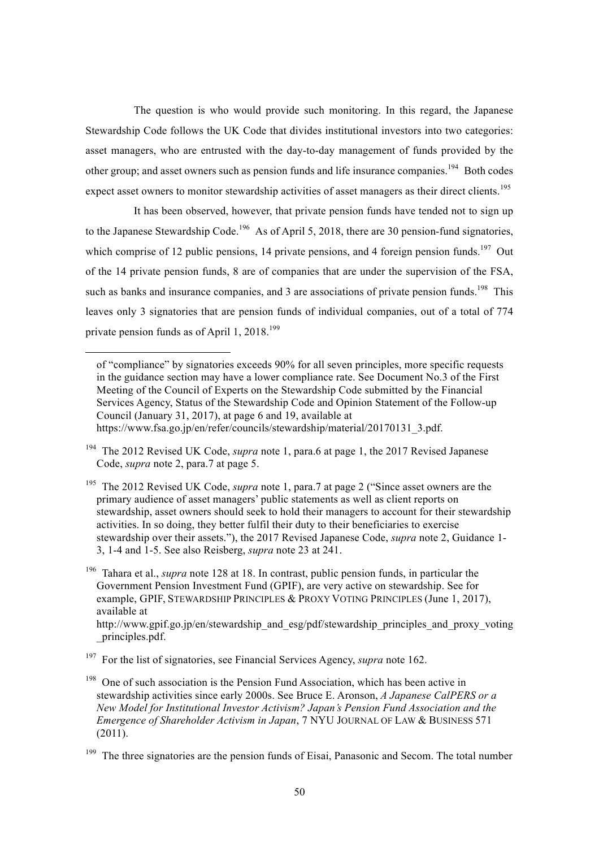The question is who would provide such monitoring. In this regard, the Japanese Stewardship Code follows the UK Code that divides institutional investors into two categories: asset managers, who are entrusted with the day-to-day management of funds provided by the other group; and asset owners such as pension funds and life insurance companies.<sup>194</sup> Both codes expect asset owners to monitor stewardship activities of asset managers as their direct clients.<sup>195</sup>

It has been observed, however, that private pension funds have tended not to sign up to the Japanese Stewardship Code.<sup>196</sup> As of April 5, 2018, there are 30 pension-fund signatories, which comprise of 12 public pensions, 14 private pensions, and 4 foreign pension funds.<sup>197</sup> Out of the 14 private pension funds, 8 are of companies that are under the supervision of the FSA, such as banks and insurance companies, and 3 are associations of private pension funds.<sup>198</sup> This leaves only 3 signatories that are pension funds of individual companies, out of a total of 774 private pension funds as of April 1,  $2018^{199}$ 

l

<sup>196</sup> Tahara et al., *supra* note 128 at 18. In contrast, public pension funds, in particular the Government Pension Investment Fund (GPIF), are very active on stewardship. See for example, GPIF, STEWARDSHIP PRINCIPLES & PROXY VOTING PRINCIPLES (June 1, 2017), available at http://www.gpif.go.jp/en/stewardship\_and\_esg/pdf/stewardship\_principles\_and\_proxy\_voting \_principles.pdf.

<sup>197</sup> For the list of signatories, see Financial Services Agency, *supra* note 162.

of "compliance" by signatories exceeds 90% for all seven principles, more specific requests in the guidance section may have a lower compliance rate. See Document No.3 of the First Meeting of the Council of Experts on the Stewardship Code submitted by the Financial Services Agency, Status of the Stewardship Code and Opinion Statement of the Follow-up Council (January 31, 2017), at page 6 and 19, available at https://www.fsa.go.jp/en/refer/councils/stewardship/material/20170131\_3.pdf.

<sup>&</sup>lt;sup>194</sup> The 2012 Revised UK Code, *supra* note 1, para.6 at page 1, the 2017 Revised Japanese Code, *supra* note 2, para.7 at page 5.

<sup>&</sup>lt;sup>195</sup> The 2012 Revised UK Code, *supra* note 1, para.7 at page 2 ("Since asset owners are the primary audience of asset managers' public statements as well as client reports on stewardship, asset owners should seek to hold their managers to account for their stewardship activities. In so doing, they better fulfil their duty to their beneficiaries to exercise stewardship over their assets."), the 2017 Revised Japanese Code, *supra* note 2, Guidance 1- 3, 1-4 and 1-5. See also Reisberg, *supra* note 23 at 241.

<sup>&</sup>lt;sup>198</sup> One of such association is the Pension Fund Association, which has been active in stewardship activities since early 2000s. See Bruce E. Aronson, *A Japanese CalPERS or a New Model for Institutional Investor Activism? Japan's Pension Fund Association and the Emergence of Shareholder Activism in Japan*, 7 NYU JOURNAL OF LAW & BUSINESS 571 (2011).

<sup>&</sup>lt;sup>199</sup> The three signatories are the pension funds of Eisai, Panasonic and Secom. The total number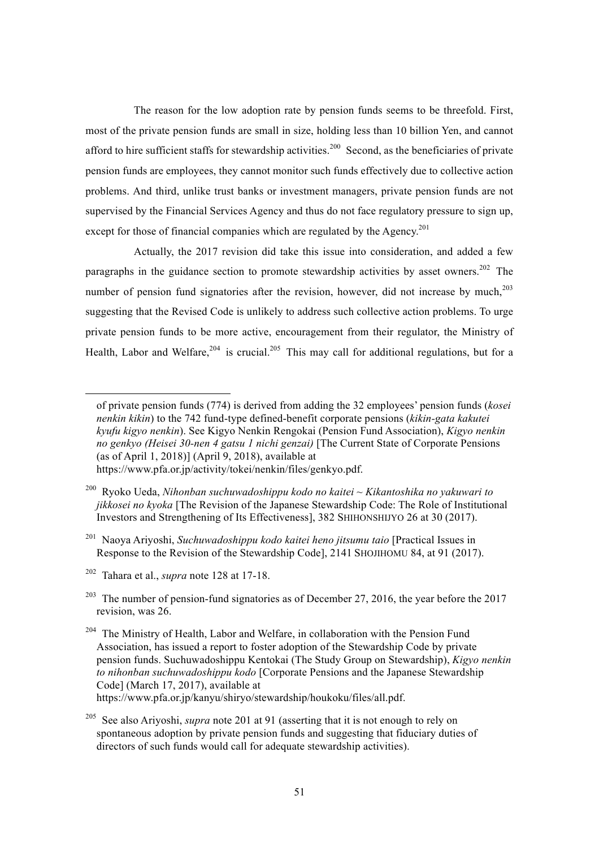The reason for the low adoption rate by pension funds seems to be threefold. First, most of the private pension funds are small in size, holding less than 10 billion Yen, and cannot afford to hire sufficient staffs for stewardship activities.<sup>200</sup> Second, as the beneficiaries of private pension funds are employees, they cannot monitor such funds effectively due to collective action problems. And third, unlike trust banks or investment managers, private pension funds are not supervised by the Financial Services Agency and thus do not face regulatory pressure to sign up, except for those of financial companies which are regulated by the Agency.<sup>201</sup>

Actually, the 2017 revision did take this issue into consideration, and added a few paragraphs in the guidance section to promote stewardship activities by asset owners.<sup>202</sup> The number of pension fund signatories after the revision, however, did not increase by much,<sup>203</sup> suggesting that the Revised Code is unlikely to address such collective action problems. To urge private pension funds to be more active, encouragement from their regulator, the Ministry of Health, Labor and Welfare,  $204$  is crucial.  $205$  This may call for additional regulations, but for a

 $\overline{a}$ 

of private pension funds (774) is derived from adding the 32 employees' pension funds (*kosei nenkin kikin*) to the 742 fund-type defined-benefit corporate pensions (*kikin-gata kakutei kyufu kigyo nenkin*). See Kigyo Nenkin Rengokai (Pension Fund Association), *Kigyo nenkin no genkyo (Heisei 30-nen 4 gatsu 1 nichi genzai)* [The Current State of Corporate Pensions (as of April 1, 2018)] (April 9, 2018), available at

https://www.pfa.or.jp/activity/tokei/nenkin/files/genkyo.pdf.

<sup>200</sup> Ryoko Ueda, *Nihonban suchuwadoshippu kodo no kaitei ~ Kikantoshika no yakuwari to jikkosei no kyoka* [The Revision of the Japanese Stewardship Code: The Role of Institutional Investors and Strengthening of Its Effectiveness], 382 SHIHONSHIJYO 26 at 30 (2017).

<sup>201</sup> Naoya Ariyoshi, *Suchuwadoshippu kodo kaitei heno jitsumu taio* [Practical Issues in Response to the Revision of the Stewardship Code], 2141 SHOJIHOMU 84, at 91 (2017).

<sup>202</sup> Tahara et al., *supra* note 128 at 17-18.

<sup>&</sup>lt;sup>203</sup> The number of pension-fund signatories as of December 27, 2016, the year before the 2017 revision, was 26.

<sup>&</sup>lt;sup>204</sup> The Ministry of Health, Labor and Welfare, in collaboration with the Pension Fund Association, has issued a report to foster adoption of the Stewardship Code by private pension funds. Suchuwadoshippu Kentokai (The Study Group on Stewardship), *Kigyo nenkin to nihonban suchuwadoshippu kodo* [Corporate Pensions and the Japanese Stewardship Code] (March 17, 2017), available at https://www.pfa.or.jp/kanyu/shiryo/stewardship/houkoku/files/all.pdf.

<sup>205</sup> See also Ariyoshi, *supra* note 201 at 91 (asserting that it is not enough to rely on spontaneous adoption by private pension funds and suggesting that fiduciary duties of directors of such funds would call for adequate stewardship activities).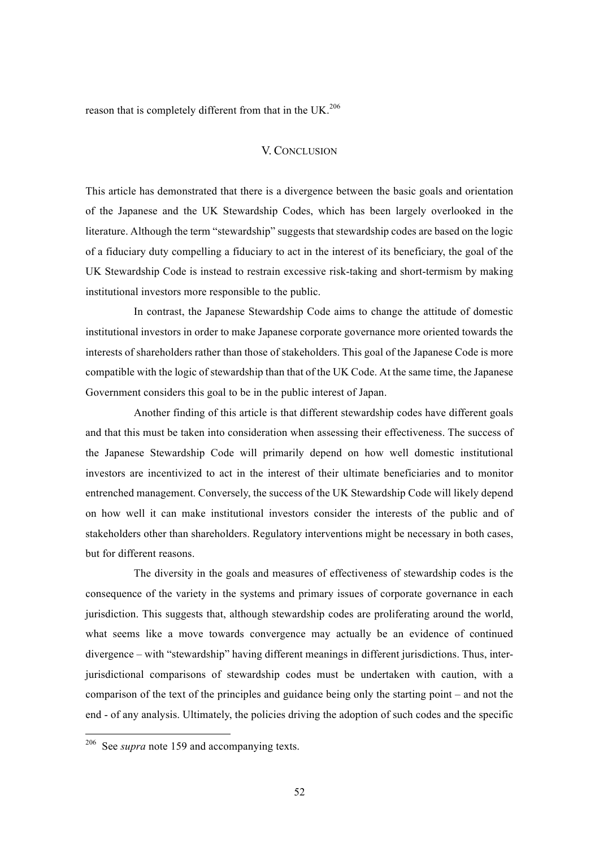reason that is completely different from that in the UK.<sup>206</sup>

### V. CONCLUSION

This article has demonstrated that there is a divergence between the basic goals and orientation of the Japanese and the UK Stewardship Codes, which has been largely overlooked in the literature. Although the term "stewardship" suggests that stewardship codes are based on the logic of a fiduciary duty compelling a fiduciary to act in the interest of its beneficiary, the goal of the UK Stewardship Code is instead to restrain excessive risk-taking and short-termism by making institutional investors more responsible to the public.

In contrast, the Japanese Stewardship Code aims to change the attitude of domestic institutional investors in order to make Japanese corporate governance more oriented towards the interests of shareholders rather than those of stakeholders. This goal of the Japanese Code is more compatible with the logic of stewardship than that of the UK Code. At the same time, the Japanese Government considers this goal to be in the public interest of Japan.

Another finding of this article is that different stewardship codes have different goals and that this must be taken into consideration when assessing their effectiveness. The success of the Japanese Stewardship Code will primarily depend on how well domestic institutional investors are incentivized to act in the interest of their ultimate beneficiaries and to monitor entrenched management. Conversely, the success of the UK Stewardship Code will likely depend on how well it can make institutional investors consider the interests of the public and of stakeholders other than shareholders. Regulatory interventions might be necessary in both cases, but for different reasons.

The diversity in the goals and measures of effectiveness of stewardship codes is the consequence of the variety in the systems and primary issues of corporate governance in each jurisdiction. This suggests that, although stewardship codes are proliferating around the world, what seems like a move towards convergence may actually be an evidence of continued divergence – with "stewardship" having different meanings in different jurisdictions. Thus, interjurisdictional comparisons of stewardship codes must be undertaken with caution, with a comparison of the text of the principles and guidance being only the starting point – and not the end - of any analysis. Ultimately, the policies driving the adoption of such codes and the specific

 <sup>206</sup> See *supra* note 159 and accompanying texts.